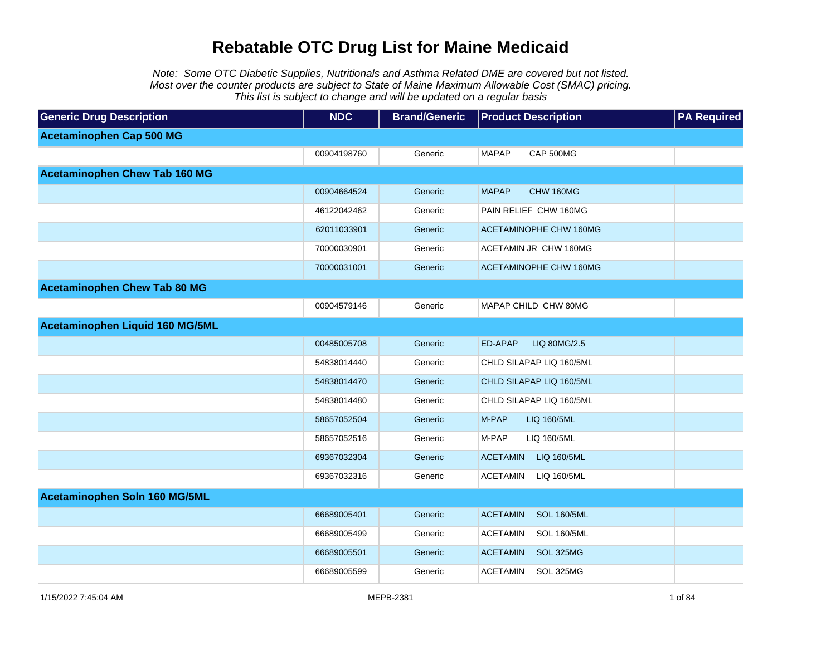Note: Some OTC Diabetic Supplies, Nutritionals and Asthma Related DME are covered but not listed. Most over the counter products are subject to State of Maine Maximum Allowable Cost (SMAC) pricing. This list is subject to change and will be updated on a regular basis

| <b>Generic Drug Description</b>      | <b>NDC</b>  | <b>Brand/Generic</b> | <b>Product Description</b>            | <b>PA Required</b> |
|--------------------------------------|-------------|----------------------|---------------------------------------|--------------------|
| <b>Acetaminophen Cap 500 MG</b>      |             |                      |                                       |                    |
|                                      | 00904198760 | Generic              | <b>MAPAP</b><br>CAP 500MG             |                    |
| <b>Acetaminophen Chew Tab 160 MG</b> |             |                      |                                       |                    |
|                                      | 00904664524 | Generic              | <b>MAPAP</b><br>CHW 160MG             |                    |
|                                      | 46122042462 | Generic              | PAIN RELIEF CHW 160MG                 |                    |
|                                      | 62011033901 | Generic              | <b>ACETAMINOPHE CHW 160MG</b>         |                    |
|                                      | 70000030901 | Generic              | ACETAMIN JR CHW 160MG                 |                    |
|                                      | 70000031001 | Generic              | ACETAMINOPHE CHW 160MG                |                    |
| <b>Acetaminophen Chew Tab 80 MG</b>  |             |                      |                                       |                    |
|                                      | 00904579146 | Generic              | MAPAP CHILD CHW 80MG                  |                    |
| Acetaminophen Liquid 160 MG/5ML      |             |                      |                                       |                    |
|                                      | 00485005708 | Generic              | ED-APAP<br>LIQ 80MG/2.5               |                    |
|                                      | 54838014440 | Generic              | CHLD SILAPAP LIQ 160/5ML              |                    |
|                                      | 54838014470 | Generic              | CHLD SILAPAP LIQ 160/5ML              |                    |
|                                      | 54838014480 | Generic              | CHLD SILAPAP LIQ 160/5ML              |                    |
|                                      | 58657052504 | Generic              | M-PAP<br>LIQ 160/5ML                  |                    |
|                                      | 58657052516 | Generic              | M-PAP<br>LIQ 160/5ML                  |                    |
|                                      | 69367032304 | Generic              | <b>ACETAMIN</b><br>LIQ 160/5ML        |                    |
|                                      | 69367032316 | Generic              | ACETAMIN<br>LIQ 160/5ML               |                    |
| Acetaminophen Soln 160 MG/5ML        |             |                      |                                       |                    |
|                                      | 66689005401 | Generic              | <b>ACETAMIN</b><br><b>SOL 160/5ML</b> |                    |
|                                      | 66689005499 | Generic              | <b>ACETAMIN</b><br><b>SOL 160/5ML</b> |                    |
|                                      | 66689005501 | Generic              | <b>ACETAMIN</b><br>SOL 325MG          |                    |
|                                      | 66689005599 | Generic              | <b>ACETAMIN</b><br>SOL 325MG          |                    |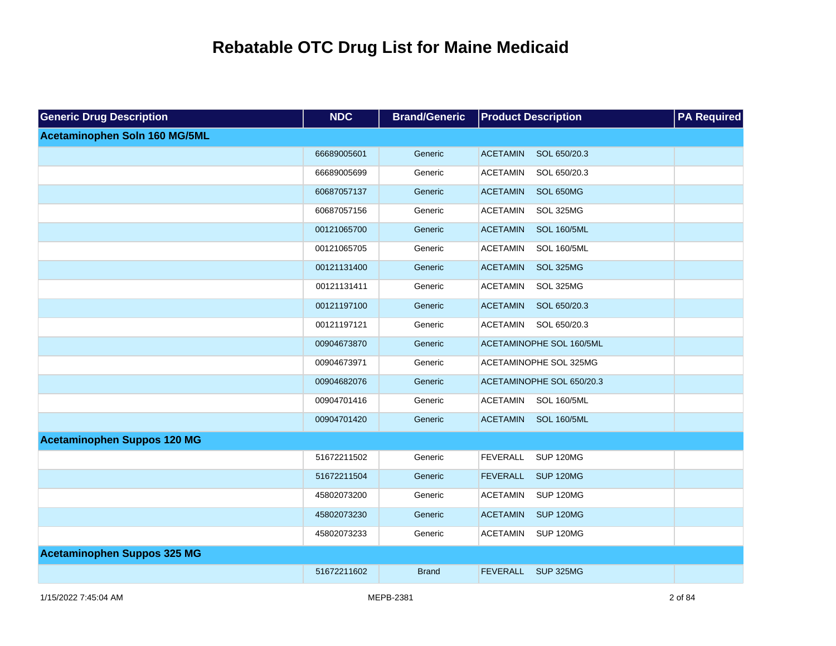| <b>Generic Drug Description</b>    | <b>NDC</b>  | <b>Brand/Generic</b> | <b>Product Description</b>            | <b>PA Required</b> |
|------------------------------------|-------------|----------------------|---------------------------------------|--------------------|
| Acetaminophen Soln 160 MG/5ML      |             |                      |                                       |                    |
|                                    | 66689005601 | Generic              | <b>ACETAMIN</b><br>SOL 650/20.3       |                    |
|                                    | 66689005699 | Generic              | <b>ACETAMIN</b><br>SOL 650/20.3       |                    |
|                                    | 60687057137 | Generic              | SOL 650MG<br><b>ACETAMIN</b>          |                    |
|                                    | 60687057156 | Generic              | <b>ACETAMIN</b><br>SOL 325MG          |                    |
|                                    | 00121065700 | Generic              | <b>ACETAMIN</b><br><b>SOL 160/5ML</b> |                    |
|                                    | 00121065705 | Generic              | <b>ACETAMIN</b><br><b>SOL 160/5ML</b> |                    |
|                                    | 00121131400 | Generic              | <b>ACETAMIN</b><br>SOL 325MG          |                    |
|                                    | 00121131411 | Generic              | <b>ACETAMIN</b><br>SOL 325MG          |                    |
|                                    | 00121197100 | Generic              | <b>ACETAMIN</b><br>SOL 650/20.3       |                    |
|                                    | 00121197121 | Generic              | <b>ACETAMIN</b><br>SOL 650/20.3       |                    |
|                                    | 00904673870 | Generic              | ACETAMINOPHE SOL 160/5ML              |                    |
|                                    | 00904673971 | Generic              | ACETAMINOPHE SOL 325MG                |                    |
|                                    | 00904682076 | Generic              | ACETAMINOPHE SOL 650/20.3             |                    |
|                                    | 00904701416 | Generic              | <b>ACETAMIN</b><br><b>SOL 160/5ML</b> |                    |
|                                    | 00904701420 | Generic              | <b>SOL 160/5ML</b><br><b>ACETAMIN</b> |                    |
| <b>Acetaminophen Suppos 120 MG</b> |             |                      |                                       |                    |
|                                    | 51672211502 | Generic              | <b>FEVERALL</b><br><b>SUP 120MG</b>   |                    |
|                                    | 51672211504 | Generic              | <b>FEVERALL</b><br><b>SUP 120MG</b>   |                    |
|                                    | 45802073200 | Generic              | <b>ACETAMIN</b><br><b>SUP 120MG</b>   |                    |
|                                    | 45802073230 | Generic              | <b>ACETAMIN</b><br><b>SUP 120MG</b>   |                    |
|                                    | 45802073233 | Generic              | <b>SUP 120MG</b><br><b>ACETAMIN</b>   |                    |
| <b>Acetaminophen Suppos 325 MG</b> |             |                      |                                       |                    |
|                                    | 51672211602 | <b>Brand</b>         | <b>FEVERALL</b><br><b>SUP 325MG</b>   |                    |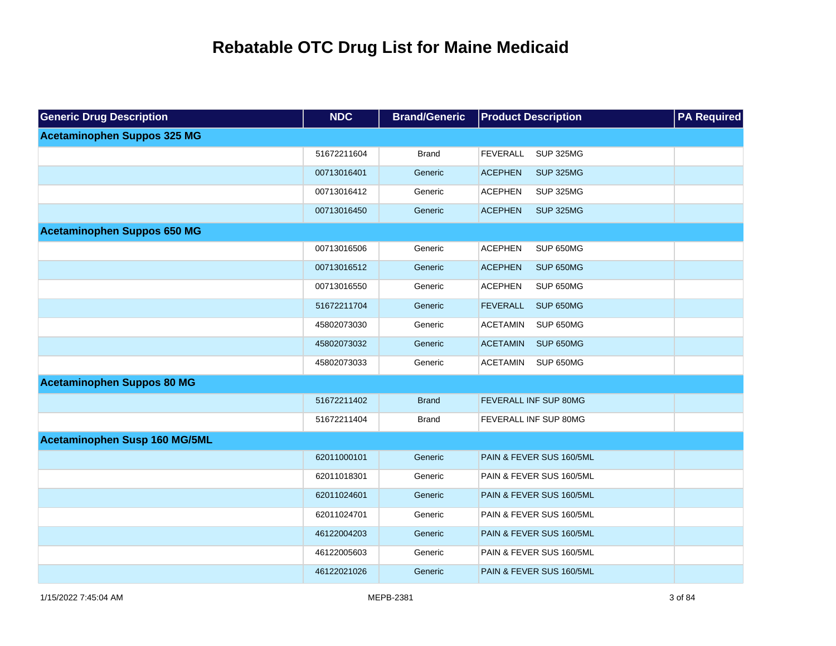| <b>Generic Drug Description</b>    | <b>NDC</b>  | <b>Brand/Generic</b> | <b>Product Description</b>          | <b>PA Required</b> |
|------------------------------------|-------------|----------------------|-------------------------------------|--------------------|
| <b>Acetaminophen Suppos 325 MG</b> |             |                      |                                     |                    |
|                                    | 51672211604 | <b>Brand</b>         | <b>SUP 325MG</b><br><b>FEVERALL</b> |                    |
|                                    | 00713016401 | Generic              | <b>SUP 325MG</b><br><b>ACEPHEN</b>  |                    |
|                                    | 00713016412 | Generic              | <b>SUP 325MG</b><br><b>ACEPHEN</b>  |                    |
|                                    | 00713016450 | Generic              | <b>ACEPHEN</b><br><b>SUP 325MG</b>  |                    |
| <b>Acetaminophen Suppos 650 MG</b> |             |                      |                                     |                    |
|                                    | 00713016506 | Generic              | <b>ACEPHEN</b><br>SUP 650MG         |                    |
|                                    | 00713016512 | Generic              | <b>ACEPHEN</b><br>SUP 650MG         |                    |
|                                    | 00713016550 | Generic              | <b>ACEPHEN</b><br>SUP 650MG         |                    |
|                                    | 51672211704 | Generic              | <b>SUP 650MG</b><br><b>FEVERALL</b> |                    |
|                                    | 45802073030 | Generic              | <b>ACETAMIN</b><br>SUP 650MG        |                    |
|                                    | 45802073032 | Generic              | <b>ACETAMIN</b><br><b>SUP 650MG</b> |                    |
|                                    | 45802073033 | Generic              | SUP 650MG<br><b>ACETAMIN</b>        |                    |
| <b>Acetaminophen Suppos 80 MG</b>  |             |                      |                                     |                    |
|                                    | 51672211402 | <b>Brand</b>         | <b>FEVERALL INF SUP 80MG</b>        |                    |
|                                    | 51672211404 | <b>Brand</b>         | <b>FEVERALL INF SUP 80MG</b>        |                    |
| Acetaminophen Susp 160 MG/5ML      |             |                      |                                     |                    |
|                                    | 62011000101 | Generic              | PAIN & FEVER SUS 160/5ML            |                    |
|                                    | 62011018301 | Generic              | PAIN & FEVER SUS 160/5ML            |                    |
|                                    | 62011024601 | Generic              | PAIN & FEVER SUS 160/5ML            |                    |
|                                    | 62011024701 | Generic              | PAIN & FEVER SUS 160/5ML            |                    |
|                                    | 46122004203 | Generic              | PAIN & FEVER SUS 160/5ML            |                    |
|                                    | 46122005603 | Generic              | PAIN & FEVER SUS 160/5ML            |                    |
|                                    | 46122021026 | Generic              | PAIN & FEVER SUS 160/5ML            |                    |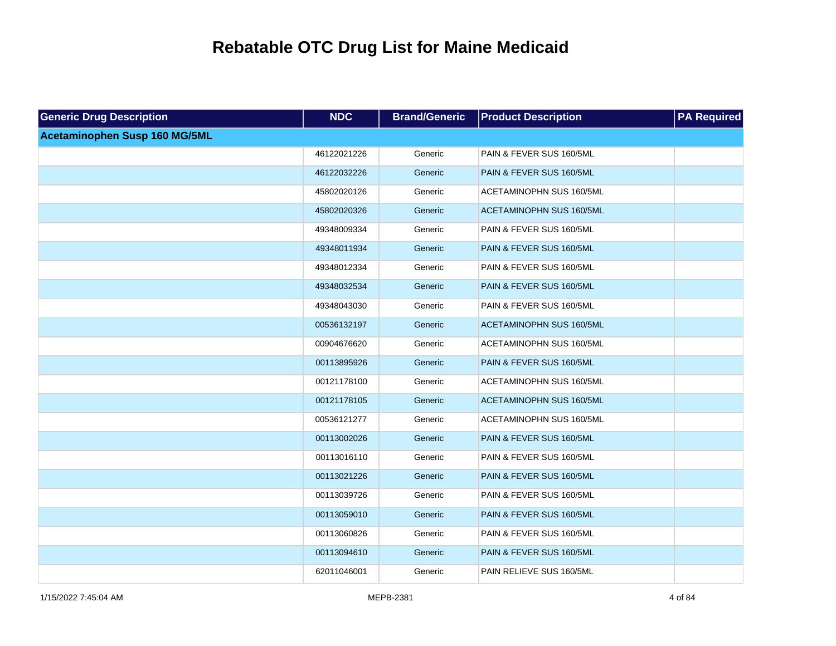| <b>Generic Drug Description</b> | <b>NDC</b>  | <b>Brand/Generic</b> | <b>Product Description</b>      | <b>PA Required</b> |
|---------------------------------|-------------|----------------------|---------------------------------|--------------------|
| Acetaminophen Susp 160 MG/5ML   |             |                      |                                 |                    |
|                                 | 46122021226 | Generic              | PAIN & FEVER SUS 160/5ML        |                    |
|                                 | 46122032226 | Generic              | PAIN & FEVER SUS 160/5ML        |                    |
|                                 | 45802020126 | Generic              | ACETAMINOPHN SUS 160/5ML        |                    |
|                                 | 45802020326 | Generic              | <b>ACETAMINOPHN SUS 160/5ML</b> |                    |
|                                 | 49348009334 | Generic              | PAIN & FEVER SUS 160/5ML        |                    |
|                                 | 49348011934 | Generic              | PAIN & FEVER SUS 160/5ML        |                    |
|                                 | 49348012334 | Generic              | PAIN & FEVER SUS 160/5ML        |                    |
|                                 | 49348032534 | Generic              | PAIN & FEVER SUS 160/5ML        |                    |
|                                 | 49348043030 | Generic              | PAIN & FEVER SUS 160/5ML        |                    |
|                                 | 00536132197 | Generic              | <b>ACETAMINOPHN SUS 160/5ML</b> |                    |
|                                 | 00904676620 | Generic              | ACETAMINOPHN SUS 160/5ML        |                    |
|                                 | 00113895926 | Generic              | PAIN & FEVER SUS 160/5ML        |                    |
|                                 | 00121178100 | Generic              | ACETAMINOPHN SUS 160/5ML        |                    |
|                                 | 00121178105 | Generic              | <b>ACETAMINOPHN SUS 160/5ML</b> |                    |
|                                 | 00536121277 | Generic              | ACETAMINOPHN SUS 160/5ML        |                    |
|                                 | 00113002026 | Generic              | PAIN & FEVER SUS 160/5ML        |                    |
|                                 | 00113016110 | Generic              | PAIN & FEVER SUS 160/5ML        |                    |
|                                 | 00113021226 | Generic              | PAIN & FEVER SUS 160/5ML        |                    |
|                                 | 00113039726 | Generic              | PAIN & FEVER SUS 160/5ML        |                    |
|                                 | 00113059010 | Generic              | PAIN & FEVER SUS 160/5ML        |                    |
|                                 | 00113060826 | Generic              | PAIN & FEVER SUS 160/5ML        |                    |
|                                 | 00113094610 | Generic              | PAIN & FEVER SUS 160/5ML        |                    |
|                                 | 62011046001 | Generic              | PAIN RELIEVE SUS 160/5ML        |                    |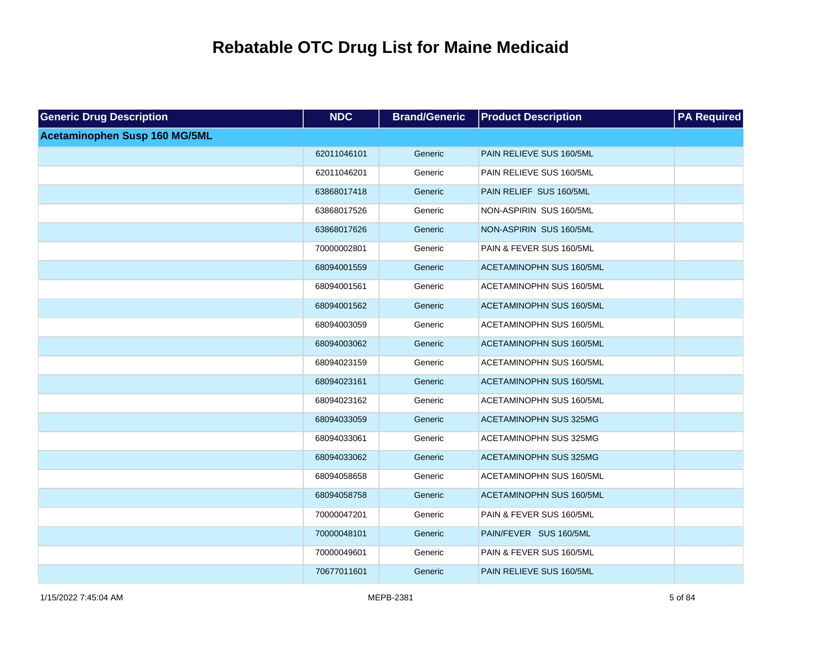| <b>Generic Drug Description</b> | <b>NDC</b>  | <b>Brand/Generic</b> | <b>Product Description</b>    | <b>PA Required</b> |
|---------------------------------|-------------|----------------------|-------------------------------|--------------------|
| Acetaminophen Susp 160 MG/5ML   |             |                      |                               |                    |
|                                 | 62011046101 | Generic              | PAIN RELIEVE SUS 160/5ML      |                    |
|                                 | 62011046201 | Generic              | PAIN RELIEVE SUS 160/5ML      |                    |
|                                 | 63868017418 | Generic              | PAIN RELIEF SUS 160/5ML       |                    |
|                                 | 63868017526 | Generic              | NON-ASPIRIN SUS 160/5ML       |                    |
|                                 | 63868017626 | Generic              | NON-ASPIRIN SUS 160/5ML       |                    |
|                                 | 70000002801 | Generic              | PAIN & FEVER SUS 160/5ML      |                    |
|                                 | 68094001559 | Generic              | ACETAMINOPHN SUS 160/5ML      |                    |
|                                 | 68094001561 | Generic              | ACETAMINOPHN SUS 160/5ML      |                    |
|                                 | 68094001562 | Generic              | ACETAMINOPHN SUS 160/5ML      |                    |
|                                 | 68094003059 | Generic              | ACETAMINOPHN SUS 160/5ML      |                    |
|                                 | 68094003062 | Generic              | ACETAMINOPHN SUS 160/5ML      |                    |
|                                 | 68094023159 | Generic              | ACETAMINOPHN SUS 160/5ML      |                    |
|                                 | 68094023161 | Generic              | ACETAMINOPHN SUS 160/5ML      |                    |
|                                 | 68094023162 | Generic              | ACETAMINOPHN SUS 160/5ML      |                    |
|                                 | 68094033059 | Generic              | <b>ACETAMINOPHN SUS 325MG</b> |                    |
|                                 | 68094033061 | Generic              | ACETAMINOPHN SUS 325MG        |                    |
|                                 | 68094033062 | Generic              | ACETAMINOPHN SUS 325MG        |                    |
|                                 | 68094058658 | Generic              | ACETAMINOPHN SUS 160/5ML      |                    |
|                                 | 68094058758 | Generic              | ACETAMINOPHN SUS 160/5ML      |                    |
|                                 | 70000047201 | Generic              | PAIN & FEVER SUS 160/5ML      |                    |
|                                 | 70000048101 | Generic              | PAIN/FEVER SUS 160/5ML        |                    |
|                                 | 70000049601 | Generic              | PAIN & FEVER SUS 160/5ML      |                    |
|                                 | 70677011601 | Generic              | PAIN RELIEVE SUS 160/5ML      |                    |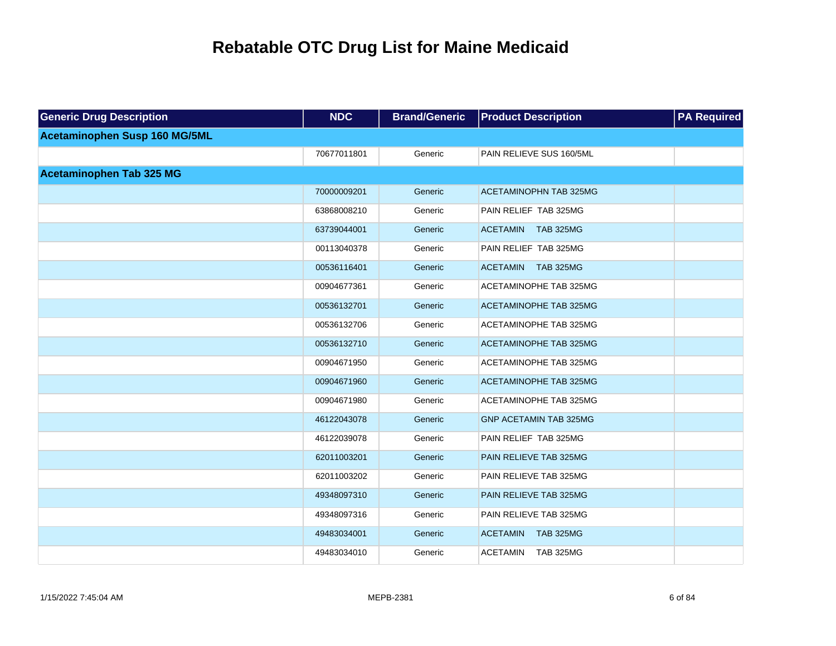| <b>Generic Drug Description</b> | <b>NDC</b>  | <b>Brand/Generic</b> | <b>Product Description</b>          | <b>PA Required</b> |
|---------------------------------|-------------|----------------------|-------------------------------------|--------------------|
| Acetaminophen Susp 160 MG/5ML   |             |                      |                                     |                    |
|                                 | 70677011801 | Generic              | PAIN RELIEVE SUS 160/5ML            |                    |
| <b>Acetaminophen Tab 325 MG</b> |             |                      |                                     |                    |
|                                 | 70000009201 | Generic              | <b>ACETAMINOPHN TAB 325MG</b>       |                    |
|                                 | 63868008210 | Generic              | PAIN RELIEF TAB 325MG               |                    |
|                                 | 63739044001 | Generic              | ACETAMIN TAB 325MG                  |                    |
|                                 | 00113040378 | Generic              | PAIN RELIEF TAB 325MG               |                    |
|                                 | 00536116401 | Generic              | ACETAMIN TAB 325MG                  |                    |
|                                 | 00904677361 | Generic              | <b>ACETAMINOPHE TAB 325MG</b>       |                    |
|                                 | 00536132701 | Generic              | <b>ACETAMINOPHE TAB 325MG</b>       |                    |
|                                 | 00536132706 | Generic              | ACETAMINOPHE TAB 325MG              |                    |
|                                 | 00536132710 | Generic              | <b>ACETAMINOPHE TAB 325MG</b>       |                    |
|                                 | 00904671950 | Generic              | <b>ACETAMINOPHE TAB 325MG</b>       |                    |
|                                 | 00904671960 | Generic              | <b>ACETAMINOPHE TAB 325MG</b>       |                    |
|                                 | 00904671980 | Generic              | <b>ACETAMINOPHE TAB 325MG</b>       |                    |
|                                 | 46122043078 | Generic              | <b>GNP ACETAMIN TAB 325MG</b>       |                    |
|                                 | 46122039078 | Generic              | PAIN RELIEF TAB 325MG               |                    |
|                                 | 62011003201 | Generic              | <b>PAIN RELIEVE TAB 325MG</b>       |                    |
|                                 | 62011003202 | Generic              | PAIN RELIEVE TAB 325MG              |                    |
|                                 | 49348097310 | Generic              | PAIN RELIEVE TAB 325MG              |                    |
|                                 | 49348097316 | Generic              | PAIN RELIEVE TAB 325MG              |                    |
|                                 | 49483034001 | Generic              | <b>TAB 325MG</b><br><b>ACETAMIN</b> |                    |
|                                 | 49483034010 | Generic              | <b>TAB 325MG</b><br>ACETAMIN        |                    |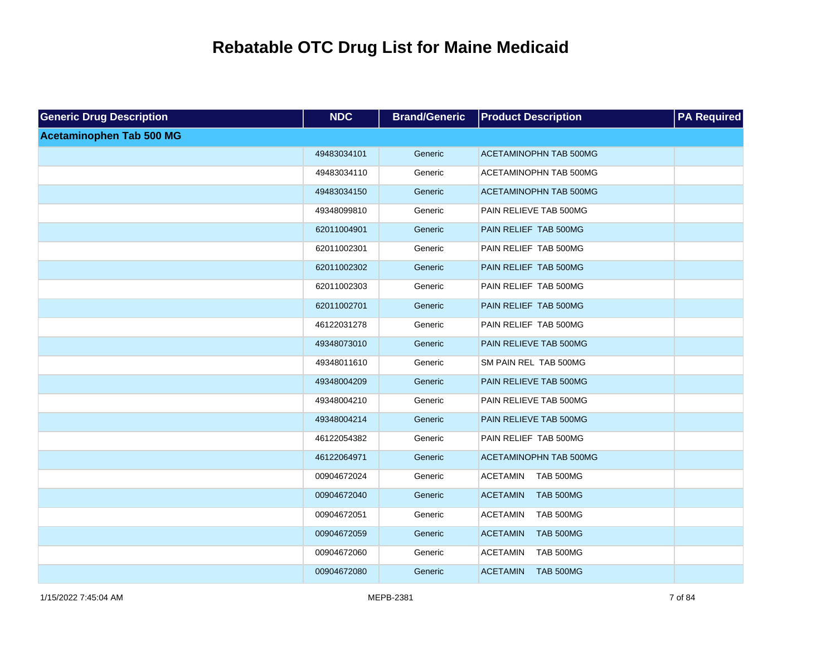| <b>Generic Drug Description</b> | <b>NDC</b>  | <b>Brand/Generic</b> | <b>Product Description</b>          | <b>PA Required</b> |
|---------------------------------|-------------|----------------------|-------------------------------------|--------------------|
| <b>Acetaminophen Tab 500 MG</b> |             |                      |                                     |                    |
|                                 | 49483034101 | Generic              | <b>ACETAMINOPHN TAB 500MG</b>       |                    |
|                                 | 49483034110 | Generic              | ACETAMINOPHN TAB 500MG              |                    |
|                                 | 49483034150 | Generic              | <b>ACETAMINOPHN TAB 500MG</b>       |                    |
|                                 | 49348099810 | Generic              | PAIN RELIEVE TAB 500MG              |                    |
|                                 | 62011004901 | Generic              | PAIN RELIEF TAB 500MG               |                    |
|                                 | 62011002301 | Generic              | PAIN RELIEF TAB 500MG               |                    |
|                                 | 62011002302 | Generic              | PAIN RELIEF TAB 500MG               |                    |
|                                 | 62011002303 | Generic              | PAIN RELIEF TAB 500MG               |                    |
|                                 | 62011002701 | Generic              | PAIN RELIEF TAB 500MG               |                    |
|                                 | 46122031278 | Generic              | PAIN RELIEF TAB 500MG               |                    |
|                                 | 49348073010 | Generic              | PAIN RELIEVE TAB 500MG              |                    |
|                                 | 49348011610 | Generic              | SM PAIN REL TAB 500MG               |                    |
|                                 | 49348004209 | Generic              | PAIN RELIEVE TAB 500MG              |                    |
|                                 | 49348004210 | Generic              | PAIN RELIEVE TAB 500MG              |                    |
|                                 | 49348004214 | Generic              | PAIN RELIEVE TAB 500MG              |                    |
|                                 | 46122054382 | Generic              | PAIN RELIEF TAB 500MG               |                    |
|                                 | 46122064971 | Generic              | <b>ACETAMINOPHN TAB 500MG</b>       |                    |
|                                 | 00904672024 | Generic              | <b>ACETAMIN</b><br>TAB 500MG        |                    |
|                                 | 00904672040 | Generic              | <b>ACETAMIN</b><br><b>TAB 500MG</b> |                    |
|                                 | 00904672051 | Generic              | <b>ACETAMIN</b><br>TAB 500MG        |                    |
|                                 | 00904672059 | Generic              | <b>ACETAMIN</b><br><b>TAB 500MG</b> |                    |
|                                 | 00904672060 | Generic              | <b>ACETAMIN</b><br>TAB 500MG        |                    |
|                                 | 00904672080 | Generic              | <b>ACETAMIN</b><br><b>TAB 500MG</b> |                    |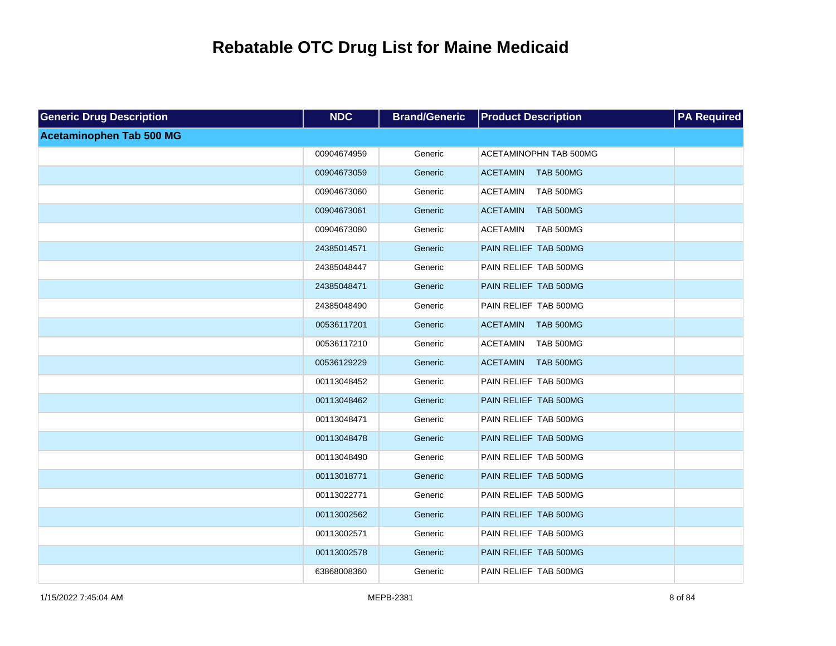| <b>Generic Drug Description</b> | <b>NDC</b>  | <b>Brand/Generic</b> | <b>Product Description</b>          | <b>PA Required</b> |
|---------------------------------|-------------|----------------------|-------------------------------------|--------------------|
| <b>Acetaminophen Tab 500 MG</b> |             |                      |                                     |                    |
|                                 | 00904674959 | Generic              | ACETAMINOPHN TAB 500MG              |                    |
|                                 | 00904673059 | Generic              | <b>ACETAMIN</b><br><b>TAB 500MG</b> |                    |
|                                 | 00904673060 | Generic              | <b>ACETAMIN</b><br><b>TAB 500MG</b> |                    |
|                                 | 00904673061 | Generic              | <b>TAB 500MG</b><br><b>ACETAMIN</b> |                    |
|                                 | 00904673080 | Generic              | <b>ACETAMIN</b><br><b>TAB 500MG</b> |                    |
|                                 | 24385014571 | Generic              | PAIN RELIEF TAB 500MG               |                    |
|                                 | 24385048447 | Generic              | PAIN RELIEF TAB 500MG               |                    |
|                                 | 24385048471 | Generic              | PAIN RELIEF TAB 500MG               |                    |
|                                 | 24385048490 | Generic              | PAIN RELIEF TAB 500MG               |                    |
|                                 | 00536117201 | Generic              | <b>ACETAMIN</b><br><b>TAB 500MG</b> |                    |
|                                 | 00536117210 | Generic              | <b>ACETAMIN</b><br><b>TAB 500MG</b> |                    |
|                                 | 00536129229 | Generic              | <b>ACETAMIN</b><br><b>TAB 500MG</b> |                    |
|                                 | 00113048452 | Generic              | PAIN RELIEF TAB 500MG               |                    |
|                                 | 00113048462 | Generic              | PAIN RELIEF TAB 500MG               |                    |
|                                 | 00113048471 | Generic              | PAIN RELIEF TAB 500MG               |                    |
|                                 | 00113048478 | Generic              | PAIN RELIEF TAB 500MG               |                    |
|                                 | 00113048490 | Generic              | PAIN RELIEF TAB 500MG               |                    |
|                                 | 00113018771 | Generic              | PAIN RELIEF TAB 500MG               |                    |
|                                 | 00113022771 | Generic              | PAIN RELIEF TAB 500MG               |                    |
|                                 | 00113002562 | Generic              | PAIN RELIEF TAB 500MG               |                    |
|                                 | 00113002571 | Generic              | PAIN RELIEF TAB 500MG               |                    |
|                                 | 00113002578 | Generic              | PAIN RELIEF TAB 500MG               |                    |
|                                 | 63868008360 | Generic              | PAIN RELIEF TAB 500MG               |                    |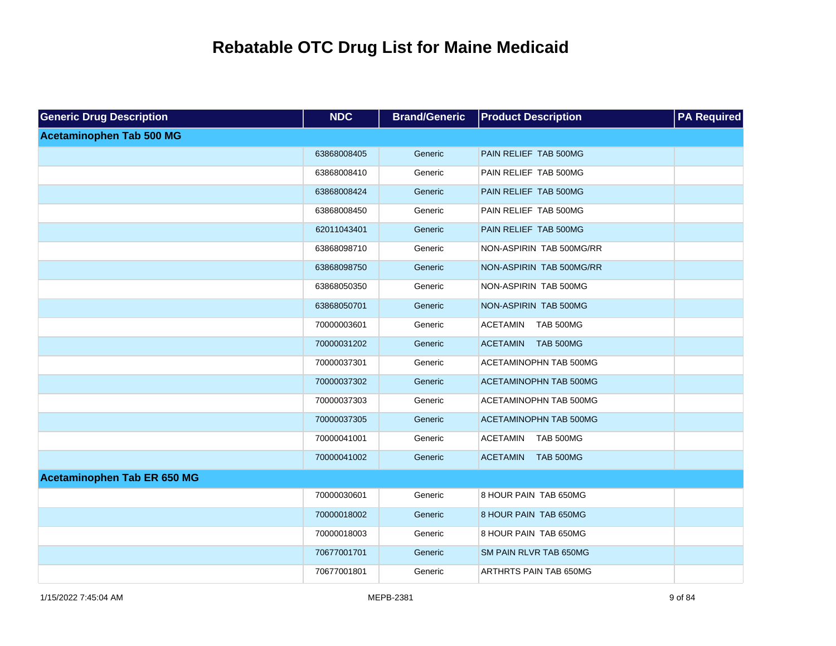| <b>Generic Drug Description</b> | <b>NDC</b>  | <b>Brand/Generic</b> | <b>Product Description</b>          | <b>PA Required</b> |
|---------------------------------|-------------|----------------------|-------------------------------------|--------------------|
| <b>Acetaminophen Tab 500 MG</b> |             |                      |                                     |                    |
|                                 | 63868008405 | Generic              | PAIN RELIEF TAB 500MG               |                    |
|                                 | 63868008410 | Generic              | PAIN RELIEF TAB 500MG               |                    |
|                                 | 63868008424 | Generic              | PAIN RELIEF TAB 500MG               |                    |
|                                 | 63868008450 | Generic              | PAIN RELIEF TAB 500MG               |                    |
|                                 | 62011043401 | Generic              | PAIN RELIEF TAB 500MG               |                    |
|                                 | 63868098710 | Generic              | NON-ASPIRIN TAB 500MG/RR            |                    |
|                                 | 63868098750 | Generic              | NON-ASPIRIN TAB 500MG/RR            |                    |
|                                 | 63868050350 | Generic              | NON-ASPIRIN TAB 500MG               |                    |
|                                 | 63868050701 | Generic              | NON-ASPIRIN TAB 500MG               |                    |
|                                 | 70000003601 | Generic              | <b>ACETAMIN</b><br>TAB 500MG        |                    |
|                                 | 70000031202 | Generic              | <b>ACETAMIN</b><br><b>TAB 500MG</b> |                    |
|                                 | 70000037301 | Generic              | ACETAMINOPHN TAB 500MG              |                    |
|                                 | 70000037302 | Generic              | <b>ACETAMINOPHN TAB 500MG</b>       |                    |
|                                 | 70000037303 | Generic              | ACETAMINOPHN TAB 500MG              |                    |
|                                 | 70000037305 | Generic              | ACETAMINOPHN TAB 500MG              |                    |
|                                 | 70000041001 | Generic              | <b>ACETAMIN</b><br><b>TAB 500MG</b> |                    |
|                                 | 70000041002 | Generic              | <b>ACETAMIN</b><br><b>TAB 500MG</b> |                    |
| Acetaminophen Tab ER 650 MG     |             |                      |                                     |                    |
|                                 | 70000030601 | Generic              | 8 HOUR PAIN TAB 650MG               |                    |
|                                 | 70000018002 | Generic              | 8 HOUR PAIN TAB 650MG               |                    |
|                                 | 70000018003 | Generic              | 8 HOUR PAIN TAB 650MG               |                    |
|                                 | 70677001701 | Generic              | SM PAIN RLVR TAB 650MG              |                    |
|                                 | 70677001801 | Generic              | ARTHRTS PAIN TAB 650MG              |                    |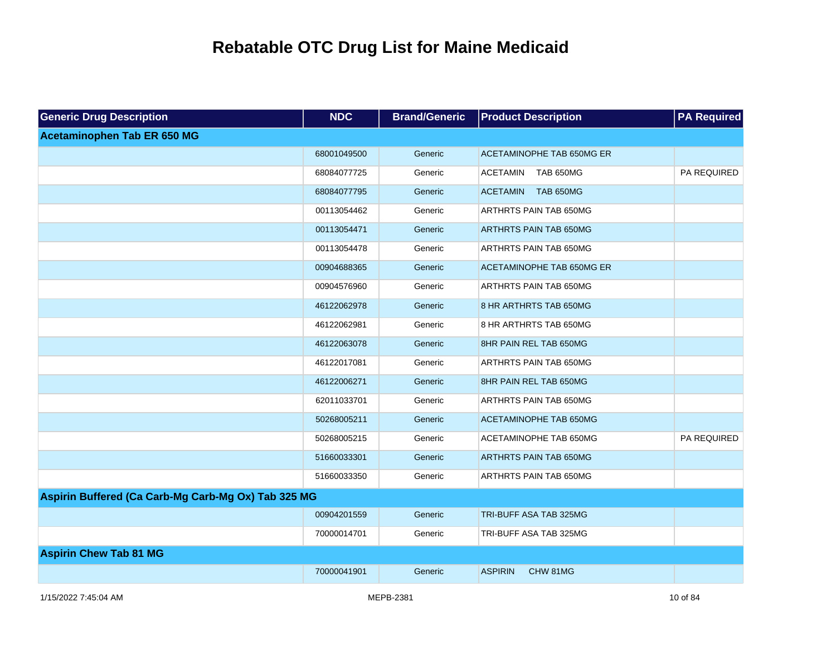| <b>Generic Drug Description</b>                     | <b>NDC</b>  | <b>Brand/Generic</b> | <b>Product Description</b>       | <b>PA Required</b> |
|-----------------------------------------------------|-------------|----------------------|----------------------------------|--------------------|
| Acetaminophen Tab ER 650 MG                         |             |                      |                                  |                    |
|                                                     | 68001049500 | Generic              | <b>ACETAMINOPHE TAB 650MG ER</b> |                    |
|                                                     | 68084077725 | Generic              | <b>ACETAMIN</b><br>TAB 650MG     | <b>PA REQUIRED</b> |
|                                                     | 68084077795 | Generic              | ACETAMIN TAB 650MG               |                    |
|                                                     | 00113054462 | Generic              | ARTHRTS PAIN TAB 650MG           |                    |
|                                                     | 00113054471 | Generic              | <b>ARTHRTS PAIN TAB 650MG</b>    |                    |
|                                                     | 00113054478 | Generic              | <b>ARTHRTS PAIN TAB 650MG</b>    |                    |
|                                                     | 00904688365 | Generic              | ACETAMINOPHE TAB 650MG ER        |                    |
|                                                     | 00904576960 | Generic              | <b>ARTHRTS PAIN TAB 650MG</b>    |                    |
|                                                     | 46122062978 | Generic              | 8 HR ARTHRTS TAB 650MG           |                    |
|                                                     | 46122062981 | Generic              | 8 HR ARTHRTS TAB 650MG           |                    |
|                                                     | 46122063078 | Generic              | 8HR PAIN REL TAB 650MG           |                    |
|                                                     | 46122017081 | Generic              | ARTHRTS PAIN TAB 650MG           |                    |
|                                                     | 46122006271 | Generic              | 8HR PAIN REL TAB 650MG           |                    |
|                                                     | 62011033701 | Generic              | <b>ARTHRTS PAIN TAB 650MG</b>    |                    |
|                                                     | 50268005211 | Generic              | <b>ACETAMINOPHE TAB 650MG</b>    |                    |
|                                                     | 50268005215 | Generic              | ACETAMINOPHE TAB 650MG           | PA REQUIRED        |
|                                                     | 51660033301 | Generic              | ARTHRTS PAIN TAB 650MG           |                    |
|                                                     | 51660033350 | Generic              | ARTHRTS PAIN TAB 650MG           |                    |
| Aspirin Buffered (Ca Carb-Mg Carb-Mg Ox) Tab 325 MG |             |                      |                                  |                    |
|                                                     | 00904201559 | Generic              | TRI-BUFF ASA TAB 325MG           |                    |
|                                                     | 70000014701 | Generic              | TRI-BUFF ASA TAB 325MG           |                    |
| <b>Aspirin Chew Tab 81 MG</b>                       |             |                      |                                  |                    |
|                                                     | 70000041901 | Generic              | <b>ASPIRIN</b><br>CHW 81MG       |                    |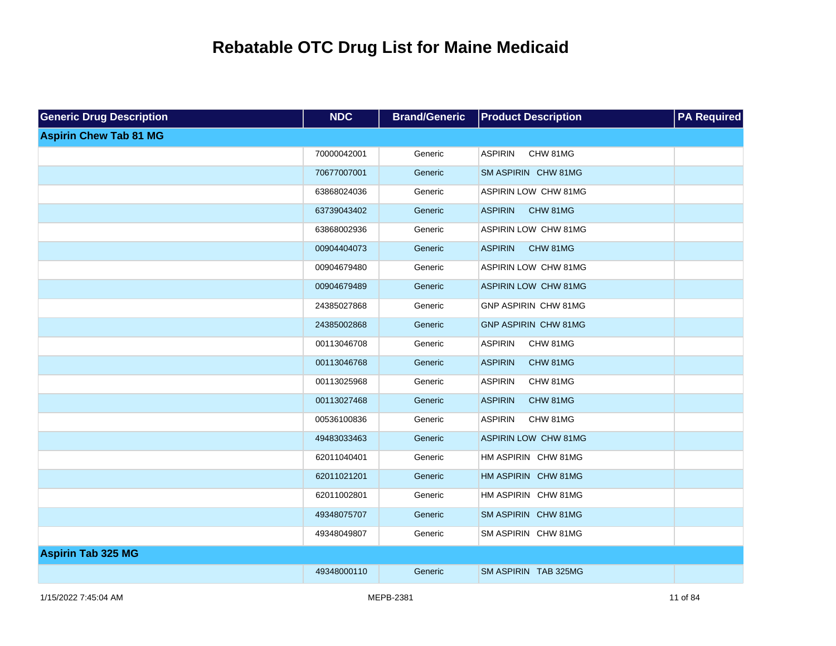| <b>Generic Drug Description</b> | <b>NDC</b>  | <b>Brand/Generic</b> | <b>Product Description</b>  | <b>PA</b> Required |
|---------------------------------|-------------|----------------------|-----------------------------|--------------------|
| <b>Aspirin Chew Tab 81 MG</b>   |             |                      |                             |                    |
|                                 | 70000042001 | Generic              | <b>ASPIRIN</b><br>CHW 81MG  |                    |
|                                 | 70677007001 | Generic              | SM ASPIRIN CHW 81MG         |                    |
|                                 | 63868024036 | Generic              | ASPIRIN LOW CHW 81MG        |                    |
|                                 | 63739043402 | Generic              | <b>ASPIRIN</b><br>CHW 81MG  |                    |
|                                 | 63868002936 | Generic              | ASPIRIN LOW CHW 81MG        |                    |
|                                 | 00904404073 | Generic              | <b>ASPIRIN</b><br>CHW 81MG  |                    |
|                                 | 00904679480 | Generic              | ASPIRIN LOW CHW 81MG        |                    |
|                                 | 00904679489 | Generic              | <b>ASPIRIN LOW CHW 81MG</b> |                    |
|                                 | 24385027868 | Generic              | GNP ASPIRIN CHW 81MG        |                    |
|                                 | 24385002868 | Generic              | <b>GNP ASPIRIN CHW 81MG</b> |                    |
|                                 | 00113046708 | Generic              | <b>ASPIRIN</b><br>CHW 81MG  |                    |
|                                 | 00113046768 | Generic              | <b>ASPIRIN</b><br>CHW 81MG  |                    |
|                                 | 00113025968 | Generic              | <b>ASPIRIN</b><br>CHW 81MG  |                    |
|                                 | 00113027468 | Generic              | <b>ASPIRIN</b><br>CHW 81MG  |                    |
|                                 | 00536100836 | Generic              | <b>ASPIRIN</b><br>CHW 81MG  |                    |
|                                 | 49483033463 | Generic              | <b>ASPIRIN LOW CHW 81MG</b> |                    |
|                                 | 62011040401 | Generic              | HM ASPIRIN CHW 81MG         |                    |
|                                 | 62011021201 | Generic              | HM ASPIRIN CHW 81MG         |                    |
|                                 | 62011002801 | Generic              | HM ASPIRIN CHW 81MG         |                    |
|                                 | 49348075707 | Generic              | SM ASPIRIN CHW 81MG         |                    |
|                                 | 49348049807 | Generic              | SM ASPIRIN CHW 81MG         |                    |
| <b>Aspirin Tab 325 MG</b>       |             |                      |                             |                    |
|                                 | 49348000110 | Generic              | SM ASPIRIN TAB 325MG        |                    |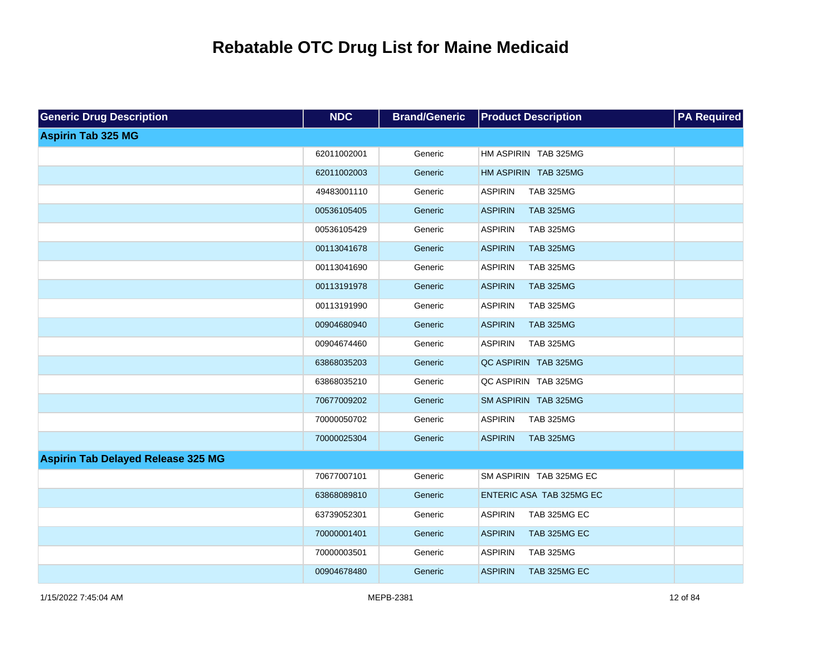| <b>Generic Drug Description</b>           | <b>NDC</b>  | <b>Brand/Generic</b> | <b>Product Description</b>         | <b>PA Required</b> |
|-------------------------------------------|-------------|----------------------|------------------------------------|--------------------|
| <b>Aspirin Tab 325 MG</b>                 |             |                      |                                    |                    |
|                                           | 62011002001 | Generic              | HM ASPIRIN TAB 325MG               |                    |
|                                           | 62011002003 | Generic              | HM ASPIRIN TAB 325MG               |                    |
|                                           | 49483001110 | Generic              | <b>ASPIRIN</b><br><b>TAB 325MG</b> |                    |
|                                           | 00536105405 | Generic              | <b>ASPIRIN</b><br><b>TAB 325MG</b> |                    |
|                                           | 00536105429 | Generic              | <b>ASPIRIN</b><br><b>TAB 325MG</b> |                    |
|                                           | 00113041678 | Generic              | <b>ASPIRIN</b><br><b>TAB 325MG</b> |                    |
|                                           | 00113041690 | Generic              | <b>ASPIRIN</b><br><b>TAB 325MG</b> |                    |
|                                           | 00113191978 | Generic              | <b>ASPIRIN</b><br><b>TAB 325MG</b> |                    |
|                                           | 00113191990 | Generic              | <b>ASPIRIN</b><br><b>TAB 325MG</b> |                    |
|                                           | 00904680940 | Generic              | <b>ASPIRIN</b><br><b>TAB 325MG</b> |                    |
|                                           | 00904674460 | Generic              | <b>ASPIRIN</b><br><b>TAB 325MG</b> |                    |
|                                           | 63868035203 | Generic              | QC ASPIRIN TAB 325MG               |                    |
|                                           | 63868035210 | Generic              | QC ASPIRIN TAB 325MG               |                    |
|                                           | 70677009202 | Generic              | SM ASPIRIN TAB 325MG               |                    |
|                                           | 70000050702 | Generic              | <b>ASPIRIN</b><br><b>TAB 325MG</b> |                    |
|                                           | 70000025304 | Generic              | <b>ASPIRIN</b><br><b>TAB 325MG</b> |                    |
| <b>Aspirin Tab Delayed Release 325 MG</b> |             |                      |                                    |                    |
|                                           | 70677007101 | Generic              | SM ASPIRIN TAB 325MG EC            |                    |
|                                           | 63868089810 | Generic              | ENTERIC ASA TAB 325MG EC           |                    |
|                                           | 63739052301 | Generic              | <b>ASPIRIN</b><br>TAB 325MG EC     |                    |
|                                           | 70000001401 | Generic              | <b>ASPIRIN</b><br>TAB 325MG EC     |                    |
|                                           | 70000003501 | Generic              | <b>TAB 325MG</b><br><b>ASPIRIN</b> |                    |
|                                           | 00904678480 | Generic              | <b>ASPIRIN</b><br>TAB 325MG EC     |                    |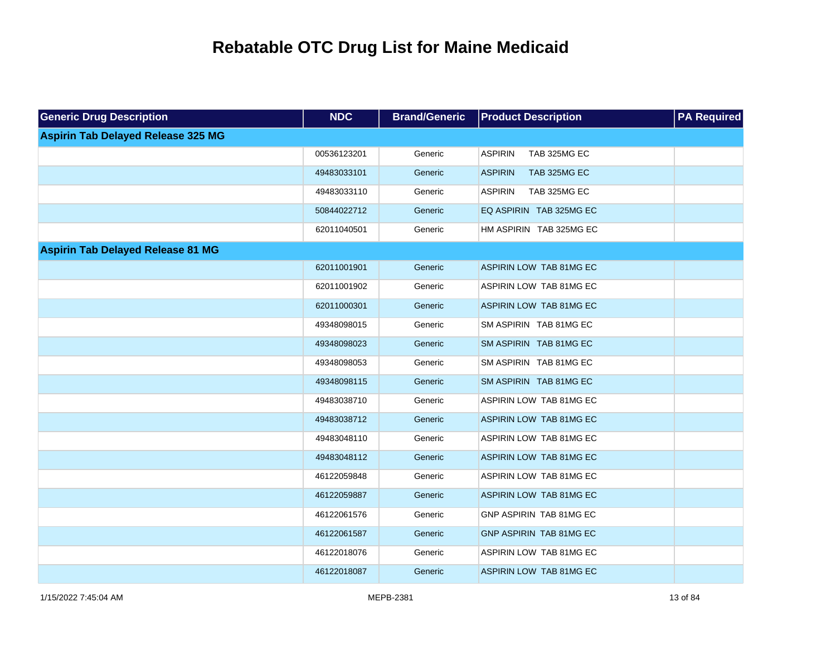| <b>Generic Drug Description</b>           | <b>NDC</b>  | <b>Brand/Generic</b> | <b>Product Description</b>     | <b>PA Required</b> |
|-------------------------------------------|-------------|----------------------|--------------------------------|--------------------|
| <b>Aspirin Tab Delayed Release 325 MG</b> |             |                      |                                |                    |
|                                           | 00536123201 | Generic              | <b>ASPIRIN</b><br>TAB 325MG EC |                    |
|                                           | 49483033101 | Generic              | <b>ASPIRIN</b><br>TAB 325MG EC |                    |
|                                           | 49483033110 | Generic              | <b>ASPIRIN</b><br>TAB 325MG EC |                    |
|                                           | 50844022712 | Generic              | EQ ASPIRIN TAB 325MG EC        |                    |
|                                           | 62011040501 | Generic              | HM ASPIRIN TAB 325MG EC        |                    |
| <b>Aspirin Tab Delayed Release 81 MG</b>  |             |                      |                                |                    |
|                                           | 62011001901 | Generic              | ASPIRIN LOW TAB 81MG EC        |                    |
|                                           | 62011001902 | Generic              | ASPIRIN LOW TAB 81MG EC        |                    |
|                                           | 62011000301 | Generic              | ASPIRIN LOW TAB 81MG EC        |                    |
|                                           | 49348098015 | Generic              | SM ASPIRIN TAB 81MG EC         |                    |
|                                           | 49348098023 | Generic              | SM ASPIRIN TAB 81MG EC         |                    |
|                                           | 49348098053 | Generic              | SM ASPIRIN TAB 81MG EC         |                    |
|                                           | 49348098115 | Generic              | SM ASPIRIN TAB 81MG EC         |                    |
|                                           | 49483038710 | Generic              | ASPIRIN LOW TAB 81MG EC        |                    |
|                                           | 49483038712 | Generic              | ASPIRIN LOW TAB 81MG EC        |                    |
|                                           | 49483048110 | Generic              | ASPIRIN LOW TAB 81MG EC        |                    |
|                                           | 49483048112 | Generic              | ASPIRIN LOW TAB 81MG EC        |                    |
|                                           | 46122059848 | Generic              | ASPIRIN LOW TAB 81MG EC        |                    |
|                                           | 46122059887 | Generic              | ASPIRIN LOW TAB 81MG EC        |                    |
|                                           | 46122061576 | Generic              | GNP ASPIRIN TAB 81MG EC        |                    |
|                                           | 46122061587 | Generic              | GNP ASPIRIN TAB 81MG EC        |                    |
|                                           | 46122018076 | Generic              | ASPIRIN LOW TAB 81MG EC        |                    |
|                                           | 46122018087 | Generic              | ASPIRIN LOW TAB 81MG EC        |                    |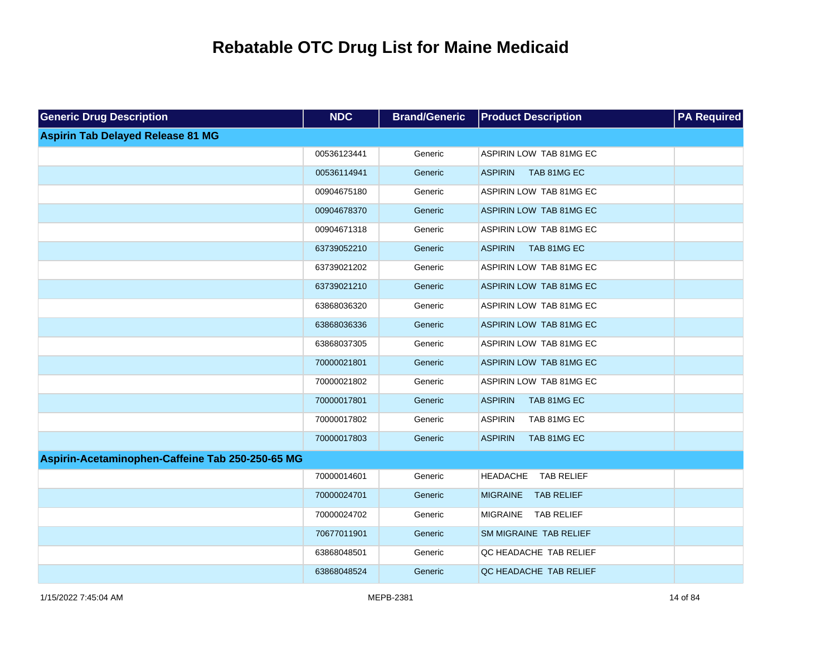| <b>Generic Drug Description</b>                  | <b>NDC</b>  | <b>Brand/Generic</b> | <b>Product Description</b>           | <b>PA Required</b> |
|--------------------------------------------------|-------------|----------------------|--------------------------------------|--------------------|
| <b>Aspirin Tab Delayed Release 81 MG</b>         |             |                      |                                      |                    |
|                                                  | 00536123441 | Generic              | ASPIRIN LOW TAB 81MG EC              |                    |
|                                                  | 00536114941 | Generic              | TAB 81MG EC<br><b>ASPIRIN</b>        |                    |
|                                                  | 00904675180 | Generic              | ASPIRIN LOW TAB 81MG EC              |                    |
|                                                  | 00904678370 | Generic              | ASPIRIN LOW TAB 81MG EC              |                    |
|                                                  | 00904671318 | Generic              | ASPIRIN LOW TAB 81MG EC              |                    |
|                                                  | 63739052210 | Generic              | <b>ASPIRIN</b><br>TAB 81MG EC        |                    |
|                                                  | 63739021202 | Generic              | ASPIRIN LOW TAB 81MG EC              |                    |
|                                                  | 63739021210 | Generic              | ASPIRIN LOW TAB 81MG EC              |                    |
|                                                  | 63868036320 | Generic              | ASPIRIN LOW TAB 81MG EC              |                    |
|                                                  | 63868036336 | Generic              | ASPIRIN LOW TAB 81MG EC              |                    |
|                                                  | 63868037305 | Generic              | ASPIRIN LOW TAB 81MG EC              |                    |
|                                                  | 70000021801 | Generic              | ASPIRIN LOW TAB 81MG EC              |                    |
|                                                  | 70000021802 | Generic              | ASPIRIN LOW TAB 81MG EC              |                    |
|                                                  | 70000017801 | Generic              | <b>ASPIRIN</b><br>TAB 81MG EC        |                    |
|                                                  | 70000017802 | Generic              | <b>ASPIRIN</b><br>TAB 81MG EC        |                    |
|                                                  | 70000017803 | Generic              | <b>ASPIRIN</b><br>TAB 81MG EC        |                    |
| Aspirin-Acetaminophen-Caffeine Tab 250-250-65 MG |             |                      |                                      |                    |
|                                                  | 70000014601 | Generic              | <b>HEADACHE</b><br><b>TAB RELIEF</b> |                    |
|                                                  | 70000024701 | Generic              | MIGRAINE TAB RELIEF                  |                    |
|                                                  | 70000024702 | Generic              | MIGRAINE TAB RELIEF                  |                    |
|                                                  | 70677011901 | Generic              | SM MIGRAINE TAB RELIEF               |                    |
|                                                  | 63868048501 | Generic              | QC HEADACHE TAB RELIEF               |                    |
|                                                  | 63868048524 | Generic              | QC HEADACHE TAB RELIEF               |                    |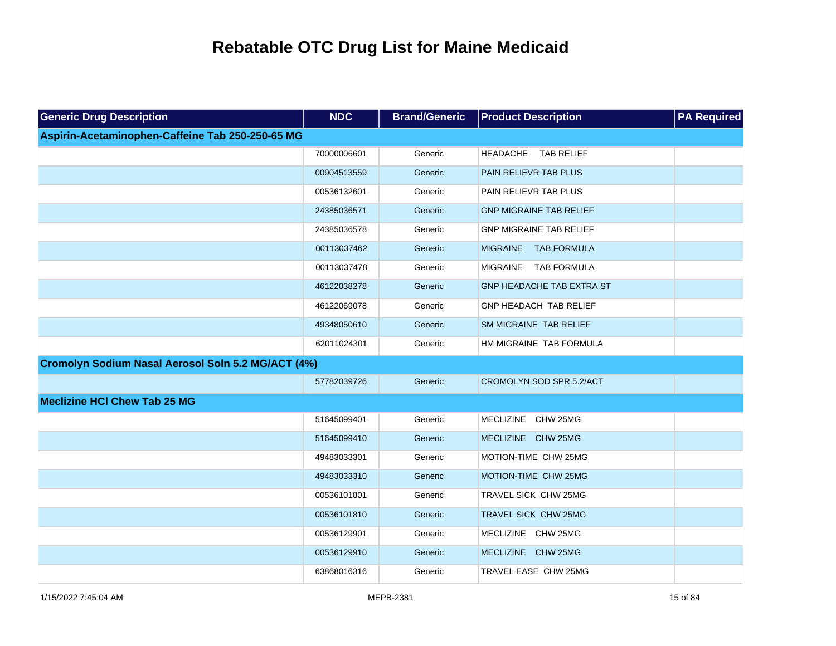| <b>Generic Drug Description</b>                    | <b>NDC</b>  | <b>Brand/Generic</b> | <b>Product Description</b>            | <b>PA Required</b> |
|----------------------------------------------------|-------------|----------------------|---------------------------------------|--------------------|
| Aspirin-Acetaminophen-Caffeine Tab 250-250-65 MG   |             |                      |                                       |                    |
|                                                    | 70000006601 | Generic              | HEADACHE TAB RELIEF                   |                    |
|                                                    | 00904513559 | Generic              | PAIN RELIEVR TAB PLUS                 |                    |
|                                                    | 00536132601 | Generic              | PAIN RELIEVR TAB PLUS                 |                    |
|                                                    | 24385036571 | Generic              | <b>GNP MIGRAINE TAB RELIEF</b>        |                    |
|                                                    | 24385036578 | Generic              | <b>GNP MIGRAINE TAB RELIEF</b>        |                    |
|                                                    | 00113037462 | Generic              | <b>TAB FORMULA</b><br><b>MIGRAINE</b> |                    |
|                                                    | 00113037478 | Generic              | MIGRAINE TAB FORMULA                  |                    |
|                                                    | 46122038278 | Generic              | GNP HEADACHE TAB EXTRA ST             |                    |
|                                                    | 46122069078 | Generic              | GNP HEADACH TAB RELIEF                |                    |
|                                                    | 49348050610 | Generic              | SM MIGRAINE TAB RELIEF                |                    |
|                                                    | 62011024301 | Generic              | HM MIGRAINE TAB FORMULA               |                    |
| Cromolyn Sodium Nasal Aerosol Soln 5.2 MG/ACT (4%) |             |                      |                                       |                    |
|                                                    | 57782039726 | Generic              | CROMOLYN SOD SPR 5.2/ACT              |                    |
| <b>Meclizine HCI Chew Tab 25 MG</b>                |             |                      |                                       |                    |
|                                                    | 51645099401 | Generic              | MECLIZINE CHW 25MG                    |                    |
|                                                    | 51645099410 | Generic              | MECLIZINE CHW 25MG                    |                    |
|                                                    | 49483033301 | Generic              | MOTION-TIME CHW 25MG                  |                    |
|                                                    | 49483033310 | Generic              | MOTION-TIME CHW 25MG                  |                    |
|                                                    | 00536101801 | Generic              | TRAVEL SICK CHW 25MG                  |                    |
|                                                    | 00536101810 | Generic              | TRAVEL SICK CHW 25MG                  |                    |
|                                                    | 00536129901 | Generic              | MECLIZINE CHW 25MG                    |                    |
|                                                    | 00536129910 | Generic              | MECLIZINE CHW 25MG                    |                    |
|                                                    | 63868016316 | Generic              | TRAVEL EASE CHW 25MG                  |                    |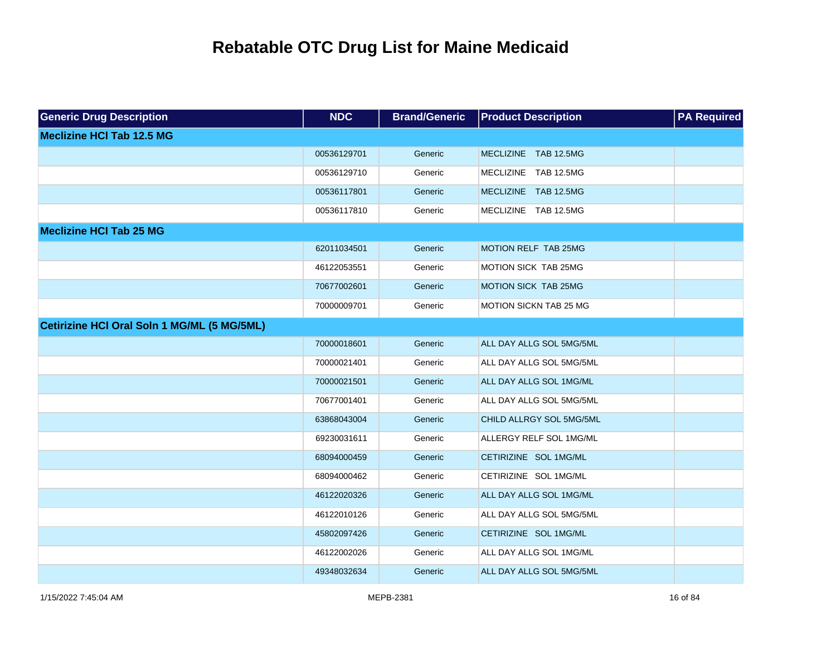| <b>Generic Drug Description</b>             | <b>NDC</b>  | <b>Brand/Generic</b> | <b>Product Description</b>    | <b>PA Required</b> |
|---------------------------------------------|-------------|----------------------|-------------------------------|--------------------|
| <b>Meclizine HCI Tab 12.5 MG</b>            |             |                      |                               |                    |
|                                             | 00536129701 | Generic              | MECLIZINE TAB 12.5MG          |                    |
|                                             | 00536129710 | Generic              | MECLIZINE TAB 12.5MG          |                    |
|                                             | 00536117801 | Generic              | MECLIZINE TAB 12.5MG          |                    |
|                                             | 00536117810 | Generic              | MECLIZINE TAB 12.5MG          |                    |
| <b>Meclizine HCI Tab 25 MG</b>              |             |                      |                               |                    |
|                                             | 62011034501 | Generic              | <b>MOTION RELF TAB 25MG</b>   |                    |
|                                             | 46122053551 | Generic              | MOTION SICK TAB 25MG          |                    |
|                                             | 70677002601 | Generic              | MOTION SICK TAB 25MG          |                    |
|                                             | 70000009701 | Generic              | <b>MOTION SICKN TAB 25 MG</b> |                    |
| Cetirizine HCI Oral Soln 1 MG/ML (5 MG/5ML) |             |                      |                               |                    |
|                                             | 70000018601 | Generic              | ALL DAY ALLG SOL 5MG/5ML      |                    |
|                                             | 70000021401 | Generic              | ALL DAY ALLG SOL 5MG/5ML      |                    |
|                                             | 70000021501 | Generic              | ALL DAY ALLG SOL 1MG/ML       |                    |
|                                             | 70677001401 | Generic              | ALL DAY ALLG SOL 5MG/5ML      |                    |
|                                             | 63868043004 | Generic              | CHILD ALLRGY SOL 5MG/5ML      |                    |
|                                             | 69230031611 | Generic              | ALLERGY RELF SOL 1MG/ML       |                    |
|                                             | 68094000459 | Generic              | CETIRIZINE SOL 1MG/ML         |                    |
|                                             | 68094000462 | Generic              | CETIRIZINE SOL 1MG/ML         |                    |
|                                             | 46122020326 | Generic              | ALL DAY ALLG SOL 1MG/ML       |                    |
|                                             | 46122010126 | Generic              | ALL DAY ALLG SOL 5MG/5ML      |                    |
|                                             | 45802097426 | Generic              | CETIRIZINE SOL 1MG/ML         |                    |
|                                             | 46122002026 | Generic              | ALL DAY ALLG SOL 1MG/ML       |                    |
|                                             | 49348032634 | Generic              | ALL DAY ALLG SOL 5MG/5ML      |                    |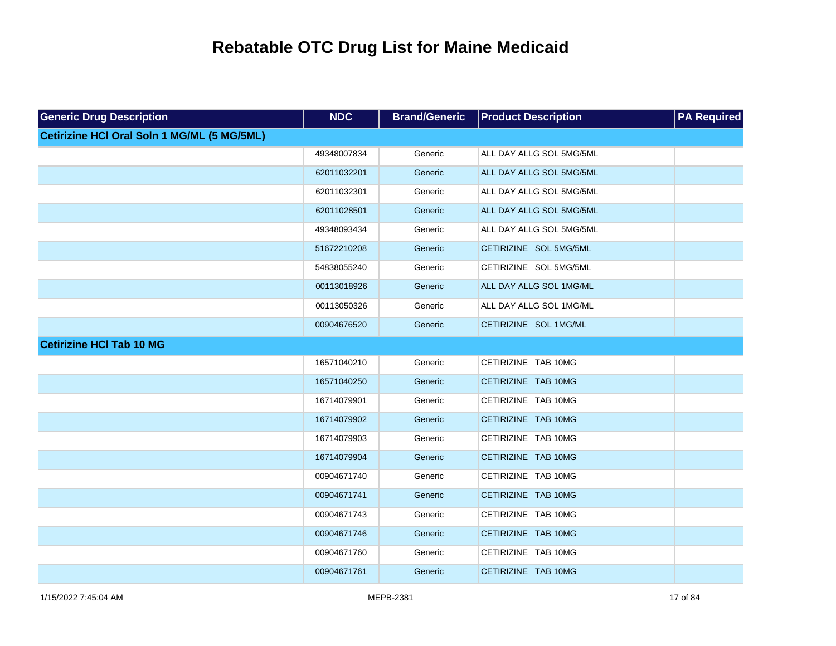| <b>Generic Drug Description</b>             | <b>NDC</b>  | <b>Brand/Generic</b> | <b>Product Description</b> | <b>PA Required</b> |
|---------------------------------------------|-------------|----------------------|----------------------------|--------------------|
| Cetirizine HCI Oral Soln 1 MG/ML (5 MG/5ML) |             |                      |                            |                    |
|                                             | 49348007834 | Generic              | ALL DAY ALLG SOL 5MG/5ML   |                    |
|                                             | 62011032201 | Generic              | ALL DAY ALLG SOL 5MG/5ML   |                    |
|                                             | 62011032301 | Generic              | ALL DAY ALLG SOL 5MG/5ML   |                    |
|                                             | 62011028501 | Generic              | ALL DAY ALLG SOL 5MG/5ML   |                    |
|                                             | 49348093434 | Generic              | ALL DAY ALLG SOL 5MG/5ML   |                    |
|                                             | 51672210208 | Generic              | CETIRIZINE SOL 5MG/5ML     |                    |
|                                             | 54838055240 | Generic              | CETIRIZINE SOL 5MG/5ML     |                    |
|                                             | 00113018926 | Generic              | ALL DAY ALLG SOL 1MG/ML    |                    |
|                                             | 00113050326 | Generic              | ALL DAY ALLG SOL 1MG/ML    |                    |
|                                             | 00904676520 | Generic              | CETIRIZINE SOL 1MG/ML      |                    |
| <b>Cetirizine HCI Tab 10 MG</b>             |             |                      |                            |                    |
|                                             | 16571040210 | Generic              | CETIRIZINE TAB 10MG        |                    |
|                                             | 16571040250 | Generic              | CETIRIZINE TAB 10MG        |                    |
|                                             | 16714079901 | Generic              | CETIRIZINE TAB 10MG        |                    |
|                                             | 16714079902 | Generic              | CETIRIZINE TAB 10MG        |                    |
|                                             | 16714079903 | Generic              | CETIRIZINE TAB 10MG        |                    |
|                                             | 16714079904 | Generic              | CETIRIZINE TAB 10MG        |                    |
|                                             | 00904671740 | Generic              | CETIRIZINE TAB 10MG        |                    |
|                                             | 00904671741 | Generic              | CETIRIZINE TAB 10MG        |                    |
|                                             | 00904671743 | Generic              | CETIRIZINE TAB 10MG        |                    |
|                                             | 00904671746 | Generic              | CETIRIZINE TAB 10MG        |                    |
|                                             | 00904671760 | Generic              | CETIRIZINE TAB 10MG        |                    |
|                                             | 00904671761 | Generic              | CETIRIZINE TAB 10MG        |                    |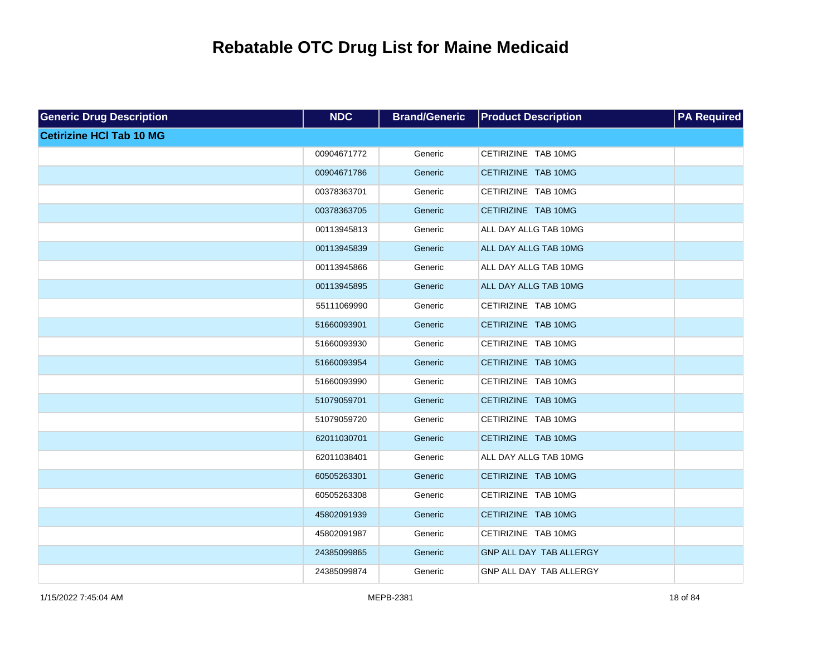| <b>Generic Drug Description</b> | <b>NDC</b>  | <b>Brand/Generic</b> | <b>Product Description</b> | <b>PA Required</b> |
|---------------------------------|-------------|----------------------|----------------------------|--------------------|
| <b>Cetirizine HCI Tab 10 MG</b> |             |                      |                            |                    |
|                                 | 00904671772 | Generic              | CETIRIZINE TAB 10MG        |                    |
|                                 | 00904671786 | Generic              | CETIRIZINE TAB 10MG        |                    |
|                                 | 00378363701 | Generic              | CETIRIZINE TAB 10MG        |                    |
|                                 | 00378363705 | Generic              | CETIRIZINE TAB 10MG        |                    |
|                                 | 00113945813 | Generic              | ALL DAY ALLG TAB 10MG      |                    |
|                                 | 00113945839 | Generic              | ALL DAY ALLG TAB 10MG      |                    |
|                                 | 00113945866 | Generic              | ALL DAY ALLG TAB 10MG      |                    |
|                                 | 00113945895 | Generic              | ALL DAY ALLG TAB 10MG      |                    |
|                                 | 55111069990 | Generic              | CETIRIZINE TAB 10MG        |                    |
|                                 | 51660093901 | Generic              | CETIRIZINE TAB 10MG        |                    |
|                                 | 51660093930 | Generic              | CETIRIZINE TAB 10MG        |                    |
|                                 | 51660093954 | Generic              | CETIRIZINE TAB 10MG        |                    |
|                                 | 51660093990 | Generic              | CETIRIZINE TAB 10MG        |                    |
|                                 | 51079059701 | Generic              | CETIRIZINE TAB 10MG        |                    |
|                                 | 51079059720 | Generic              | CETIRIZINE TAB 10MG        |                    |
|                                 | 62011030701 | Generic              | CETIRIZINE TAB 10MG        |                    |
|                                 | 62011038401 | Generic              | ALL DAY ALLG TAB 10MG      |                    |
|                                 | 60505263301 | Generic              | CETIRIZINE TAB 10MG        |                    |
|                                 | 60505263308 | Generic              | CETIRIZINE TAB 10MG        |                    |
|                                 | 45802091939 | Generic              | CETIRIZINE TAB 10MG        |                    |
|                                 | 45802091987 | Generic              | CETIRIZINE TAB 10MG        |                    |
|                                 | 24385099865 | Generic              | GNP ALL DAY TAB ALLERGY    |                    |
|                                 | 24385099874 | Generic              | GNP ALL DAY TAB ALLERGY    |                    |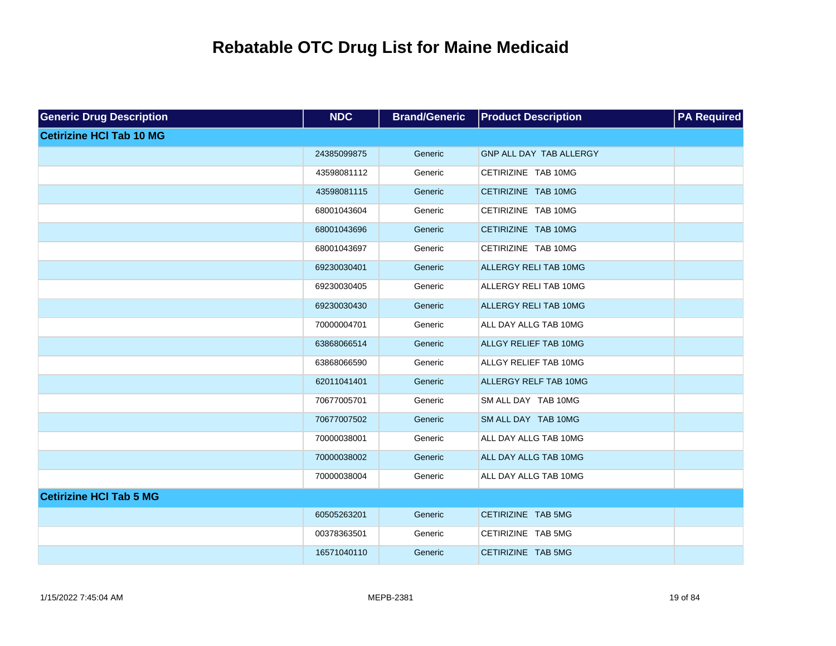| <b>Generic Drug Description</b> | <b>NDC</b>  | <b>Brand/Generic</b> | <b>Product Description</b>   | <b>PA Required</b> |
|---------------------------------|-------------|----------------------|------------------------------|--------------------|
| <b>Cetirizine HCI Tab 10 MG</b> |             |                      |                              |                    |
|                                 | 24385099875 | Generic              | GNP ALL DAY TAB ALLERGY      |                    |
|                                 | 43598081112 | Generic              | CETIRIZINE TAB 10MG          |                    |
|                                 | 43598081115 | Generic              | CETIRIZINE TAB 10MG          |                    |
|                                 | 68001043604 | Generic              | CETIRIZINE TAB 10MG          |                    |
|                                 | 68001043696 | Generic              | CETIRIZINE TAB 10MG          |                    |
|                                 | 68001043697 | Generic              | CETIRIZINE TAB 10MG          |                    |
|                                 | 69230030401 | Generic              | <b>ALLERGY RELI TAB 10MG</b> |                    |
|                                 | 69230030405 | Generic              | ALLERGY RELI TAB 10MG        |                    |
|                                 | 69230030430 | Generic              | ALLERGY RELI TAB 10MG        |                    |
|                                 | 70000004701 | Generic              | ALL DAY ALLG TAB 10MG        |                    |
|                                 | 63868066514 | Generic              | ALLGY RELIEF TAB 10MG        |                    |
|                                 | 63868066590 | Generic              | ALLGY RELIEF TAB 10MG        |                    |
|                                 | 62011041401 | Generic              | <b>ALLERGY RELF TAB 10MG</b> |                    |
|                                 | 70677005701 | Generic              | SM ALL DAY TAB 10MG          |                    |
|                                 | 70677007502 | Generic              | SM ALL DAY TAB 10MG          |                    |
|                                 | 70000038001 | Generic              | ALL DAY ALLG TAB 10MG        |                    |
|                                 | 70000038002 | Generic              | ALL DAY ALLG TAB 10MG        |                    |
|                                 | 70000038004 | Generic              | ALL DAY ALLG TAB 10MG        |                    |
| <b>Cetirizine HCI Tab 5 MG</b>  |             |                      |                              |                    |
|                                 | 60505263201 | Generic              | CETIRIZINE TAB 5MG           |                    |
|                                 | 00378363501 | Generic              | CETIRIZINE TAB 5MG           |                    |
|                                 | 16571040110 | Generic              | CETIRIZINE TAB 5MG           |                    |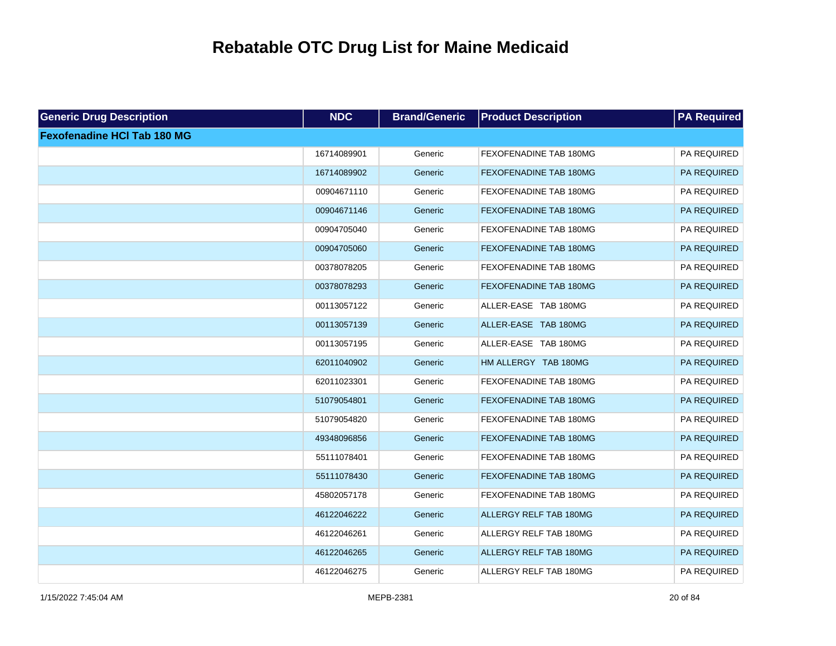| <b>Generic Drug Description</b>    | <b>NDC</b>  | <b>Brand/Generic</b> | <b>Product Description</b>    | <b>PA Required</b> |
|------------------------------------|-------------|----------------------|-------------------------------|--------------------|
| <b>Fexofenadine HCI Tab 180 MG</b> |             |                      |                               |                    |
|                                    | 16714089901 | Generic              | FEXOFENADINE TAB 180MG        | PA REQUIRED        |
|                                    | 16714089902 | Generic              | FEXOFENADINE TAB 180MG        | PA REQUIRED        |
|                                    | 00904671110 | Generic              | FEXOFENADINE TAB 180MG        | PA REQUIRED        |
|                                    | 00904671146 | Generic              | <b>FEXOFENADINE TAB 180MG</b> | PA REQUIRED        |
|                                    | 00904705040 | Generic              | FEXOFENADINE TAB 180MG        | PA REQUIRED        |
|                                    | 00904705060 | Generic              | FEXOFENADINE TAB 180MG        | PA REQUIRED        |
|                                    | 00378078205 | Generic              | FEXOFENADINE TAB 180MG        | PA REQUIRED        |
|                                    | 00378078293 | Generic              | FEXOFENADINE TAB 180MG        | PA REQUIRED        |
|                                    | 00113057122 | Generic              | ALLER-EASE TAB 180MG          | PA REQUIRED        |
|                                    | 00113057139 | Generic              | ALLER-EASE TAB 180MG          | PA REQUIRED        |
|                                    | 00113057195 | Generic              | ALLER-EASE TAB 180MG          | PA REQUIRED        |
|                                    | 62011040902 | Generic              | HM ALLERGY TAB 180MG          | PA REQUIRED        |
|                                    | 62011023301 | Generic              | FEXOFENADINE TAB 180MG        | PA REQUIRED        |
|                                    | 51079054801 | Generic              | FEXOFENADINE TAB 180MG        | PA REQUIRED        |
|                                    | 51079054820 | Generic              | FEXOFENADINE TAB 180MG        | PA REQUIRED        |
|                                    | 49348096856 | Generic              | FEXOFENADINE TAB 180MG        | PA REQUIRED        |
|                                    | 55111078401 | Generic              | FEXOFENADINE TAB 180MG        | PA REQUIRED        |
|                                    | 55111078430 | Generic              | FEXOFENADINE TAB 180MG        | PA REQUIRED        |
|                                    | 45802057178 | Generic              | FEXOFENADINE TAB 180MG        | PA REQUIRED        |
|                                    | 46122046222 | Generic              | ALLERGY RELF TAB 180MG        | PA REQUIRED        |
|                                    | 46122046261 | Generic              | ALLERGY RELF TAB 180MG        | PA REQUIRED        |
|                                    | 46122046265 | Generic              | ALLERGY RELF TAB 180MG        | PA REQUIRED        |
|                                    | 46122046275 | Generic              | ALLERGY RELF TAB 180MG        | PA REQUIRED        |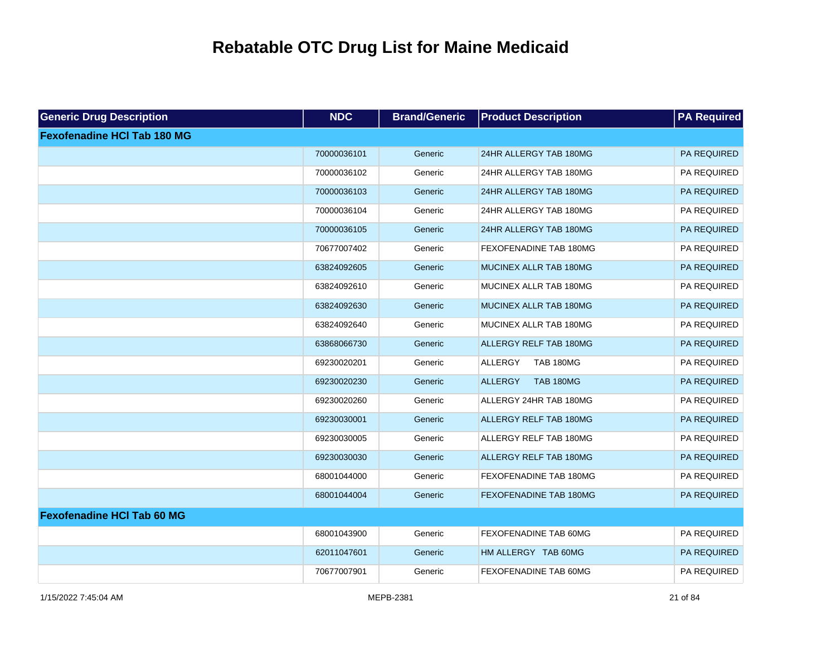| <b>Generic Drug Description</b>    | <b>NDC</b>  | <b>Brand/Generic</b> | <b>Product Description</b>         | <b>PA Required</b> |
|------------------------------------|-------------|----------------------|------------------------------------|--------------------|
| <b>Fexofenadine HCI Tab 180 MG</b> |             |                      |                                    |                    |
|                                    | 70000036101 | Generic              | 24HR ALLERGY TAB 180MG             | <b>PA REQUIRED</b> |
|                                    | 70000036102 | Generic              | 24HR ALLERGY TAB 180MG             | PA REQUIRED        |
|                                    | 70000036103 | Generic              | 24HR ALLERGY TAB 180MG             | PA REQUIRED        |
|                                    | 70000036104 | Generic              | 24HR ALLERGY TAB 180MG             | PA REQUIRED        |
|                                    | 70000036105 | Generic              | 24HR ALLERGY TAB 180MG             | PA REQUIRED        |
|                                    | 70677007402 | Generic              | <b>FEXOFENADINE TAB 180MG</b>      | PA REQUIRED        |
|                                    | 63824092605 | Generic              | MUCINEX ALLR TAB 180MG             | PA REQUIRED        |
|                                    | 63824092610 | Generic              | MUCINEX ALLR TAB 180MG             | PA REQUIRED        |
|                                    | 63824092630 | Generic              | MUCINEX ALLR TAB 180MG             | PA REQUIRED        |
|                                    | 63824092640 | Generic              | MUCINEX ALLR TAB 180MG             | PA REQUIRED        |
|                                    | 63868066730 | Generic              | <b>ALLERGY RELF TAB 180MG</b>      | PA REQUIRED        |
|                                    | 69230020201 | Generic              | <b>ALLERGY</b><br><b>TAB 180MG</b> | PA REQUIRED        |
|                                    | 69230020230 | Generic              | <b>ALLERGY</b><br><b>TAB 180MG</b> | PA REQUIRED        |
|                                    | 69230020260 | Generic              | ALLERGY 24HR TAB 180MG             | PA REQUIRED        |
|                                    | 69230030001 | Generic              | ALLERGY RELF TAB 180MG             | PA REQUIRED        |
|                                    | 69230030005 | Generic              | ALLERGY RELF TAB 180MG             | PA REQUIRED        |
|                                    | 69230030030 | Generic              | <b>ALLERGY RELF TAB 180MG</b>      | PA REQUIRED        |
|                                    | 68001044000 | Generic              | FEXOFENADINE TAB 180MG             | PA REQUIRED        |
|                                    | 68001044004 | Generic              | <b>FEXOFENADINE TAB 180MG</b>      | PA REQUIRED        |
| <b>Fexofenadine HCI Tab 60 MG</b>  |             |                      |                                    |                    |
|                                    | 68001043900 | Generic              | FEXOFENADINE TAB 60MG              | PA REQUIRED        |
|                                    | 62011047601 | Generic              | HM ALLERGY TAB 60MG                | PA REQUIRED        |
|                                    | 70677007901 | Generic              | FEXOFENADINE TAB 60MG              | PA REQUIRED        |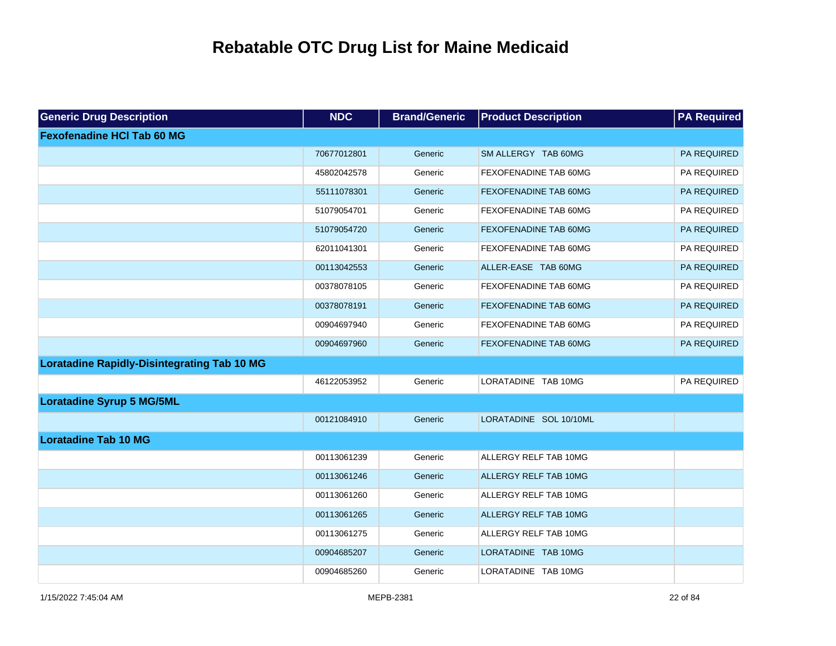| <b>Generic Drug Description</b>                    | <b>NDC</b>  | <b>Brand/Generic</b> | <b>Product Description</b>   | <b>PA Required</b> |
|----------------------------------------------------|-------------|----------------------|------------------------------|--------------------|
| <b>Fexofenadine HCI Tab 60 MG</b>                  |             |                      |                              |                    |
|                                                    | 70677012801 | Generic              | SM ALLERGY TAB 60MG          | PA REQUIRED        |
|                                                    | 45802042578 | Generic              | FEXOFENADINE TAB 60MG        | PA REQUIRED        |
|                                                    | 55111078301 | Generic              | FEXOFENADINE TAB 60MG        | PA REQUIRED        |
|                                                    | 51079054701 | Generic              | FEXOFENADINE TAB 60MG        | PA REQUIRED        |
|                                                    | 51079054720 | Generic              | <b>FEXOFENADINE TAB 60MG</b> | PA REQUIRED        |
|                                                    | 62011041301 | Generic              | FEXOFENADINE TAB 60MG        | PA REQUIRED        |
|                                                    | 00113042553 | Generic              | ALLER-EASE TAB 60MG          | PA REQUIRED        |
|                                                    | 00378078105 | Generic              | FEXOFENADINE TAB 60MG        | PA REQUIRED        |
|                                                    | 00378078191 | Generic              | FEXOFENADINE TAB 60MG        | PA REQUIRED        |
|                                                    | 00904697940 | Generic              | FEXOFENADINE TAB 60MG        | PA REQUIRED        |
|                                                    | 00904697960 | Generic              | FEXOFENADINE TAB 60MG        | PA REQUIRED        |
| <b>Loratadine Rapidly-Disintegrating Tab 10 MG</b> |             |                      |                              |                    |
|                                                    | 46122053952 | Generic              | LORATADINE TAB 10MG          | PA REQUIRED        |
| <b>Loratadine Syrup 5 MG/5ML</b>                   |             |                      |                              |                    |
|                                                    | 00121084910 | Generic              | LORATADINE SOL 10/10ML       |                    |
| <b>Loratadine Tab 10 MG</b>                        |             |                      |                              |                    |
|                                                    | 00113061239 | Generic              | ALLERGY RELF TAB 10MG        |                    |
|                                                    | 00113061246 | Generic              | ALLERGY RELF TAB 10MG        |                    |
|                                                    | 00113061260 | Generic              | ALLERGY RELF TAB 10MG        |                    |
|                                                    | 00113061265 | Generic              | ALLERGY RELF TAB 10MG        |                    |
|                                                    | 00113061275 | Generic              | ALLERGY RELF TAB 10MG        |                    |
|                                                    | 00904685207 | Generic              | LORATADINE TAB 10MG          |                    |
|                                                    | 00904685260 | Generic              | LORATADINE TAB 10MG          |                    |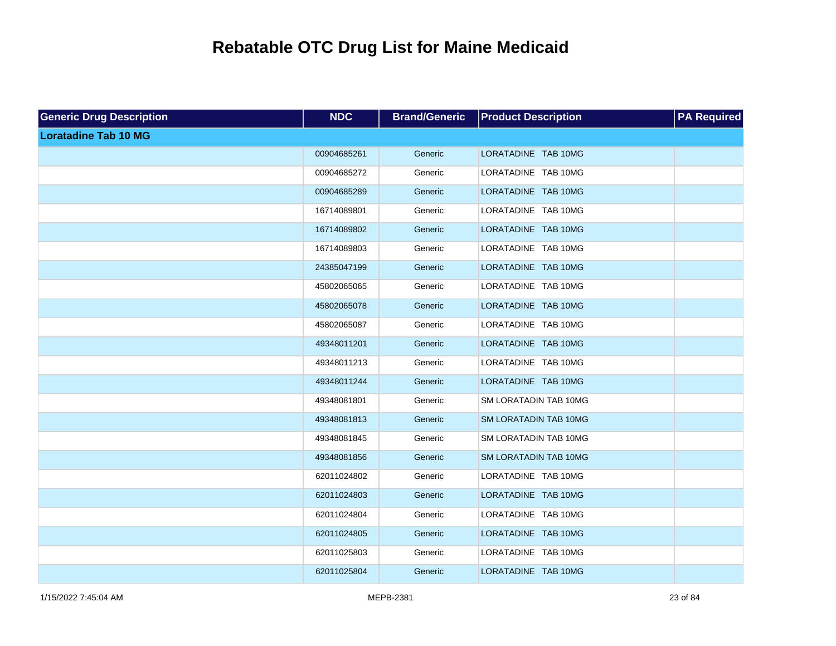| <b>Generic Drug Description</b> | <b>NDC</b>  | <b>Brand/Generic</b> | <b>Product Description</b>   | <b>PA Required</b> |
|---------------------------------|-------------|----------------------|------------------------------|--------------------|
| <b>Loratadine Tab 10 MG</b>     |             |                      |                              |                    |
|                                 | 00904685261 | Generic              | LORATADINE TAB 10MG          |                    |
|                                 | 00904685272 | Generic              | LORATADINE TAB 10MG          |                    |
|                                 | 00904685289 | Generic              | LORATADINE TAB 10MG          |                    |
|                                 | 16714089801 | Generic              | LORATADINE TAB 10MG          |                    |
|                                 | 16714089802 | Generic              | LORATADINE TAB 10MG          |                    |
|                                 | 16714089803 | Generic              | LORATADINE TAB 10MG          |                    |
|                                 | 24385047199 | Generic              | LORATADINE TAB 10MG          |                    |
|                                 | 45802065065 | Generic              | LORATADINE TAB 10MG          |                    |
|                                 | 45802065078 | Generic              | LORATADINE TAB 10MG          |                    |
|                                 | 45802065087 | Generic              | LORATADINE TAB 10MG          |                    |
|                                 | 49348011201 | Generic              | LORATADINE TAB 10MG          |                    |
|                                 | 49348011213 | Generic              | LORATADINE TAB 10MG          |                    |
|                                 | 49348011244 | Generic              | LORATADINE TAB 10MG          |                    |
|                                 | 49348081801 | Generic              | SM LORATADIN TAB 10MG        |                    |
|                                 | 49348081813 | Generic              | SM LORATADIN TAB 10MG        |                    |
|                                 | 49348081845 | Generic              | SM LORATADIN TAB 10MG        |                    |
|                                 | 49348081856 | Generic              | <b>SM LORATADIN TAB 10MG</b> |                    |
|                                 | 62011024802 | Generic              | LORATADINE TAB 10MG          |                    |
|                                 | 62011024803 | Generic              | LORATADINE TAB 10MG          |                    |
|                                 | 62011024804 | Generic              | LORATADINE TAB 10MG          |                    |
|                                 | 62011024805 | Generic              | LORATADINE TAB 10MG          |                    |
|                                 | 62011025803 | Generic              | LORATADINE TAB 10MG          |                    |
|                                 | 62011025804 | Generic              | LORATADINE TAB 10MG          |                    |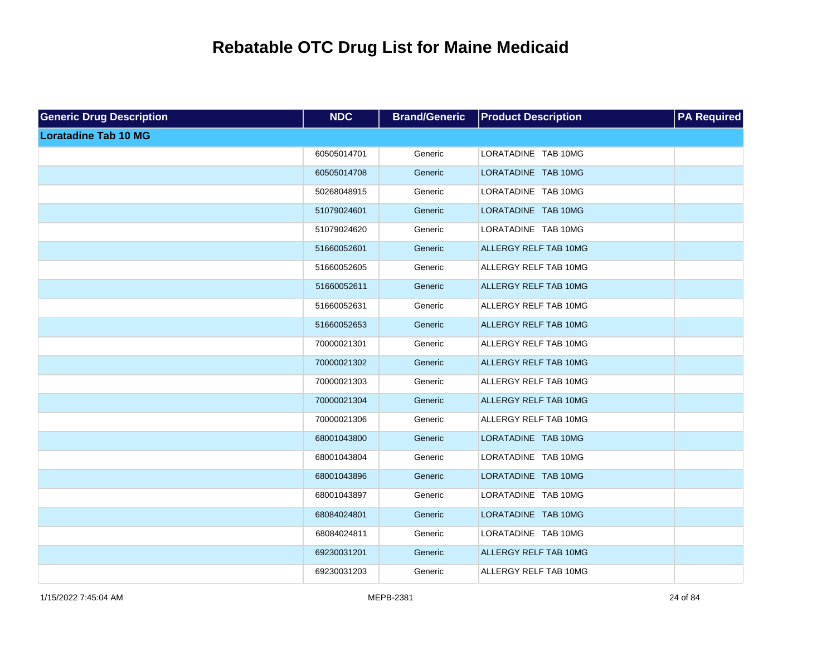| <b>Generic Drug Description</b> | <b>NDC</b>  | <b>Brand/Generic</b> | <b>Product Description</b> | <b>PA Required</b> |
|---------------------------------|-------------|----------------------|----------------------------|--------------------|
| <b>Loratadine Tab 10 MG</b>     |             |                      |                            |                    |
|                                 | 60505014701 | Generic              | LORATADINE TAB 10MG        |                    |
|                                 | 60505014708 | Generic              | LORATADINE TAB 10MG        |                    |
|                                 | 50268048915 | Generic              | LORATADINE TAB 10MG        |                    |
|                                 | 51079024601 | Generic              | LORATADINE TAB 10MG        |                    |
|                                 | 51079024620 | Generic              | LORATADINE TAB 10MG        |                    |
|                                 | 51660052601 | Generic              | ALLERGY RELF TAB 10MG      |                    |
|                                 | 51660052605 | Generic              | ALLERGY RELF TAB 10MG      |                    |
|                                 | 51660052611 | Generic              | ALLERGY RELF TAB 10MG      |                    |
|                                 | 51660052631 | Generic              | ALLERGY RELF TAB 10MG      |                    |
|                                 | 51660052653 | Generic              | ALLERGY RELF TAB 10MG      |                    |
|                                 | 70000021301 | Generic              | ALLERGY RELF TAB 10MG      |                    |
|                                 | 70000021302 | Generic              | ALLERGY RELF TAB 10MG      |                    |
|                                 | 70000021303 | Generic              | ALLERGY RELF TAB 10MG      |                    |
|                                 | 70000021304 | Generic              | ALLERGY RELF TAB 10MG      |                    |
|                                 | 70000021306 | Generic              | ALLERGY RELF TAB 10MG      |                    |
|                                 | 68001043800 | Generic              | LORATADINE TAB 10MG        |                    |
|                                 | 68001043804 | Generic              | LORATADINE TAB 10MG        |                    |
|                                 | 68001043896 | Generic              | LORATADINE TAB 10MG        |                    |
|                                 | 68001043897 | Generic              | LORATADINE TAB 10MG        |                    |
|                                 | 68084024801 | Generic              | LORATADINE TAB 10MG        |                    |
|                                 | 68084024811 | Generic              | LORATADINE TAB 10MG        |                    |
|                                 | 69230031201 | Generic              | ALLERGY RELF TAB 10MG      |                    |
|                                 | 69230031203 | Generic              | ALLERGY RELF TAB 10MG      |                    |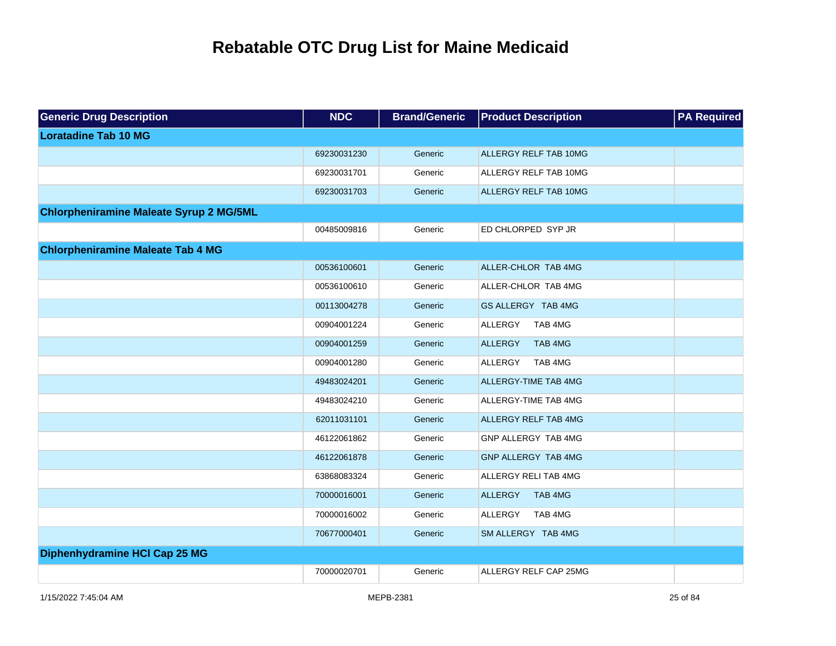| <b>Generic Drug Description</b>                | <b>NDC</b>  | <b>Brand/Generic</b> | <b>Product Description</b>  | <b>PA</b> Required |
|------------------------------------------------|-------------|----------------------|-----------------------------|--------------------|
| <b>Loratadine Tab 10 MG</b>                    |             |                      |                             |                    |
|                                                | 69230031230 | Generic              | ALLERGY RELF TAB 10MG       |                    |
|                                                | 69230031701 | Generic              | ALLERGY RELF TAB 10MG       |                    |
|                                                | 69230031703 | Generic              | ALLERGY RELF TAB 10MG       |                    |
| <b>Chlorpheniramine Maleate Syrup 2 MG/5ML</b> |             |                      |                             |                    |
|                                                | 00485009816 | Generic              | ED CHLORPED SYP JR          |                    |
| <b>Chlorpheniramine Maleate Tab 4 MG</b>       |             |                      |                             |                    |
|                                                | 00536100601 | Generic              | ALLER-CHLOR TAB 4MG         |                    |
|                                                | 00536100610 | Generic              | ALLER-CHLOR TAB 4MG         |                    |
|                                                | 00113004278 | Generic              | GS ALLERGY TAB 4MG          |                    |
|                                                | 00904001224 | Generic              | ALLERGY<br>TAB 4MG          |                    |
|                                                | 00904001259 | Generic              | <b>ALLERGY</b><br>TAB 4MG   |                    |
|                                                | 00904001280 | Generic              | ALLERGY<br>TAB 4MG          |                    |
|                                                | 49483024201 | Generic              | <b>ALLERGY-TIME TAB 4MG</b> |                    |
|                                                | 49483024210 | Generic              | ALLERGY-TIME TAB 4MG        |                    |
|                                                | 62011031101 | Generic              | <b>ALLERGY RELF TAB 4MG</b> |                    |
|                                                | 46122061862 | Generic              | GNP ALLERGY TAB 4MG         |                    |
|                                                | 46122061878 | Generic              | <b>GNP ALLERGY TAB 4MG</b>  |                    |
|                                                | 63868083324 | Generic              | ALLERGY RELI TAB 4MG        |                    |
|                                                | 70000016001 | Generic              | <b>ALLERGY</b><br>TAB 4MG   |                    |
|                                                | 70000016002 | Generic              | ALLERGY<br>TAB 4MG          |                    |
|                                                | 70677000401 | Generic              | SM ALLERGY TAB 4MG          |                    |
| Diphenhydramine HCI Cap 25 MG                  |             |                      |                             |                    |
|                                                | 70000020701 | Generic              | ALLERGY RELF CAP 25MG       |                    |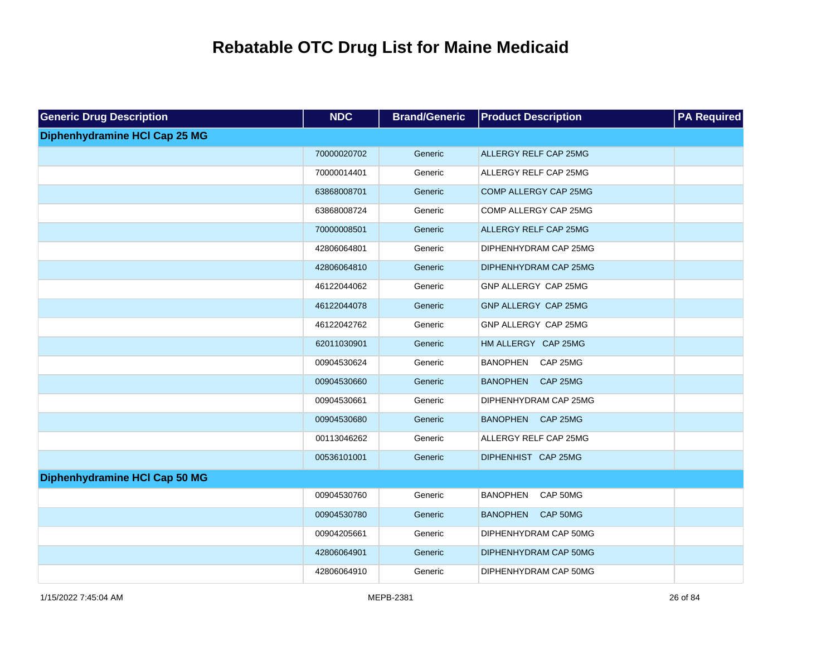| <b>Generic Drug Description</b> | <b>NDC</b>  | <b>Brand/Generic</b> | <b>Product Description</b>  | <b>PA Required</b> |
|---------------------------------|-------------|----------------------|-----------------------------|--------------------|
| Diphenhydramine HCI Cap 25 MG   |             |                      |                             |                    |
|                                 | 70000020702 | Generic              | ALLERGY RELF CAP 25MG       |                    |
|                                 | 70000014401 | Generic              | ALLERGY RELF CAP 25MG       |                    |
|                                 | 63868008701 | Generic              | COMP ALLERGY CAP 25MG       |                    |
|                                 | 63868008724 | Generic              | COMP ALLERGY CAP 25MG       |                    |
|                                 | 70000008501 | Generic              | ALLERGY RELF CAP 25MG       |                    |
|                                 | 42806064801 | Generic              | DIPHENHYDRAM CAP 25MG       |                    |
|                                 | 42806064810 | Generic              | DIPHENHYDRAM CAP 25MG       |                    |
|                                 | 46122044062 | Generic              | GNP ALLERGY CAP 25MG        |                    |
|                                 | 46122044078 | Generic              | GNP ALLERGY CAP 25MG        |                    |
|                                 | 46122042762 | Generic              | GNP ALLERGY CAP 25MG        |                    |
|                                 | 62011030901 | Generic              | HM ALLERGY CAP 25MG         |                    |
|                                 | 00904530624 | Generic              | <b>BANOPHEN</b><br>CAP 25MG |                    |
|                                 | 00904530660 | Generic              | BANOPHEN CAP 25MG           |                    |
|                                 | 00904530661 | Generic              | DIPHENHYDRAM CAP 25MG       |                    |
|                                 | 00904530680 | Generic              | BANOPHEN CAP 25MG           |                    |
|                                 | 00113046262 | Generic              | ALLERGY RELF CAP 25MG       |                    |
|                                 | 00536101001 | Generic              | DIPHENHIST CAP 25MG         |                    |
| Diphenhydramine HCI Cap 50 MG   |             |                      |                             |                    |
|                                 | 00904530760 | Generic              | CAP 50MG<br><b>BANOPHEN</b> |                    |
|                                 | 00904530780 | Generic              | CAP 50MG<br><b>BANOPHEN</b> |                    |
|                                 | 00904205661 | Generic              | DIPHENHYDRAM CAP 50MG       |                    |
|                                 | 42806064901 | Generic              | DIPHENHYDRAM CAP 50MG       |                    |
|                                 | 42806064910 | Generic              | DIPHENHYDRAM CAP 50MG       |                    |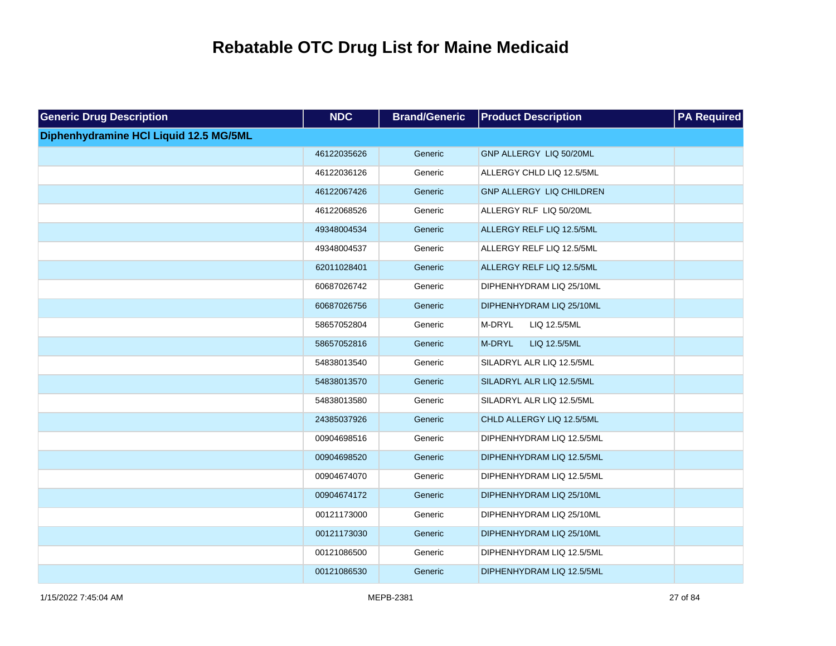| <b>Generic Drug Description</b>        | <b>NDC</b>  | <b>Brand/Generic</b> | <b>Product Description</b> | <b>PA Required</b> |
|----------------------------------------|-------------|----------------------|----------------------------|--------------------|
| Diphenhydramine HCI Liquid 12.5 MG/5ML |             |                      |                            |                    |
|                                        | 46122035626 | Generic              | GNP ALLERGY LIQ 50/20ML    |                    |
|                                        | 46122036126 | Generic              | ALLERGY CHLD LIQ 12.5/5ML  |                    |
|                                        | 46122067426 | Generic              | GNP ALLERGY LIQ CHILDREN   |                    |
|                                        | 46122068526 | Generic              | ALLERGY RLF LIQ 50/20ML    |                    |
|                                        | 49348004534 | Generic              | ALLERGY RELF LIQ 12.5/5ML  |                    |
|                                        | 49348004537 | Generic              | ALLERGY RELF LIQ 12.5/5ML  |                    |
|                                        | 62011028401 | Generic              | ALLERGY RELF LIQ 12.5/5ML  |                    |
|                                        | 60687026742 | Generic              | DIPHENHYDRAM LIQ 25/10ML   |                    |
|                                        | 60687026756 | Generic              | DIPHENHYDRAM LIQ 25/10ML   |                    |
|                                        | 58657052804 | Generic              | M-DRYL<br>LIQ 12.5/5ML     |                    |
|                                        | 58657052816 | Generic              | M-DRYL<br>LIQ 12.5/5ML     |                    |
|                                        | 54838013540 | Generic              | SILADRYL ALR LIQ 12.5/5ML  |                    |
|                                        | 54838013570 | Generic              | SILADRYL ALR LIQ 12.5/5ML  |                    |
|                                        | 54838013580 | Generic              | SILADRYL ALR LIQ 12.5/5ML  |                    |
|                                        | 24385037926 | Generic              | CHLD ALLERGY LIQ 12.5/5ML  |                    |
|                                        | 00904698516 | Generic              | DIPHENHYDRAM LIQ 12.5/5ML  |                    |
|                                        | 00904698520 | Generic              | DIPHENHYDRAM LIQ 12.5/5ML  |                    |
|                                        | 00904674070 | Generic              | DIPHENHYDRAM LIQ 12.5/5ML  |                    |
|                                        | 00904674172 | Generic              | DIPHENHYDRAM LIQ 25/10ML   |                    |
|                                        | 00121173000 | Generic              | DIPHENHYDRAM LIQ 25/10ML   |                    |
|                                        | 00121173030 | Generic              | DIPHENHYDRAM LIQ 25/10ML   |                    |
|                                        | 00121086500 | Generic              | DIPHENHYDRAM LIQ 12.5/5ML  |                    |
|                                        | 00121086530 | Generic              | DIPHENHYDRAM LIQ 12.5/5ML  |                    |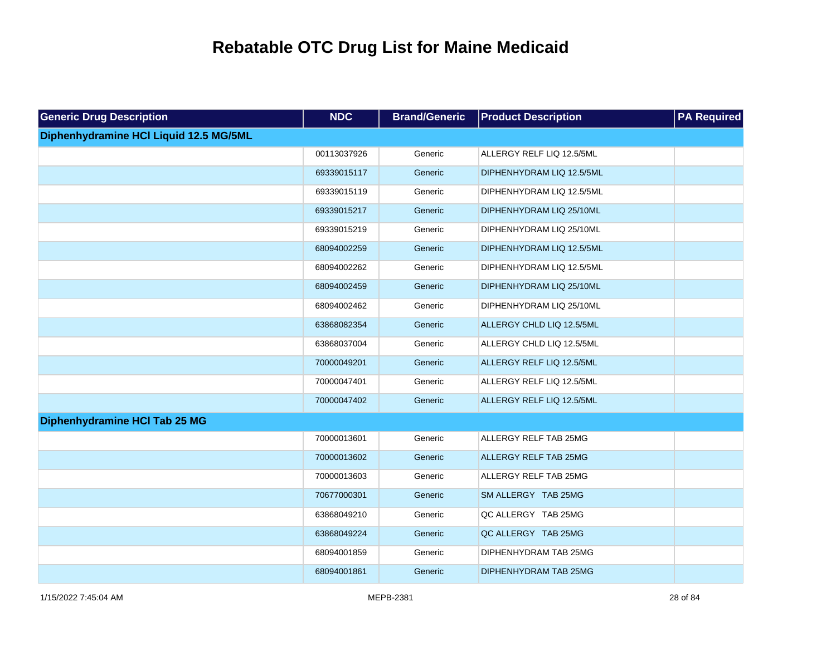| <b>Generic Drug Description</b>        | <b>NDC</b>  | <b>Brand/Generic</b> | <b>Product Description</b>   | <b>PA Required</b> |
|----------------------------------------|-------------|----------------------|------------------------------|--------------------|
| Diphenhydramine HCI Liquid 12.5 MG/5ML |             |                      |                              |                    |
|                                        | 00113037926 | Generic              | ALLERGY RELF LIQ 12.5/5ML    |                    |
|                                        | 69339015117 | Generic              | DIPHENHYDRAM LIQ 12.5/5ML    |                    |
|                                        | 69339015119 | Generic              | DIPHENHYDRAM LIQ 12.5/5ML    |                    |
|                                        | 69339015217 | Generic              | DIPHENHYDRAM LIQ 25/10ML     |                    |
|                                        | 69339015219 | Generic              | DIPHENHYDRAM LIQ 25/10ML     |                    |
|                                        | 68094002259 | Generic              | DIPHENHYDRAM LIQ 12.5/5ML    |                    |
|                                        | 68094002262 | Generic              | DIPHENHYDRAM LIQ 12.5/5ML    |                    |
|                                        | 68094002459 | Generic              | DIPHENHYDRAM LIQ 25/10ML     |                    |
|                                        | 68094002462 | Generic              | DIPHENHYDRAM LIQ 25/10ML     |                    |
|                                        | 63868082354 | Generic              | ALLERGY CHLD LIQ 12.5/5ML    |                    |
|                                        | 63868037004 | Generic              | ALLERGY CHLD LIQ 12.5/5ML    |                    |
|                                        | 70000049201 | Generic              | ALLERGY RELF LIQ 12.5/5ML    |                    |
|                                        | 70000047401 | Generic              | ALLERGY RELF LIQ 12.5/5ML    |                    |
|                                        | 70000047402 | Generic              | ALLERGY RELF LIQ 12.5/5ML    |                    |
| Diphenhydramine HCI Tab 25 MG          |             |                      |                              |                    |
|                                        | 70000013601 | Generic              | ALLERGY RELF TAB 25MG        |                    |
|                                        | 70000013602 | Generic              | <b>ALLERGY RELF TAB 25MG</b> |                    |
|                                        | 70000013603 | Generic              | ALLERGY RELF TAB 25MG        |                    |
|                                        | 70677000301 | Generic              | SM ALLERGY TAB 25MG          |                    |
|                                        | 63868049210 | Generic              | QC ALLERGY TAB 25MG          |                    |
|                                        | 63868049224 | Generic              | QC ALLERGY TAB 25MG          |                    |
|                                        | 68094001859 | Generic              | DIPHENHYDRAM TAB 25MG        |                    |
|                                        | 68094001861 | Generic              | DIPHENHYDRAM TAB 25MG        |                    |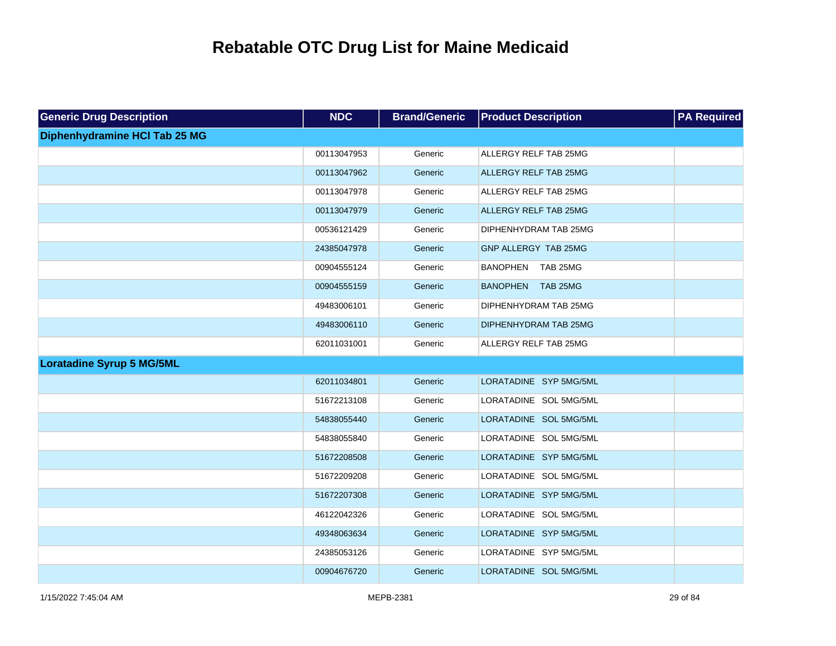| <b>Generic Drug Description</b>  | <b>NDC</b>  | <b>Brand/Generic</b> | <b>Product Description</b>   | <b>PA Required</b> |
|----------------------------------|-------------|----------------------|------------------------------|--------------------|
| Diphenhydramine HCI Tab 25 MG    |             |                      |                              |                    |
|                                  | 00113047953 | Generic              | ALLERGY RELF TAB 25MG        |                    |
|                                  | 00113047962 | Generic              | <b>ALLERGY RELF TAB 25MG</b> |                    |
|                                  | 00113047978 | Generic              | ALLERGY RELF TAB 25MG        |                    |
|                                  | 00113047979 | Generic              | <b>ALLERGY RELF TAB 25MG</b> |                    |
|                                  | 00536121429 | Generic              | DIPHENHYDRAM TAB 25MG        |                    |
|                                  | 24385047978 | Generic              | GNP ALLERGY TAB 25MG         |                    |
|                                  | 00904555124 | Generic              | BANOPHEN TAB 25MG            |                    |
|                                  | 00904555159 | Generic              | BANOPHEN TAB 25MG            |                    |
|                                  | 49483006101 | Generic              | DIPHENHYDRAM TAB 25MG        |                    |
|                                  | 49483006110 | Generic              | DIPHENHYDRAM TAB 25MG        |                    |
|                                  | 62011031001 | Generic              | ALLERGY RELF TAB 25MG        |                    |
| <b>Loratadine Syrup 5 MG/5ML</b> |             |                      |                              |                    |
|                                  | 62011034801 | Generic              | LORATADINE SYP 5MG/5ML       |                    |
|                                  | 51672213108 | Generic              | LORATADINE SOL 5MG/5ML       |                    |
|                                  | 54838055440 | Generic              | LORATADINE SOL 5MG/5ML       |                    |
|                                  | 54838055840 | Generic              | LORATADINE SOL 5MG/5ML       |                    |
|                                  | 51672208508 | Generic              | LORATADINE SYP 5MG/5ML       |                    |
|                                  | 51672209208 | Generic              | LORATADINE SOL 5MG/5ML       |                    |
|                                  | 51672207308 | Generic              | LORATADINE SYP 5MG/5ML       |                    |
|                                  | 46122042326 | Generic              | LORATADINE SOL 5MG/5ML       |                    |
|                                  | 49348063634 | Generic              | LORATADINE SYP 5MG/5ML       |                    |
|                                  | 24385053126 | Generic              | LORATADINE SYP 5MG/5ML       |                    |
|                                  | 00904676720 | Generic              | LORATADINE SOL 5MG/5ML       |                    |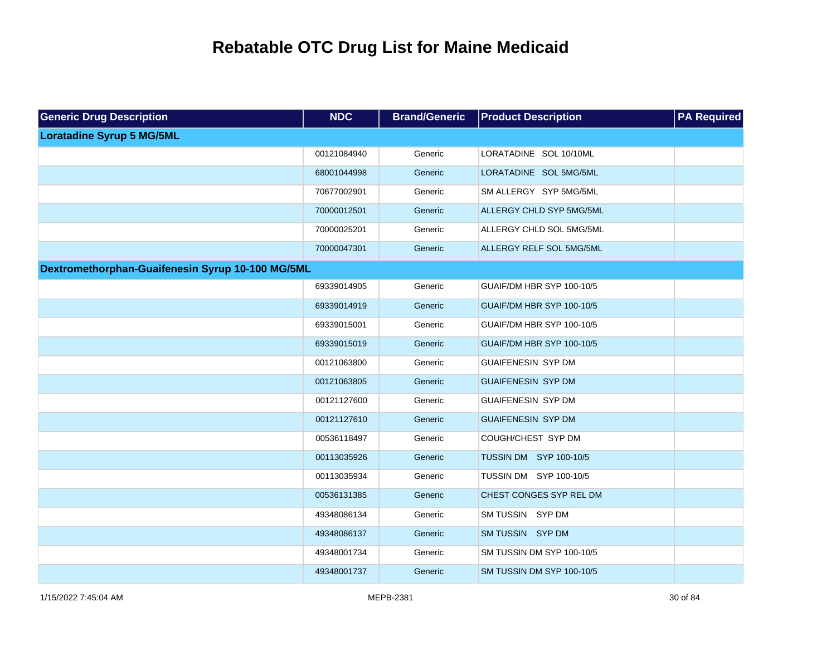| <b>Generic Drug Description</b>                  | <b>NDC</b>  | <b>Brand/Generic</b> | <b>Product Description</b> | <b>PA Required</b> |
|--------------------------------------------------|-------------|----------------------|----------------------------|--------------------|
| <b>Loratadine Syrup 5 MG/5ML</b>                 |             |                      |                            |                    |
|                                                  | 00121084940 | Generic              | LORATADINE SOL 10/10ML     |                    |
|                                                  | 68001044998 | Generic              | LORATADINE SOL 5MG/5ML     |                    |
|                                                  | 70677002901 | Generic              | SM ALLERGY SYP 5MG/5ML     |                    |
|                                                  | 70000012501 | Generic              | ALLERGY CHLD SYP 5MG/5ML   |                    |
|                                                  | 70000025201 | Generic              | ALLERGY CHLD SOL 5MG/5ML   |                    |
|                                                  | 70000047301 | Generic              | ALLERGY RELF SOL 5MG/5ML   |                    |
| Dextromethorphan-Guaifenesin Syrup 10-100 MG/5ML |             |                      |                            |                    |
|                                                  | 69339014905 | Generic              | GUAIF/DM HBR SYP 100-10/5  |                    |
|                                                  | 69339014919 | Generic              | GUAIF/DM HBR SYP 100-10/5  |                    |
|                                                  | 69339015001 | Generic              | GUAIF/DM HBR SYP 100-10/5  |                    |
|                                                  | 69339015019 | Generic              | GUAIF/DM HBR SYP 100-10/5  |                    |
|                                                  | 00121063800 | Generic              | GUAIFENESIN SYP DM         |                    |
|                                                  | 00121063805 | Generic              | <b>GUAIFENESIN SYP DM</b>  |                    |
|                                                  | 00121127600 | Generic              | GUAIFENESIN SYP DM         |                    |
|                                                  | 00121127610 | Generic              | <b>GUAIFENESIN SYP DM</b>  |                    |
|                                                  | 00536118497 | Generic              | COUGH/CHEST SYP DM         |                    |
|                                                  | 00113035926 | Generic              | TUSSIN DM SYP 100-10/5     |                    |
|                                                  | 00113035934 | Generic              | TUSSIN DM SYP 100-10/5     |                    |
|                                                  | 00536131385 | Generic              | CHEST CONGES SYP REL DM    |                    |
|                                                  | 49348086134 | Generic              | SM TUSSIN SYP DM           |                    |
|                                                  | 49348086137 | Generic              | SM TUSSIN SYP DM           |                    |
|                                                  | 49348001734 | Generic              | SM TUSSIN DM SYP 100-10/5  |                    |
|                                                  | 49348001737 | Generic              | SM TUSSIN DM SYP 100-10/5  |                    |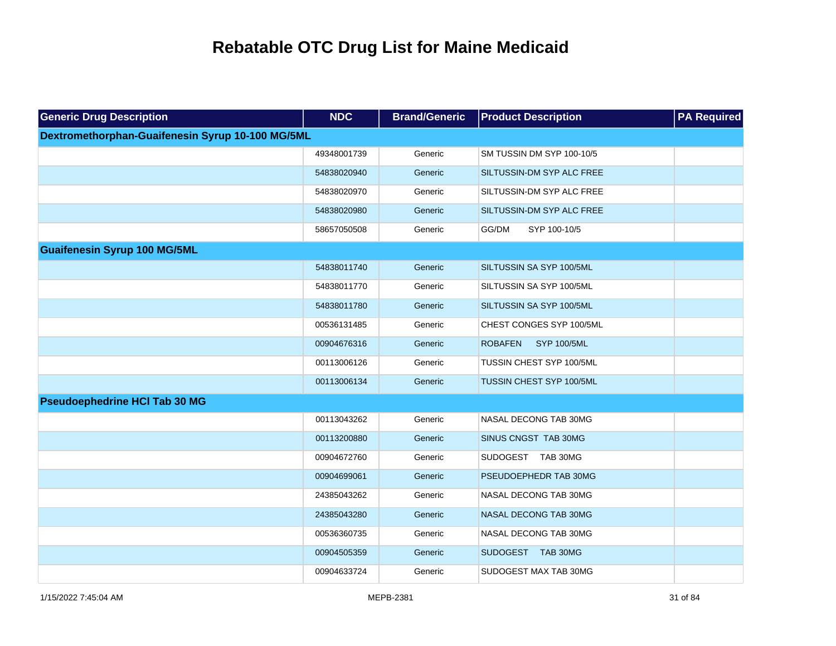| <b>Generic Drug Description</b>                  | <b>NDC</b>  | <b>Brand/Generic</b> | <b>Product Description</b>    | <b>PA Required</b> |
|--------------------------------------------------|-------------|----------------------|-------------------------------|--------------------|
| Dextromethorphan-Guaifenesin Syrup 10-100 MG/5ML |             |                      |                               |                    |
|                                                  | 49348001739 | Generic              | SM TUSSIN DM SYP 100-10/5     |                    |
|                                                  | 54838020940 | Generic              | SILTUSSIN-DM SYP ALC FREE     |                    |
|                                                  | 54838020970 | Generic              | SILTUSSIN-DM SYP ALC FREE     |                    |
|                                                  | 54838020980 | Generic              | SILTUSSIN-DM SYP ALC FREE     |                    |
|                                                  | 58657050508 | Generic              | GG/DM<br>SYP 100-10/5         |                    |
| <b>Guaifenesin Syrup 100 MG/5ML</b>              |             |                      |                               |                    |
|                                                  | 54838011740 | Generic              | SILTUSSIN SA SYP 100/5ML      |                    |
|                                                  | 54838011770 | Generic              | SILTUSSIN SA SYP 100/5ML      |                    |
|                                                  | 54838011780 | Generic              | SILTUSSIN SA SYP 100/5ML      |                    |
|                                                  | 00536131485 | Generic              | CHEST CONGES SYP 100/5ML      |                    |
|                                                  | 00904676316 | Generic              | <b>ROBAFEN</b><br>SYP 100/5ML |                    |
|                                                  | 00113006126 | Generic              | TUSSIN CHEST SYP 100/5ML      |                    |
|                                                  | 00113006134 | Generic              | TUSSIN CHEST SYP 100/5ML      |                    |
| <b>Pseudoephedrine HCI Tab 30 MG</b>             |             |                      |                               |                    |
|                                                  | 00113043262 | Generic              | NASAL DECONG TAB 30MG         |                    |
|                                                  | 00113200880 | Generic              | SINUS CNGST TAB 30MG          |                    |
|                                                  | 00904672760 | Generic              | SUDOGEST TAB 30MG             |                    |
|                                                  | 00904699061 | Generic              | PSEUDOEPHEDR TAB 30MG         |                    |
|                                                  | 24385043262 | Generic              | NASAL DECONG TAB 30MG         |                    |
|                                                  | 24385043280 | Generic              | NASAL DECONG TAB 30MG         |                    |
|                                                  | 00536360735 | Generic              | NASAL DECONG TAB 30MG         |                    |
|                                                  | 00904505359 | Generic              | SUDOGEST TAB 30MG             |                    |
|                                                  | 00904633724 | Generic              | SUDOGEST MAX TAB 30MG         |                    |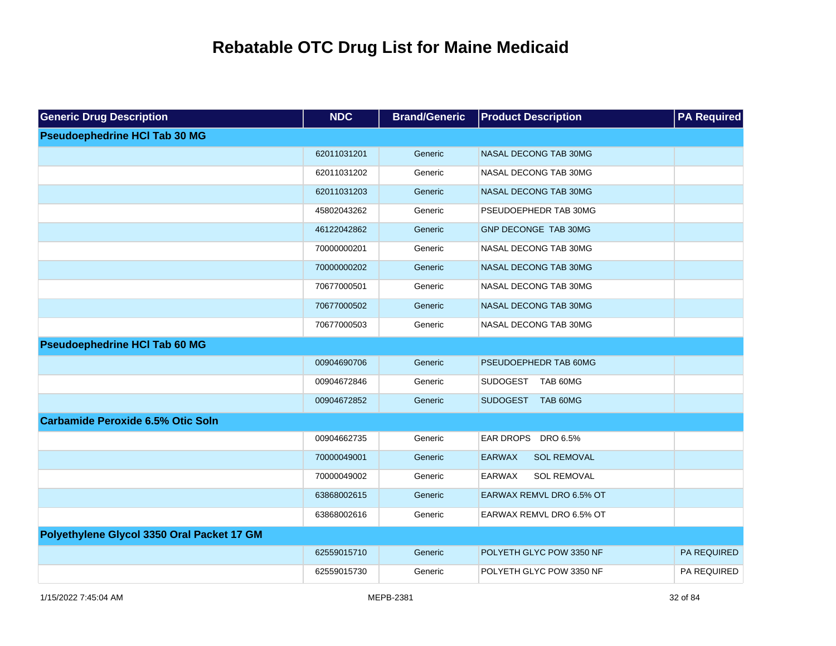| <b>Generic Drug Description</b>            | <b>NDC</b>  | <b>Brand/Generic</b> | <b>Product Description</b>          | <b>PA Required</b> |
|--------------------------------------------|-------------|----------------------|-------------------------------------|--------------------|
| <b>Pseudoephedrine HCI Tab 30 MG</b>       |             |                      |                                     |                    |
|                                            | 62011031201 | Generic              | NASAL DECONG TAB 30MG               |                    |
|                                            | 62011031202 | Generic              | NASAL DECONG TAB 30MG               |                    |
|                                            | 62011031203 | Generic              | NASAL DECONG TAB 30MG               |                    |
|                                            | 45802043262 | Generic              | PSEUDOEPHEDR TAB 30MG               |                    |
|                                            | 46122042862 | Generic              | GNP DECONGE TAB 30MG                |                    |
|                                            | 70000000201 | Generic              | NASAL DECONG TAB 30MG               |                    |
|                                            | 70000000202 | Generic              | NASAL DECONG TAB 30MG               |                    |
|                                            | 70677000501 | Generic              | NASAL DECONG TAB 30MG               |                    |
|                                            | 70677000502 | Generic              | NASAL DECONG TAB 30MG               |                    |
|                                            | 70677000503 | Generic              | NASAL DECONG TAB 30MG               |                    |
| <b>Pseudoephedrine HCI Tab 60 MG</b>       |             |                      |                                     |                    |
|                                            | 00904690706 | Generic              | PSEUDOEPHEDR TAB 60MG               |                    |
|                                            | 00904672846 | Generic              | SUDOGEST TAB 60MG                   |                    |
|                                            | 00904672852 | Generic              | SUDOGEST TAB 60MG                   |                    |
| <b>Carbamide Peroxide 6.5% Otic Soln</b>   |             |                      |                                     |                    |
|                                            | 00904662735 | Generic              | EAR DROPS DRO 6.5%                  |                    |
|                                            | 70000049001 | Generic              | <b>EARWAX</b><br><b>SOL REMOVAL</b> |                    |
|                                            | 70000049002 | Generic              | EARWAX<br><b>SOL REMOVAL</b>        |                    |
|                                            | 63868002615 | Generic              | EARWAX REMVL DRO 6.5% OT            |                    |
|                                            | 63868002616 | Generic              | EARWAX REMVL DRO 6.5% OT            |                    |
| Polyethylene Glycol 3350 Oral Packet 17 GM |             |                      |                                     |                    |
|                                            | 62559015710 | Generic              | POLYETH GLYC POW 3350 NF            | PA REQUIRED        |
|                                            | 62559015730 | Generic              | POLYETH GLYC POW 3350 NF            | PA REQUIRED        |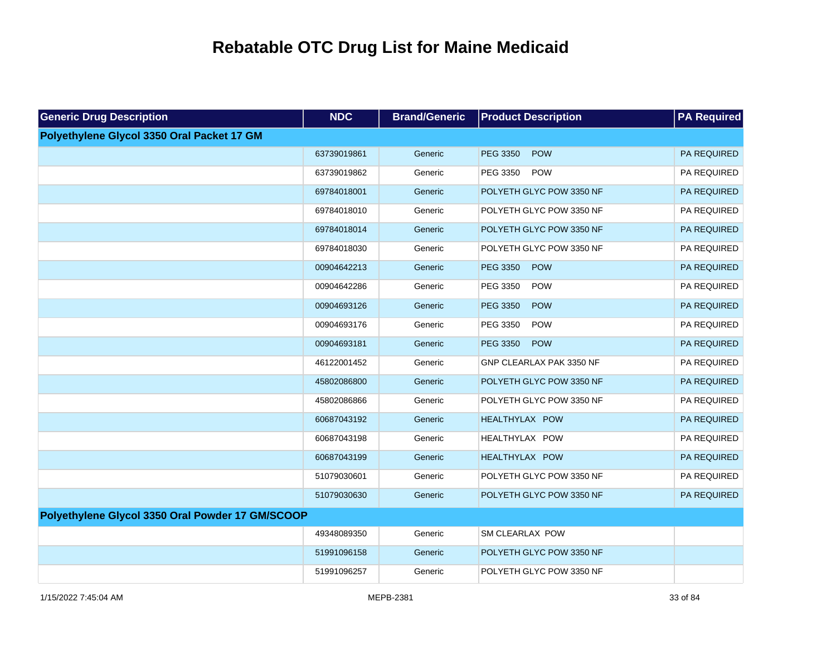| <b>Generic Drug Description</b>                  | <b>NDC</b>  | <b>Brand/Generic</b> | <b>Product Description</b>    | <b>PA Required</b> |
|--------------------------------------------------|-------------|----------------------|-------------------------------|--------------------|
| Polyethylene Glycol 3350 Oral Packet 17 GM       |             |                      |                               |                    |
|                                                  | 63739019861 | Generic              | <b>POW</b><br><b>PEG 3350</b> | PA REQUIRED        |
|                                                  | 63739019862 | Generic              | <b>POW</b><br>PEG 3350        | PA REQUIRED        |
|                                                  | 69784018001 | Generic              | POLYETH GLYC POW 3350 NF      | PA REQUIRED        |
|                                                  | 69784018010 | Generic              | POLYETH GLYC POW 3350 NF      | PA REQUIRED        |
|                                                  | 69784018014 | Generic              | POLYETH GLYC POW 3350 NF      | PA REQUIRED        |
|                                                  | 69784018030 | Generic              | POLYETH GLYC POW 3350 NF      | PA REQUIRED        |
|                                                  | 00904642213 | Generic              | PEG 3350<br>POW               | PA REQUIRED        |
|                                                  | 00904642286 | Generic              | PEG 3350<br>POW               | PA REQUIRED        |
|                                                  | 00904693126 | Generic              | PEG 3350<br><b>POW</b>        | PA REQUIRED        |
|                                                  | 00904693176 | Generic              | PEG 3350<br><b>POW</b>        | PA REQUIRED        |
|                                                  | 00904693181 | Generic              | PEG 3350<br>POW               | PA REQUIRED        |
|                                                  | 46122001452 | Generic              | GNP CLEARLAX PAK 3350 NF      | PA REQUIRED        |
|                                                  | 45802086800 | Generic              | POLYETH GLYC POW 3350 NF      | PA REQUIRED        |
|                                                  | 45802086866 | Generic              | POLYETH GLYC POW 3350 NF      | PA REQUIRED        |
|                                                  | 60687043192 | Generic              | <b>HEALTHYLAX POW</b>         | PA REQUIRED        |
|                                                  | 60687043198 | Generic              | HEALTHYLAX POW                | PA REQUIRED        |
|                                                  | 60687043199 | Generic              | <b>HEALTHYLAX POW</b>         | PA REQUIRED        |
|                                                  | 51079030601 | Generic              | POLYETH GLYC POW 3350 NF      | PA REQUIRED        |
|                                                  | 51079030630 | Generic              | POLYETH GLYC POW 3350 NF      | PA REQUIRED        |
| Polyethylene Glycol 3350 Oral Powder 17 GM/SCOOP |             |                      |                               |                    |
|                                                  | 49348089350 | Generic              | <b>SM CLEARLAX POW</b>        |                    |
|                                                  | 51991096158 | Generic              | POLYETH GLYC POW 3350 NF      |                    |
|                                                  | 51991096257 | Generic              | POLYETH GLYC POW 3350 NF      |                    |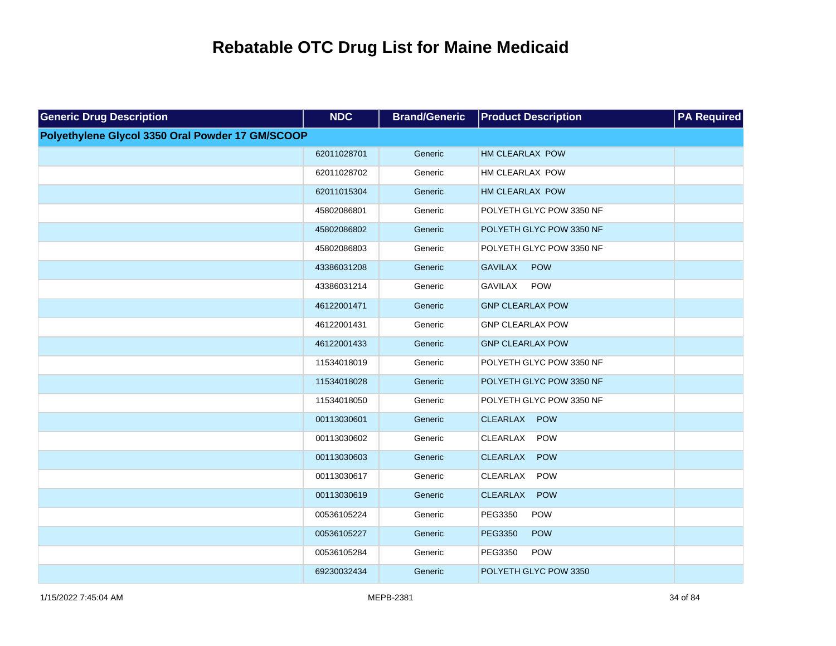| <b>Generic Drug Description</b>                  | <b>NDC</b>  | <b>Brand/Generic</b> | <b>Product Description</b>    | <b>PA Required</b> |
|--------------------------------------------------|-------------|----------------------|-------------------------------|--------------------|
| Polyethylene Glycol 3350 Oral Powder 17 GM/SCOOP |             |                      |                               |                    |
|                                                  | 62011028701 | Generic              | HM CLEARLAX POW               |                    |
|                                                  | 62011028702 | Generic              | HM CLEARLAX POW               |                    |
|                                                  | 62011015304 | Generic              | HM CLEARLAX POW               |                    |
|                                                  | 45802086801 | Generic              | POLYETH GLYC POW 3350 NF      |                    |
|                                                  | 45802086802 | Generic              | POLYETH GLYC POW 3350 NF      |                    |
|                                                  | 45802086803 | Generic              | POLYETH GLYC POW 3350 NF      |                    |
|                                                  | 43386031208 | Generic              | <b>GAVILAX</b><br><b>POW</b>  |                    |
|                                                  | 43386031214 | Generic              | <b>GAVILAX</b><br><b>POW</b>  |                    |
|                                                  | 46122001471 | Generic              | <b>GNP CLEARLAX POW</b>       |                    |
|                                                  | 46122001431 | Generic              | <b>GNP CLEARLAX POW</b>       |                    |
|                                                  | 46122001433 | Generic              | <b>GNP CLEARLAX POW</b>       |                    |
|                                                  | 11534018019 | Generic              | POLYETH GLYC POW 3350 NF      |                    |
|                                                  | 11534018028 | Generic              | POLYETH GLYC POW 3350 NF      |                    |
|                                                  | 11534018050 | Generic              | POLYETH GLYC POW 3350 NF      |                    |
|                                                  | 00113030601 | Generic              | CLEARLAX<br><b>POW</b>        |                    |
|                                                  | 00113030602 | Generic              | CLEARLAX<br><b>POW</b>        |                    |
|                                                  | 00113030603 | Generic              | <b>CLEARLAX</b><br><b>POW</b> |                    |
|                                                  | 00113030617 | Generic              | POW<br>CLEARLAX               |                    |
|                                                  | 00113030619 | Generic              | <b>CLEARLAX</b><br><b>POW</b> |                    |
|                                                  | 00536105224 | Generic              | PEG3350<br><b>POW</b>         |                    |
|                                                  | 00536105227 | Generic              | <b>PEG3350</b><br><b>POW</b>  |                    |
|                                                  | 00536105284 | Generic              | PEG3350<br><b>POW</b>         |                    |
|                                                  | 69230032434 | Generic              | POLYETH GLYC POW 3350         |                    |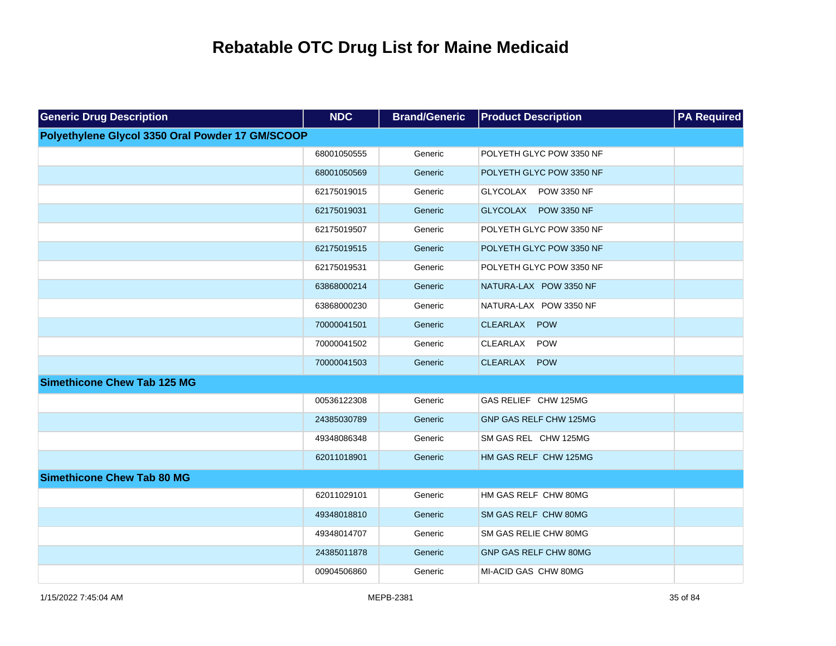| <b>Generic Drug Description</b>                  | <b>NDC</b>  | <b>Brand/Generic</b> | <b>Product Description</b> | <b>PA Required</b> |
|--------------------------------------------------|-------------|----------------------|----------------------------|--------------------|
| Polyethylene Glycol 3350 Oral Powder 17 GM/SCOOP |             |                      |                            |                    |
|                                                  | 68001050555 | Generic              | POLYETH GLYC POW 3350 NF   |                    |
|                                                  | 68001050569 | Generic              | POLYETH GLYC POW 3350 NF   |                    |
|                                                  | 62175019015 | Generic              | GLYCOLAX POW 3350 NF       |                    |
|                                                  | 62175019031 | Generic              | GLYCOLAX POW 3350 NF       |                    |
|                                                  | 62175019507 | Generic              | POLYETH GLYC POW 3350 NF   |                    |
|                                                  | 62175019515 | Generic              | POLYETH GLYC POW 3350 NF   |                    |
|                                                  | 62175019531 | Generic              | POLYETH GLYC POW 3350 NF   |                    |
|                                                  | 63868000214 | Generic              | NATURA-LAX POW 3350 NF     |                    |
|                                                  | 63868000230 | Generic              | NATURA-LAX POW 3350 NF     |                    |
|                                                  | 70000041501 | Generic              | CLEARLAX POW               |                    |
|                                                  | 70000041502 | Generic              | POW<br>CLEARLAX            |                    |
|                                                  | 70000041503 | Generic              | CLEARLAX<br><b>POW</b>     |                    |
| <b>Simethicone Chew Tab 125 MG</b>               |             |                      |                            |                    |
|                                                  | 00536122308 | Generic              | GAS RELIEF CHW 125MG       |                    |
|                                                  | 24385030789 | Generic              | GNP GAS RELF CHW 125MG     |                    |
|                                                  | 49348086348 | Generic              | SM GAS REL CHW 125MG       |                    |
|                                                  | 62011018901 | Generic              | HM GAS RELF CHW 125MG      |                    |
| <b>Simethicone Chew Tab 80 MG</b>                |             |                      |                            |                    |
|                                                  | 62011029101 | Generic              | HM GAS RELF CHW 80MG       |                    |
|                                                  | 49348018810 | Generic              | SM GAS RELF CHW 80MG       |                    |
|                                                  | 49348014707 | Generic              | SM GAS RELIE CHW 80MG      |                    |
|                                                  | 24385011878 | Generic              | GNP GAS RELF CHW 80MG      |                    |
|                                                  | 00904506860 | Generic              | MI-ACID GAS CHW 80MG       |                    |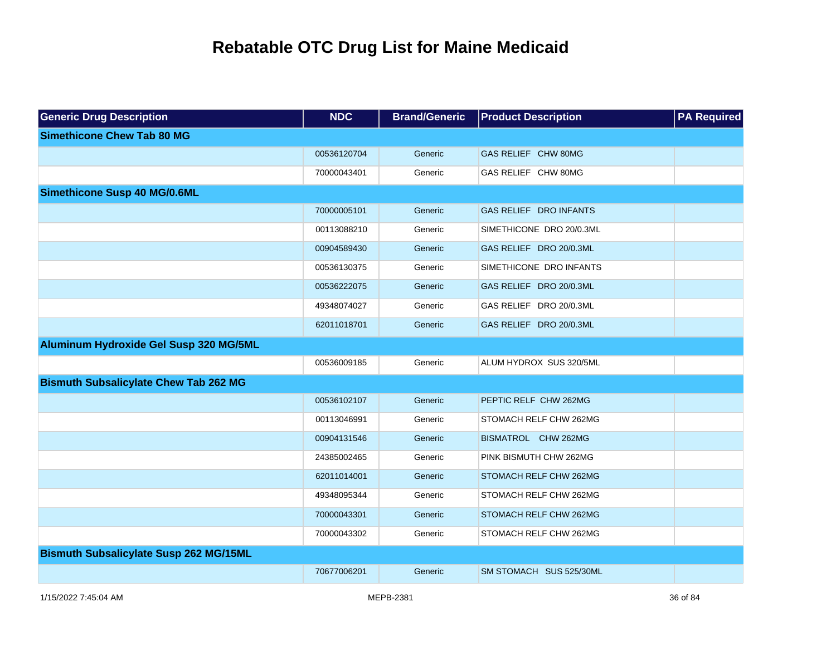| <b>Generic Drug Description</b>               | <b>NDC</b>  | <b>Brand/Generic</b> | <b>Product Description</b> | <b>PA Required</b> |
|-----------------------------------------------|-------------|----------------------|----------------------------|--------------------|
| <b>Simethicone Chew Tab 80 MG</b>             |             |                      |                            |                    |
|                                               | 00536120704 | Generic              | GAS RELIEF CHW 80MG        |                    |
|                                               | 70000043401 | Generic              | GAS RELIEF CHW 80MG        |                    |
| <b>Simethicone Susp 40 MG/0.6ML</b>           |             |                      |                            |                    |
|                                               | 70000005101 | Generic              | GAS RELIEF DRO INFANTS     |                    |
|                                               | 00113088210 | Generic              | SIMETHICONE DRO 20/0.3ML   |                    |
|                                               | 00904589430 | Generic              | GAS RELIEF DRO 20/0.3ML    |                    |
|                                               | 00536130375 | Generic              | SIMETHICONE DRO INFANTS    |                    |
|                                               | 00536222075 | Generic              | GAS RELIEF DRO 20/0.3ML    |                    |
|                                               | 49348074027 | Generic              | GAS RELIEF DRO 20/0.3ML    |                    |
|                                               | 62011018701 | Generic              | GAS RELIEF DRO 20/0.3ML    |                    |
| Aluminum Hydroxide Gel Susp 320 MG/5ML        |             |                      |                            |                    |
|                                               | 00536009185 | Generic              | ALUM HYDROX SUS 320/5ML    |                    |
| <b>Bismuth Subsalicylate Chew Tab 262 MG</b>  |             |                      |                            |                    |
|                                               | 00536102107 | Generic              | PEPTIC RELF CHW 262MG      |                    |
|                                               | 00113046991 | Generic              | STOMACH RELF CHW 262MG     |                    |
|                                               | 00904131546 | Generic              | BISMATROL CHW 262MG        |                    |
|                                               | 24385002465 | Generic              | PINK BISMUTH CHW 262MG     |                    |
|                                               | 62011014001 | Generic              | STOMACH RELF CHW 262MG     |                    |
|                                               | 49348095344 | Generic              | STOMACH RELF CHW 262MG     |                    |
|                                               | 70000043301 | Generic              | STOMACH RELF CHW 262MG     |                    |
|                                               | 70000043302 | Generic              | STOMACH RELF CHW 262MG     |                    |
| <b>Bismuth Subsalicylate Susp 262 MG/15ML</b> |             |                      |                            |                    |
|                                               | 70677006201 | Generic              | SM STOMACH SUS 525/30ML    |                    |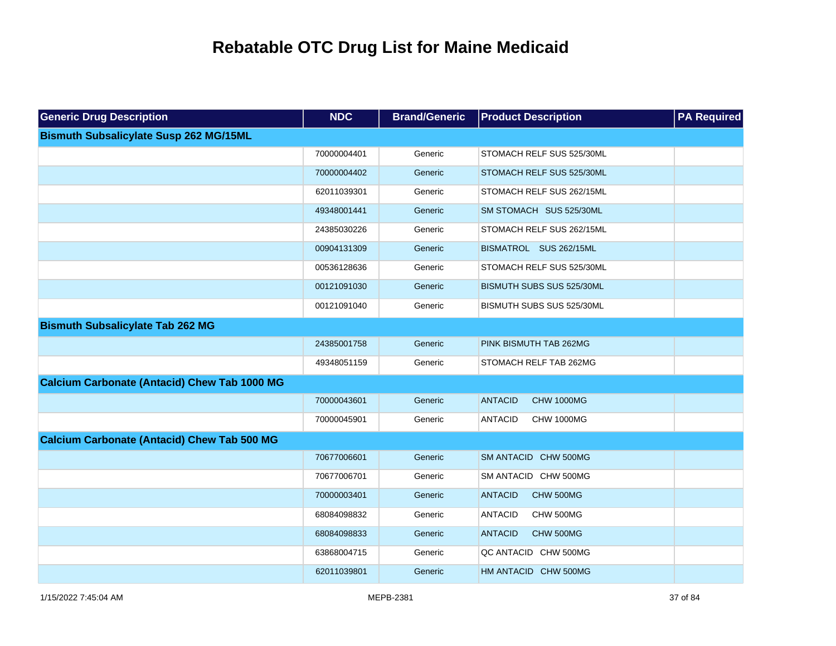| <b>Generic Drug Description</b>                     | <b>NDC</b>  | <b>Brand/Generic</b> | <b>Product Description</b>          | <b>PA Required</b> |
|-----------------------------------------------------|-------------|----------------------|-------------------------------------|--------------------|
| <b>Bismuth Subsalicylate Susp 262 MG/15ML</b>       |             |                      |                                     |                    |
|                                                     | 70000004401 | Generic              | STOMACH RELF SUS 525/30ML           |                    |
|                                                     | 70000004402 | Generic              | STOMACH RELF SUS 525/30ML           |                    |
|                                                     | 62011039301 | Generic              | STOMACH RELF SUS 262/15ML           |                    |
|                                                     | 49348001441 | Generic              | SM STOMACH SUS 525/30ML             |                    |
|                                                     | 24385030226 | Generic              | STOMACH RELF SUS 262/15ML           |                    |
|                                                     | 00904131309 | Generic              | BISMATROL SUS 262/15ML              |                    |
|                                                     | 00536128636 | Generic              | STOMACH RELF SUS 525/30ML           |                    |
|                                                     | 00121091030 | Generic              | BISMUTH SUBS SUS 525/30ML           |                    |
|                                                     | 00121091040 | Generic              | BISMUTH SUBS SUS 525/30ML           |                    |
| <b>Bismuth Subsalicylate Tab 262 MG</b>             |             |                      |                                     |                    |
|                                                     | 24385001758 | Generic              | PINK BISMUTH TAB 262MG              |                    |
|                                                     | 49348051159 | Generic              | STOMACH RELF TAB 262MG              |                    |
| <b>Calcium Carbonate (Antacid) Chew Tab 1000 MG</b> |             |                      |                                     |                    |
|                                                     | 70000043601 | Generic              | <b>ANTACID</b><br><b>CHW 1000MG</b> |                    |
|                                                     | 70000045901 | Generic              | <b>ANTACID</b><br><b>CHW 1000MG</b> |                    |
| <b>Calcium Carbonate (Antacid) Chew Tab 500 MG</b>  |             |                      |                                     |                    |
|                                                     | 70677006601 | Generic              | SM ANTACID CHW 500MG                |                    |
|                                                     | 70677006701 | Generic              | SM ANTACID CHW 500MG                |                    |
|                                                     | 70000003401 | Generic              | <b>ANTACID</b><br>CHW 500MG         |                    |
|                                                     | 68084098832 | Generic              | <b>ANTACID</b><br>CHW 500MG         |                    |
|                                                     | 68084098833 | Generic              | <b>ANTACID</b><br>CHW 500MG         |                    |
|                                                     | 63868004715 | Generic              | QC ANTACID CHW 500MG                |                    |
|                                                     | 62011039801 | Generic              | HM ANTACID CHW 500MG                |                    |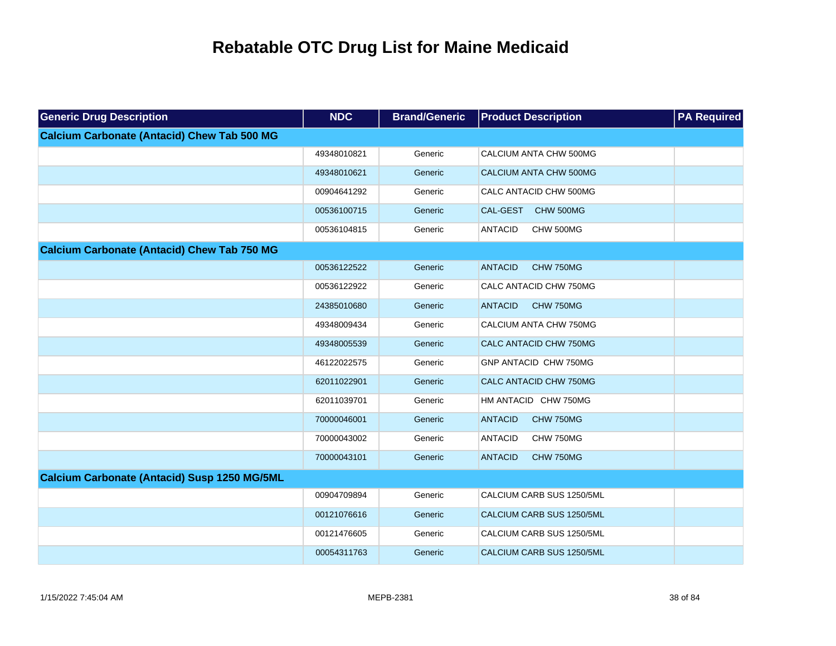| <b>Generic Drug Description</b>                    | <b>NDC</b>  | <b>Brand/Generic</b> | <b>Product Description</b>         | <b>PA Required</b> |
|----------------------------------------------------|-------------|----------------------|------------------------------------|--------------------|
| <b>Calcium Carbonate (Antacid) Chew Tab 500 MG</b> |             |                      |                                    |                    |
|                                                    | 49348010821 | Generic              | CALCIUM ANTA CHW 500MG             |                    |
|                                                    | 49348010621 | Generic              | CALCIUM ANTA CHW 500MG             |                    |
|                                                    | 00904641292 | Generic              | CALC ANTACID CHW 500MG             |                    |
|                                                    | 00536100715 | Generic              | CAL-GEST<br>CHW 500MG              |                    |
|                                                    | 00536104815 | Generic              | <b>ANTACID</b><br>CHW 500MG        |                    |
| <b>Calcium Carbonate (Antacid) Chew Tab 750 MG</b> |             |                      |                                    |                    |
|                                                    | 00536122522 | Generic              | <b>ANTACID</b><br><b>CHW 750MG</b> |                    |
|                                                    | 00536122922 | Generic              | CALC ANTACID CHW 750MG             |                    |
|                                                    | 24385010680 | Generic              | <b>ANTACID</b><br>CHW 750MG        |                    |
|                                                    | 49348009434 | Generic              | CALCIUM ANTA CHW 750MG             |                    |
|                                                    | 49348005539 | Generic              | CALC ANTACID CHW 750MG             |                    |
|                                                    | 46122022575 | Generic              | GNP ANTACID CHW 750MG              |                    |
|                                                    | 62011022901 | Generic              | CALC ANTACID CHW 750MG             |                    |
|                                                    | 62011039701 | Generic              | HM ANTACID CHW 750MG               |                    |
|                                                    | 70000046001 | Generic              | <b>ANTACID</b><br>CHW 750MG        |                    |
|                                                    | 70000043002 | Generic              | <b>ANTACID</b><br>CHW 750MG        |                    |
|                                                    | 70000043101 | Generic              | <b>ANTACID</b><br><b>CHW 750MG</b> |                    |
| Calcium Carbonate (Antacid) Susp 1250 MG/5ML       |             |                      |                                    |                    |
|                                                    | 00904709894 | Generic              | CALCIUM CARB SUS 1250/5ML          |                    |
|                                                    | 00121076616 | Generic              | CALCIUM CARB SUS 1250/5ML          |                    |
|                                                    | 00121476605 | Generic              | CALCIUM CARB SUS 1250/5ML          |                    |
|                                                    | 00054311763 | Generic              | CALCIUM CARB SUS 1250/5ML          |                    |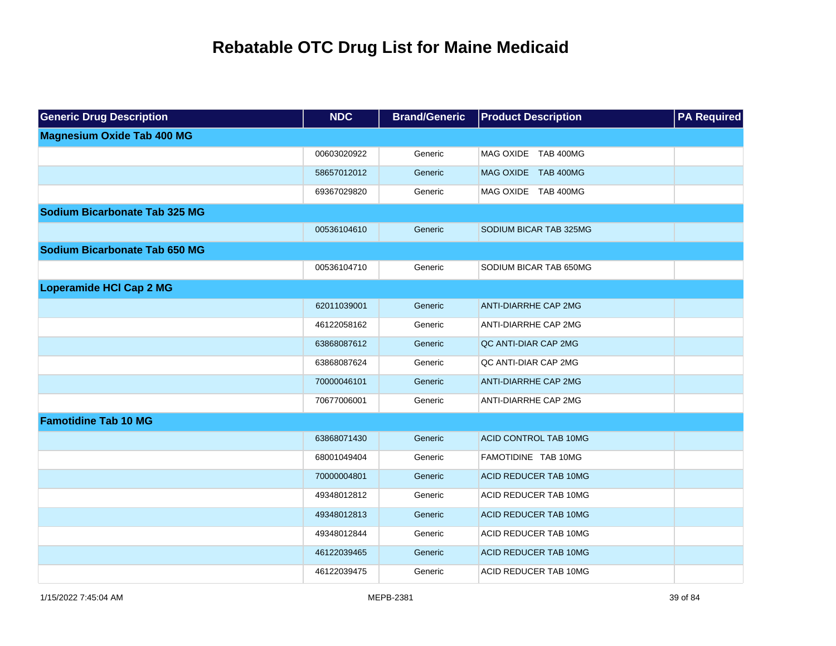| <b>Generic Drug Description</b>   | <b>NDC</b>  | <b>Brand/Generic</b> | <b>Product Description</b>   | <b>PA Required</b> |
|-----------------------------------|-------------|----------------------|------------------------------|--------------------|
| <b>Magnesium Oxide Tab 400 MG</b> |             |                      |                              |                    |
|                                   | 00603020922 | Generic              | MAG OXIDE TAB 400MG          |                    |
|                                   | 58657012012 | Generic              | MAG OXIDE TAB 400MG          |                    |
|                                   | 69367029820 | Generic              | MAG OXIDE TAB 400MG          |                    |
| Sodium Bicarbonate Tab 325 MG     |             |                      |                              |                    |
|                                   | 00536104610 | Generic              | SODIUM BICAR TAB 325MG       |                    |
| Sodium Bicarbonate Tab 650 MG     |             |                      |                              |                    |
|                                   | 00536104710 | Generic              | SODIUM BICAR TAB 650MG       |                    |
| <b>Loperamide HCI Cap 2 MG</b>    |             |                      |                              |                    |
|                                   | 62011039001 | Generic              | <b>ANTI-DIARRHE CAP 2MG</b>  |                    |
|                                   | 46122058162 | Generic              | ANTI-DIARRHE CAP 2MG         |                    |
|                                   | 63868087612 | Generic              | QC ANTI-DIAR CAP 2MG         |                    |
|                                   | 63868087624 | Generic              | QC ANTI-DIAR CAP 2MG         |                    |
|                                   | 70000046101 | Generic              | <b>ANTI-DIARRHE CAP 2MG</b>  |                    |
|                                   | 70677006001 | Generic              | ANTI-DIARRHE CAP 2MG         |                    |
| <b>Famotidine Tab 10 MG</b>       |             |                      |                              |                    |
|                                   | 63868071430 | Generic              | ACID CONTROL TAB 10MG        |                    |
|                                   | 68001049404 | Generic              | FAMOTIDINE TAB 10MG          |                    |
|                                   | 70000004801 | Generic              | <b>ACID REDUCER TAB 10MG</b> |                    |
|                                   | 49348012812 | Generic              | ACID REDUCER TAB 10MG        |                    |
|                                   | 49348012813 | Generic              | <b>ACID REDUCER TAB 10MG</b> |                    |
|                                   | 49348012844 | Generic              | ACID REDUCER TAB 10MG        |                    |
|                                   | 46122039465 | Generic              | ACID REDUCER TAB 10MG        |                    |
|                                   | 46122039475 | Generic              | ACID REDUCER TAB 10MG        |                    |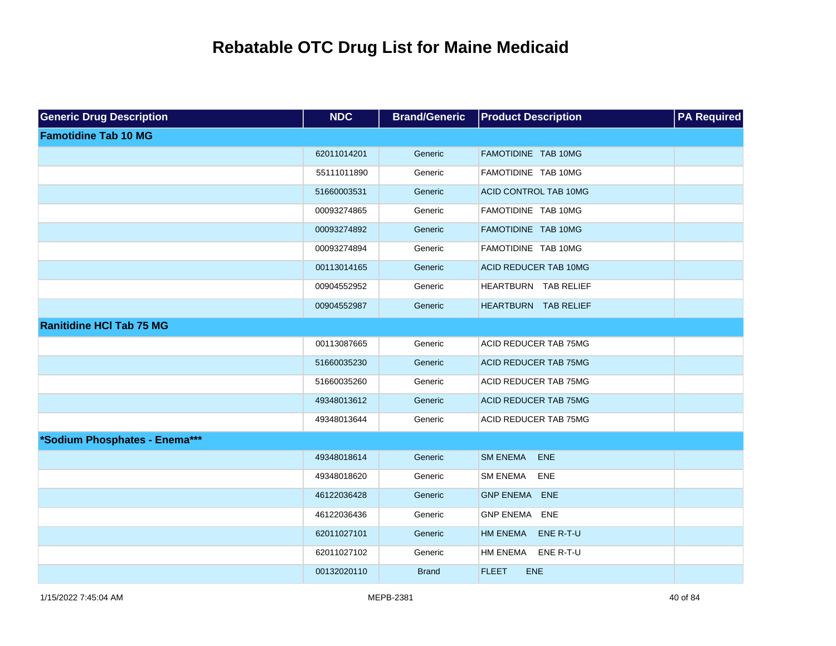| <b>Generic Drug Description</b> | <b>NDC</b>  | <b>Brand/Generic</b> | <b>Product Description</b>    | <b>PA Required</b> |
|---------------------------------|-------------|----------------------|-------------------------------|--------------------|
| <b>Famotidine Tab 10 MG</b>     |             |                      |                               |                    |
|                                 | 62011014201 | Generic              | FAMOTIDINE TAB 10MG           |                    |
|                                 | 55111011890 | Generic              | FAMOTIDINE TAB 10MG           |                    |
|                                 | 51660003531 | Generic              | ACID CONTROL TAB 10MG         |                    |
|                                 | 00093274865 | Generic              | FAMOTIDINE TAB 10MG           |                    |
|                                 | 00093274892 | Generic              | FAMOTIDINE TAB 10MG           |                    |
|                                 | 00093274894 | Generic              | FAMOTIDINE TAB 10MG           |                    |
|                                 | 00113014165 | Generic              | ACID REDUCER TAB 10MG         |                    |
|                                 | 00904552952 | Generic              | HEARTBURN TAB RELIEF          |                    |
|                                 | 00904552987 | Generic              | HEARTBURN TAB RELIEF          |                    |
| <b>Ranitidine HCI Tab 75 MG</b> |             |                      |                               |                    |
|                                 | 00113087665 | Generic              | ACID REDUCER TAB 75MG         |                    |
|                                 | 51660035230 | Generic              | <b>ACID REDUCER TAB 75MG</b>  |                    |
|                                 | 51660035260 | Generic              | ACID REDUCER TAB 75MG         |                    |
|                                 | 49348013612 | Generic              | <b>ACID REDUCER TAB 75MG</b>  |                    |
|                                 | 49348013644 | Generic              | ACID REDUCER TAB 75MG         |                    |
| *Sodium Phosphates - Enema***   |             |                      |                               |                    |
|                                 | 49348018614 | Generic              | <b>SM ENEMA</b><br><b>ENE</b> |                    |
|                                 | 49348018620 | Generic              | <b>SM ENEMA</b><br>ENE        |                    |
|                                 | 46122036428 | Generic              | <b>GNP ENEMA ENE</b>          |                    |
|                                 | 46122036436 | Generic              | <b>GNP ENEMA ENE</b>          |                    |
|                                 | 62011027101 | Generic              | <b>HM ENEMA</b><br>ENE R-T-U  |                    |
|                                 | 62011027102 | Generic              | ENE R-T-U<br><b>HM ENEMA</b>  |                    |
|                                 | 00132020110 | <b>Brand</b>         | <b>FLEET</b><br><b>ENE</b>    |                    |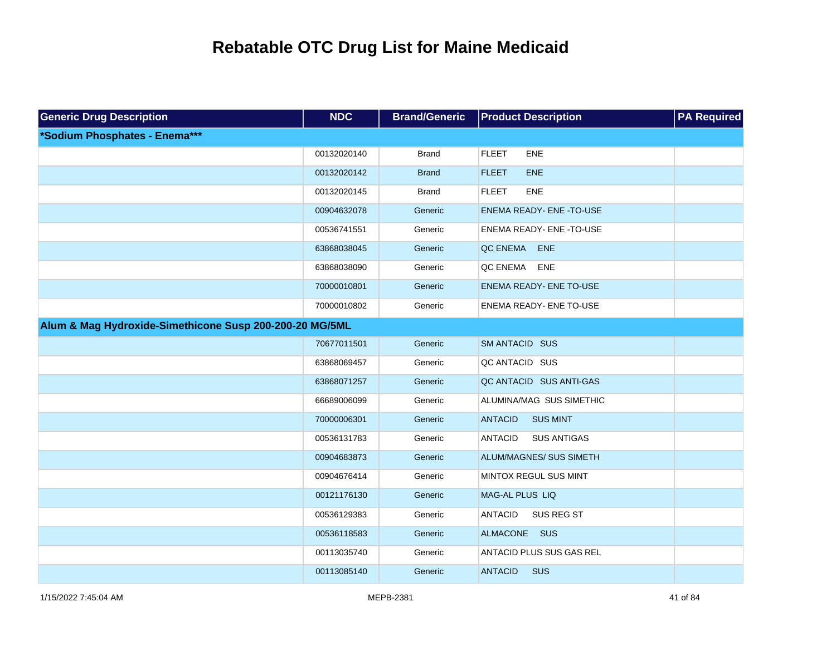| <b>Generic Drug Description</b>                         | <b>NDC</b>  | <b>Brand/Generic</b> | <b>Product Description</b>           | <b>PA Required</b> |
|---------------------------------------------------------|-------------|----------------------|--------------------------------------|--------------------|
| *Sodium Phosphates - Enema***                           |             |                      |                                      |                    |
|                                                         | 00132020140 | <b>Brand</b>         | <b>FLEET</b><br><b>ENE</b>           |                    |
|                                                         | 00132020142 | <b>Brand</b>         | <b>FLEET</b><br><b>ENE</b>           |                    |
|                                                         | 00132020145 | <b>Brand</b>         | <b>FLEET</b><br>ENE                  |                    |
|                                                         | 00904632078 | Generic              | ENEMA READY- ENE - TO-USE            |                    |
|                                                         | 00536741551 | Generic              | ENEMA READY- ENE -TO-USE             |                    |
|                                                         | 63868038045 | Generic              | QC ENEMA<br>ENE                      |                    |
|                                                         | 63868038090 | Generic              | QC ENEMA<br><b>ENE</b>               |                    |
|                                                         | 70000010801 | Generic              | ENEMA READY- ENE TO-USE              |                    |
|                                                         | 70000010802 | Generic              | ENEMA READY- ENE TO-USE              |                    |
| Alum & Mag Hydroxide-Simethicone Susp 200-200-20 MG/5ML |             |                      |                                      |                    |
|                                                         | 70677011501 | Generic              | SM ANTACID SUS                       |                    |
|                                                         | 63868069457 | Generic              | QC ANTACID SUS                       |                    |
|                                                         | 63868071257 | Generic              | QC ANTACID SUS ANTI-GAS              |                    |
|                                                         | 66689006099 | Generic              | ALUMINA/MAG SUS SIMETHIC             |                    |
|                                                         | 70000006301 | Generic              | <b>ANTACID</b><br><b>SUS MINT</b>    |                    |
|                                                         | 00536131783 | Generic              | <b>SUS ANTIGAS</b><br><b>ANTACID</b> |                    |
|                                                         | 00904683873 | Generic              | ALUM/MAGNES/ SUS SIMETH              |                    |
|                                                         | 00904676414 | Generic              | MINTOX REGUL SUS MINT                |                    |
|                                                         | 00121176130 | Generic              | MAG-AL PLUS LIQ                      |                    |
|                                                         | 00536129383 | Generic              | <b>ANTACID</b><br>SUS REG ST         |                    |
|                                                         | 00536118583 | Generic              | ALMACONE SUS                         |                    |
|                                                         | 00113035740 | Generic              | ANTACID PLUS SUS GAS REL             |                    |
|                                                         | 00113085140 | Generic              | <b>ANTACID</b><br><b>SUS</b>         |                    |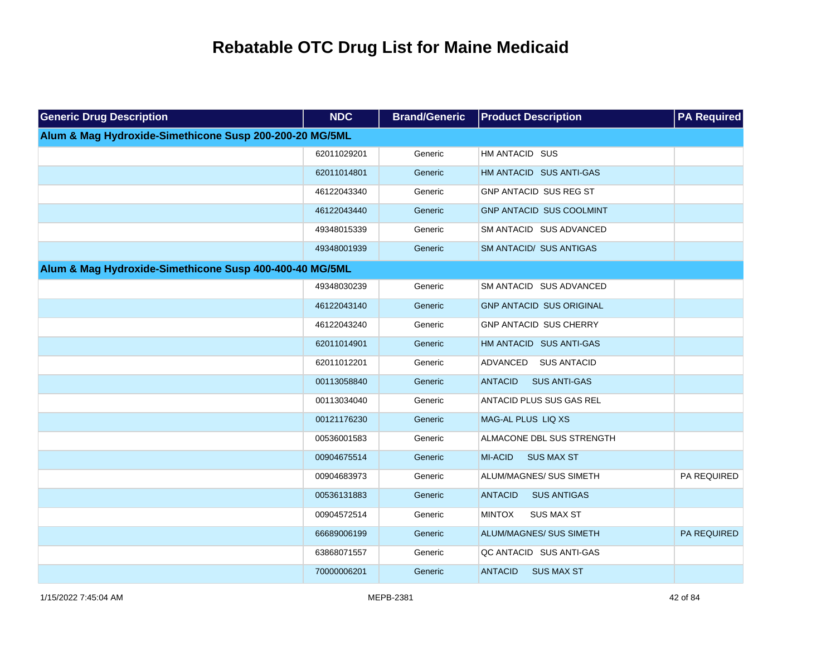| <b>Generic Drug Description</b>                         | <b>NDC</b>  | <b>Brand/Generic</b> | <b>Product Description</b>            | <b>PA Required</b> |
|---------------------------------------------------------|-------------|----------------------|---------------------------------------|--------------------|
| Alum & Mag Hydroxide-Simethicone Susp 200-200-20 MG/5ML |             |                      |                                       |                    |
|                                                         | 62011029201 | Generic              | HM ANTACID SUS                        |                    |
|                                                         | 62011014801 | Generic              | HM ANTACID SUS ANTI-GAS               |                    |
|                                                         | 46122043340 | Generic              | GNP ANTACID SUS REG ST                |                    |
|                                                         | 46122043440 | Generic              | <b>GNP ANTACID SUS COOLMINT</b>       |                    |
|                                                         | 49348015339 | Generic              | SM ANTACID SUS ADVANCED               |                    |
|                                                         | 49348001939 | Generic              | SM ANTACID/ SUS ANTIGAS               |                    |
| Alum & Mag Hydroxide-Simethicone Susp 400-400-40 MG/5ML |             |                      |                                       |                    |
|                                                         | 49348030239 | Generic              | SM ANTACID SUS ADVANCED               |                    |
|                                                         | 46122043140 | Generic              | <b>GNP ANTACID SUS ORIGINAL</b>       |                    |
|                                                         | 46122043240 | Generic              | GNP ANTACID SUS CHERRY                |                    |
|                                                         | 62011014901 | Generic              | HM ANTACID SUS ANTI-GAS               |                    |
|                                                         | 62011012201 | Generic              | ADVANCED SUS ANTACID                  |                    |
|                                                         | 00113058840 | Generic              | <b>ANTACID</b><br><b>SUS ANTI-GAS</b> |                    |
|                                                         | 00113034040 | Generic              | ANTACID PLUS SUS GAS REL              |                    |
|                                                         | 00121176230 | Generic              | MAG-AL PLUS LIQ XS                    |                    |
|                                                         | 00536001583 | Generic              | ALMACONE DBL SUS STRENGTH             |                    |
|                                                         | 00904675514 | Generic              | MI-ACID<br><b>SUS MAX ST</b>          |                    |
|                                                         | 00904683973 | Generic              | ALUM/MAGNES/ SUS SIMETH               | PA REQUIRED        |
|                                                         | 00536131883 | Generic              | <b>ANTACID</b><br><b>SUS ANTIGAS</b>  |                    |
|                                                         | 00904572514 | Generic              | <b>MINTOX</b><br><b>SUS MAX ST</b>    |                    |
|                                                         | 66689006199 | Generic              | ALUM/MAGNES/ SUS SIMETH               | <b>PA REQUIRED</b> |
|                                                         | 63868071557 | Generic              | QC ANTACID SUS ANTI-GAS               |                    |
|                                                         | 70000006201 | Generic              | <b>ANTACID</b><br><b>SUS MAX ST</b>   |                    |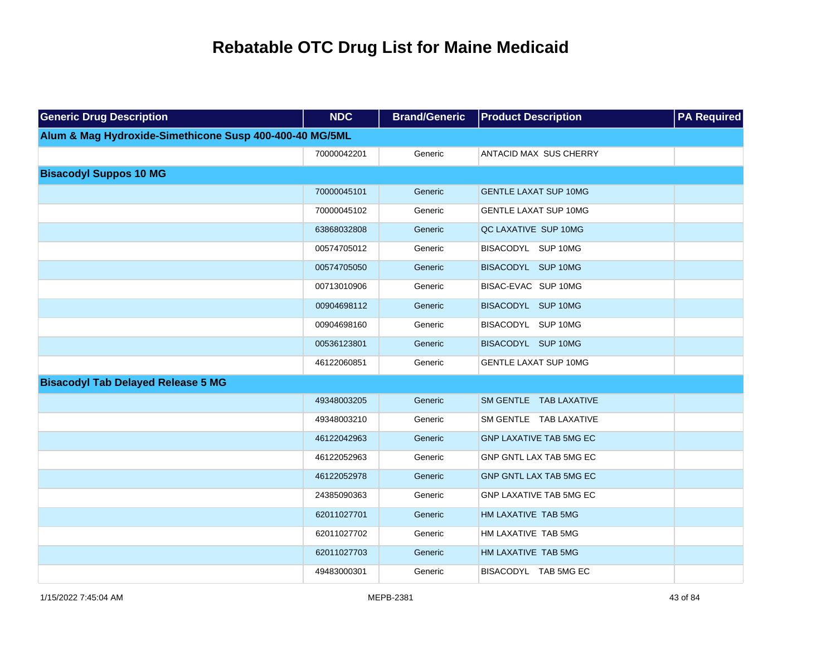| <b>Generic Drug Description</b>                         | <b>NDC</b>  | <b>Brand/Generic</b> | <b>Product Description</b>     | <b>PA Required</b> |
|---------------------------------------------------------|-------------|----------------------|--------------------------------|--------------------|
| Alum & Mag Hydroxide-Simethicone Susp 400-400-40 MG/5ML |             |                      |                                |                    |
|                                                         | 70000042201 | Generic              | ANTACID MAX SUS CHERRY         |                    |
| <b>Bisacodyl Suppos 10 MG</b>                           |             |                      |                                |                    |
|                                                         | 70000045101 | Generic              | <b>GENTLE LAXAT SUP 10MG</b>   |                    |
|                                                         | 70000045102 | Generic              | <b>GENTLE LAXAT SUP 10MG</b>   |                    |
|                                                         | 63868032808 | Generic              | QC LAXATIVE SUP 10MG           |                    |
|                                                         | 00574705012 | Generic              | BISACODYL SUP 10MG             |                    |
|                                                         | 00574705050 | Generic              | BISACODYL SUP 10MG             |                    |
|                                                         | 00713010906 | Generic              | BISAC-EVAC SUP 10MG            |                    |
|                                                         | 00904698112 | Generic              | BISACODYL SUP 10MG             |                    |
|                                                         | 00904698160 | Generic              | BISACODYL SUP 10MG             |                    |
|                                                         | 00536123801 | Generic              | BISACODYL SUP 10MG             |                    |
|                                                         | 46122060851 | Generic              | <b>GENTLE LAXAT SUP 10MG</b>   |                    |
| <b>Bisacodyl Tab Delayed Release 5 MG</b>               |             |                      |                                |                    |
|                                                         | 49348003205 | Generic              | SM GENTLE TAB LAXATIVE         |                    |
|                                                         | 49348003210 | Generic              | SM GENTLE TAB LAXATIVE         |                    |
|                                                         | 46122042963 | Generic              | <b>GNP LAXATIVE TAB 5MG EC</b> |                    |
|                                                         | 46122052963 | Generic              | GNP GNTL LAX TAB 5MG EC        |                    |
|                                                         | 46122052978 | Generic              | GNP GNTL LAX TAB 5MG EC        |                    |
|                                                         | 24385090363 | Generic              | <b>GNP LAXATIVE TAB 5MG EC</b> |                    |
|                                                         | 62011027701 | Generic              | HM LAXATIVE TAB 5MG            |                    |
|                                                         | 62011027702 | Generic              | HM LAXATIVE TAB 5MG            |                    |
|                                                         | 62011027703 | Generic              | HM LAXATIVE TAB 5MG            |                    |
|                                                         | 49483000301 | Generic              | BISACODYL TAB 5MG EC           |                    |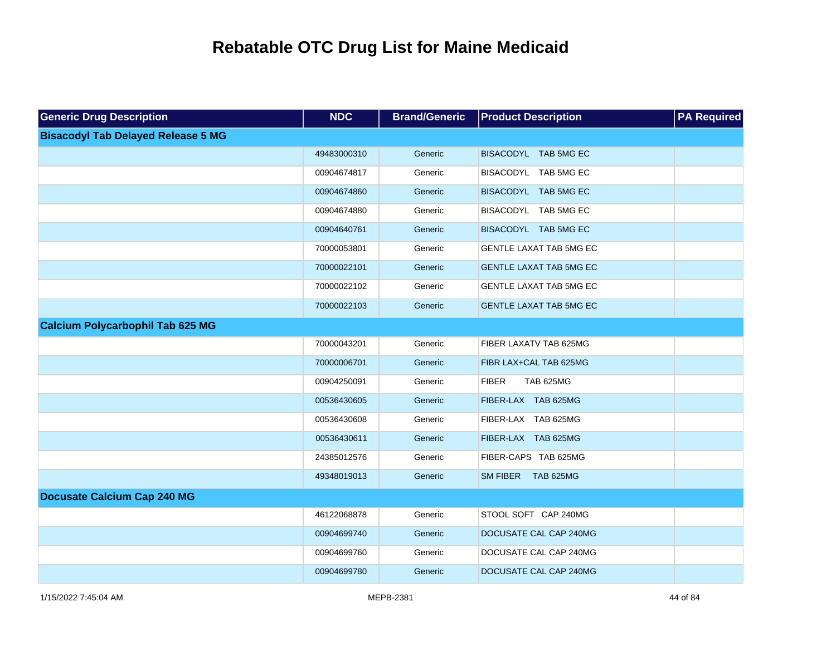| <b>Generic Drug Description</b>           | <b>NDC</b>  | <b>Brand/Generic</b> | <b>Product Description</b>       | <b>PA Required</b> |
|-------------------------------------------|-------------|----------------------|----------------------------------|--------------------|
| <b>Bisacodyl Tab Delayed Release 5 MG</b> |             |                      |                                  |                    |
|                                           | 49483000310 | Generic              | BISACODYL TAB 5MG EC             |                    |
|                                           | 00904674817 | Generic              | BISACODYL TAB 5MG EC             |                    |
|                                           | 00904674860 | Generic              | BISACODYL TAB 5MG EC             |                    |
|                                           | 00904674880 | Generic              | BISACODYL TAB 5MG EC             |                    |
|                                           | 00904640761 | Generic              | BISACODYL TAB 5MG EC             |                    |
|                                           | 70000053801 | Generic              | GENTLE LAXAT TAB 5MG EC          |                    |
|                                           | 70000022101 | Generic              | <b>GENTLE LAXAT TAB 5MG EC</b>   |                    |
|                                           | 70000022102 | Generic              | GENTLE LAXAT TAB 5MG EC          |                    |
|                                           | 70000022103 | Generic              | <b>GENTLE LAXAT TAB 5MG EC</b>   |                    |
| <b>Calcium Polycarbophil Tab 625 MG</b>   |             |                      |                                  |                    |
|                                           | 70000043201 | Generic              | FIBER LAXATV TAB 625MG           |                    |
|                                           | 70000006701 | Generic              | FIBR LAX+CAL TAB 625MG           |                    |
|                                           | 00904250091 | Generic              | <b>FIBER</b><br><b>TAB 625MG</b> |                    |
|                                           | 00536430605 | Generic              | FIBER-LAX TAB 625MG              |                    |
|                                           | 00536430608 | Generic              | FIBER-LAX TAB 625MG              |                    |
|                                           | 00536430611 | Generic              | FIBER-LAX TAB 625MG              |                    |
|                                           | 24385012576 | Generic              | FIBER-CAPS TAB 625MG             |                    |
|                                           | 49348019013 | Generic              | SM FIBER TAB 625MG               |                    |
| <b>Docusate Calcium Cap 240 MG</b>        |             |                      |                                  |                    |
|                                           | 46122068878 | Generic              | STOOL SOFT CAP 240MG             |                    |
|                                           | 00904699740 | Generic              | DOCUSATE CAL CAP 240MG           |                    |
|                                           | 00904699760 | Generic              | DOCUSATE CAL CAP 240MG           |                    |
|                                           | 00904699780 | Generic              | DOCUSATE CAL CAP 240MG           |                    |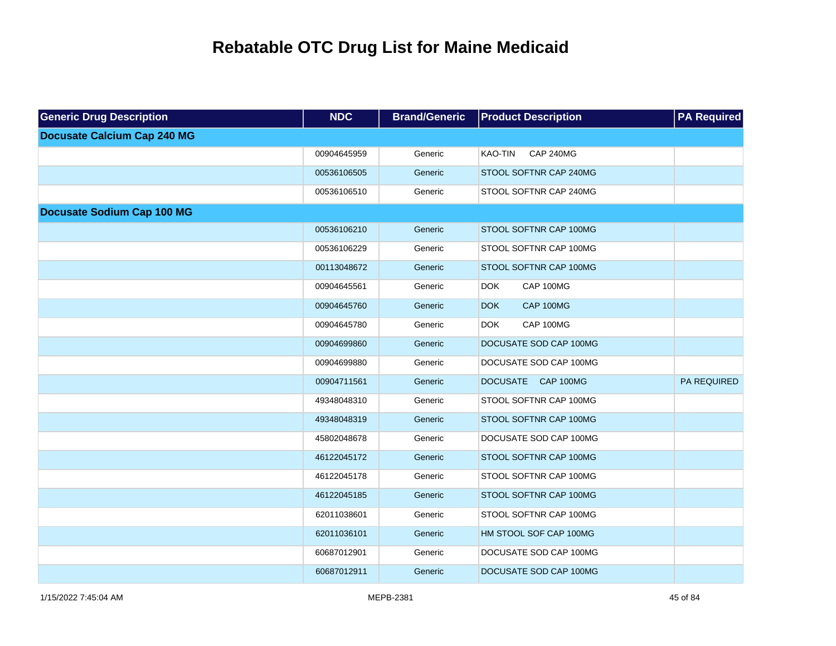| <b>Generic Drug Description</b>    | <b>NDC</b>  | <b>Brand/Generic</b> | <b>Product Description</b>         | <b>PA Required</b> |
|------------------------------------|-------------|----------------------|------------------------------------|--------------------|
| <b>Docusate Calcium Cap 240 MG</b> |             |                      |                                    |                    |
|                                    | 00904645959 | Generic              | <b>CAP 240MG</b><br><b>KAO-TIN</b> |                    |
|                                    | 00536106505 | Generic              | STOOL SOFTNR CAP 240MG             |                    |
|                                    | 00536106510 | Generic              | STOOL SOFTNR CAP 240MG             |                    |
| <b>Docusate Sodium Cap 100 MG</b>  |             |                      |                                    |                    |
|                                    | 00536106210 | Generic              | STOOL SOFTNR CAP 100MG             |                    |
|                                    | 00536106229 | Generic              | STOOL SOFTNR CAP 100MG             |                    |
|                                    | 00113048672 | Generic              | STOOL SOFTNR CAP 100MG             |                    |
|                                    | 00904645561 | Generic              | CAP 100MG<br><b>DOK</b>            |                    |
|                                    | 00904645760 | Generic              | CAP 100MG<br><b>DOK</b>            |                    |
|                                    | 00904645780 | Generic              | CAP 100MG<br><b>DOK</b>            |                    |
|                                    | 00904699860 | Generic              | DOCUSATE SOD CAP 100MG             |                    |
|                                    | 00904699880 | Generic              | DOCUSATE SOD CAP 100MG             |                    |
|                                    | 00904711561 | Generic              | DOCUSATE CAP 100MG                 | PA REQUIRED        |
|                                    | 49348048310 | Generic              | STOOL SOFTNR CAP 100MG             |                    |
|                                    | 49348048319 | Generic              | STOOL SOFTNR CAP 100MG             |                    |
|                                    | 45802048678 | Generic              | DOCUSATE SOD CAP 100MG             |                    |
|                                    | 46122045172 | Generic              | STOOL SOFTNR CAP 100MG             |                    |
|                                    | 46122045178 | Generic              | STOOL SOFTNR CAP 100MG             |                    |
|                                    | 46122045185 | Generic              | STOOL SOFTNR CAP 100MG             |                    |
|                                    | 62011038601 | Generic              | STOOL SOFTNR CAP 100MG             |                    |
|                                    | 62011036101 | Generic              | HM STOOL SOF CAP 100MG             |                    |
|                                    | 60687012901 | Generic              | DOCUSATE SOD CAP 100MG             |                    |
|                                    | 60687012911 | Generic              | DOCUSATE SOD CAP 100MG             |                    |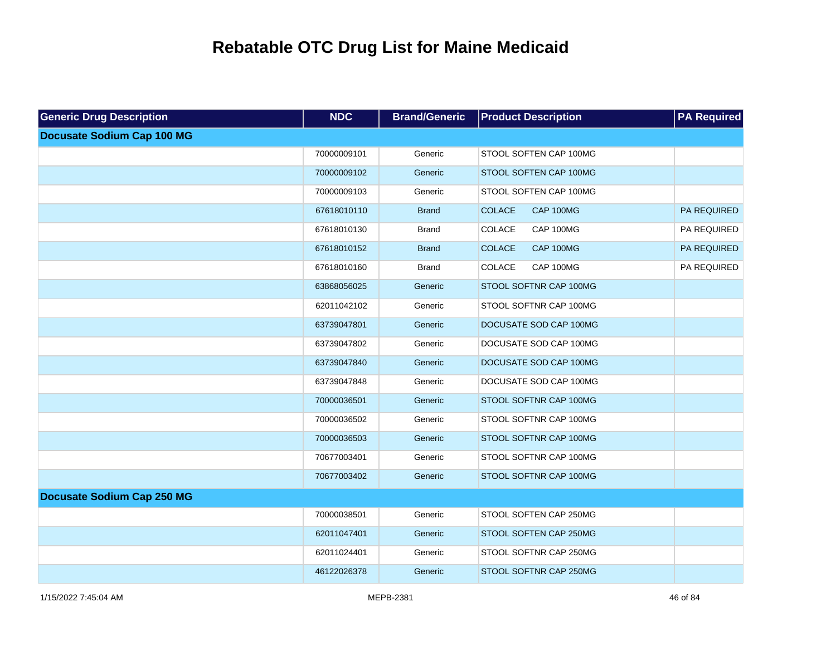| <b>Generic Drug Description</b>   | <b>NDC</b>  | <b>Brand/Generic</b> | <b>Product Description</b>        | <b>PA Required</b> |
|-----------------------------------|-------------|----------------------|-----------------------------------|--------------------|
| <b>Docusate Sodium Cap 100 MG</b> |             |                      |                                   |                    |
|                                   | 70000009101 | Generic              | STOOL SOFTEN CAP 100MG            |                    |
|                                   | 70000009102 | Generic              | STOOL SOFTEN CAP 100MG            |                    |
|                                   | 70000009103 | Generic              | STOOL SOFTEN CAP 100MG            |                    |
|                                   | 67618010110 | <b>Brand</b>         | <b>COLACE</b><br>CAP 100MG        | <b>PA REQUIRED</b> |
|                                   | 67618010130 | <b>Brand</b>         | COLACE<br>CAP 100MG               | PA REQUIRED        |
|                                   | 67618010152 | <b>Brand</b>         | <b>COLACE</b><br><b>CAP 100MG</b> | PA REQUIRED        |
|                                   | 67618010160 | <b>Brand</b>         | COLACE<br>CAP 100MG               | PA REQUIRED        |
|                                   | 63868056025 | Generic              | STOOL SOFTNR CAP 100MG            |                    |
|                                   | 62011042102 | Generic              | STOOL SOFTNR CAP 100MG            |                    |
|                                   | 63739047801 | Generic              | DOCUSATE SOD CAP 100MG            |                    |
|                                   | 63739047802 | Generic              | DOCUSATE SOD CAP 100MG            |                    |
|                                   | 63739047840 | Generic              | DOCUSATE SOD CAP 100MG            |                    |
|                                   | 63739047848 | Generic              | DOCUSATE SOD CAP 100MG            |                    |
|                                   | 70000036501 | Generic              | STOOL SOFTNR CAP 100MG            |                    |
|                                   | 70000036502 | Generic              | STOOL SOFTNR CAP 100MG            |                    |
|                                   | 70000036503 | Generic              | STOOL SOFTNR CAP 100MG            |                    |
|                                   | 70677003401 | Generic              | STOOL SOFTNR CAP 100MG            |                    |
|                                   | 70677003402 | Generic              | STOOL SOFTNR CAP 100MG            |                    |
| <b>Docusate Sodium Cap 250 MG</b> |             |                      |                                   |                    |
|                                   | 70000038501 | Generic              | STOOL SOFTEN CAP 250MG            |                    |
|                                   | 62011047401 | Generic              | STOOL SOFTEN CAP 250MG            |                    |
|                                   | 62011024401 | Generic              | STOOL SOFTNR CAP 250MG            |                    |
|                                   | 46122026378 | Generic              | STOOL SOFTNR CAP 250MG            |                    |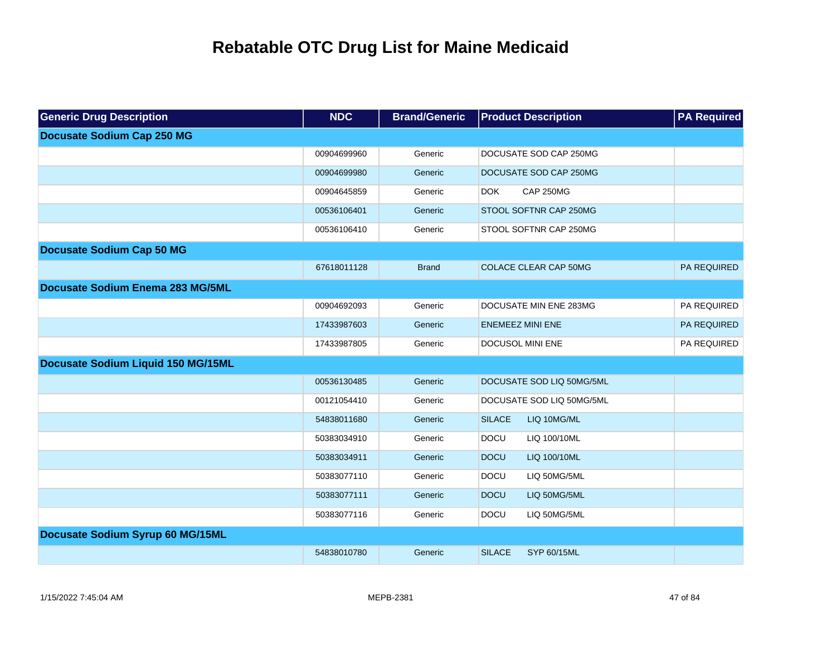| <b>Generic Drug Description</b>    | <b>NDC</b>  | <b>Brand/Generic</b> | <b>Product Description</b>          | <b>PA Required</b> |
|------------------------------------|-------------|----------------------|-------------------------------------|--------------------|
| <b>Docusate Sodium Cap 250 MG</b>  |             |                      |                                     |                    |
|                                    | 00904699960 | Generic              | DOCUSATE SOD CAP 250MG              |                    |
|                                    | 00904699980 | Generic              | DOCUSATE SOD CAP 250MG              |                    |
|                                    | 00904645859 | Generic              | <b>CAP 250MG</b><br><b>DOK</b>      |                    |
|                                    | 00536106401 | Generic              | STOOL SOFTNR CAP 250MG              |                    |
|                                    | 00536106410 | Generic              | STOOL SOFTNR CAP 250MG              |                    |
| <b>Docusate Sodium Cap 50 MG</b>   |             |                      |                                     |                    |
|                                    | 67618011128 | <b>Brand</b>         | <b>COLACE CLEAR CAP 50MG</b>        | PA REQUIRED        |
| Docusate Sodium Enema 283 MG/5ML   |             |                      |                                     |                    |
|                                    | 00904692093 | Generic              | DOCUSATE MIN ENE 283MG              | PA REQUIRED        |
|                                    | 17433987603 | Generic              | <b>ENEMEEZ MINI ENE</b>             | PA REQUIRED        |
|                                    | 17433987805 | Generic              | DOCUSOL MINI ENE                    | PA REQUIRED        |
| Docusate Sodium Liquid 150 MG/15ML |             |                      |                                     |                    |
|                                    | 00536130485 | Generic              | DOCUSATE SOD LIQ 50MG/5ML           |                    |
|                                    | 00121054410 | Generic              | DOCUSATE SOD LIQ 50MG/5ML           |                    |
|                                    | 54838011680 | Generic              | <b>SILACE</b><br>LIQ 10MG/ML        |                    |
|                                    | 50383034910 | Generic              | <b>DOCU</b><br>LIQ 100/10ML         |                    |
|                                    | 50383034911 | Generic              | <b>DOCU</b><br>LIQ 100/10ML         |                    |
|                                    | 50383077110 | Generic              | <b>DOCU</b><br>LIQ 50MG/5ML         |                    |
|                                    | 50383077111 | Generic              | <b>DOCU</b><br>LIQ 50MG/5ML         |                    |
|                                    | 50383077116 | Generic              | <b>DOCU</b><br>LIQ 50MG/5ML         |                    |
| Docusate Sodium Syrup 60 MG/15ML   |             |                      |                                     |                    |
|                                    | 54838010780 | Generic              | <b>SILACE</b><br><b>SYP 60/15ML</b> |                    |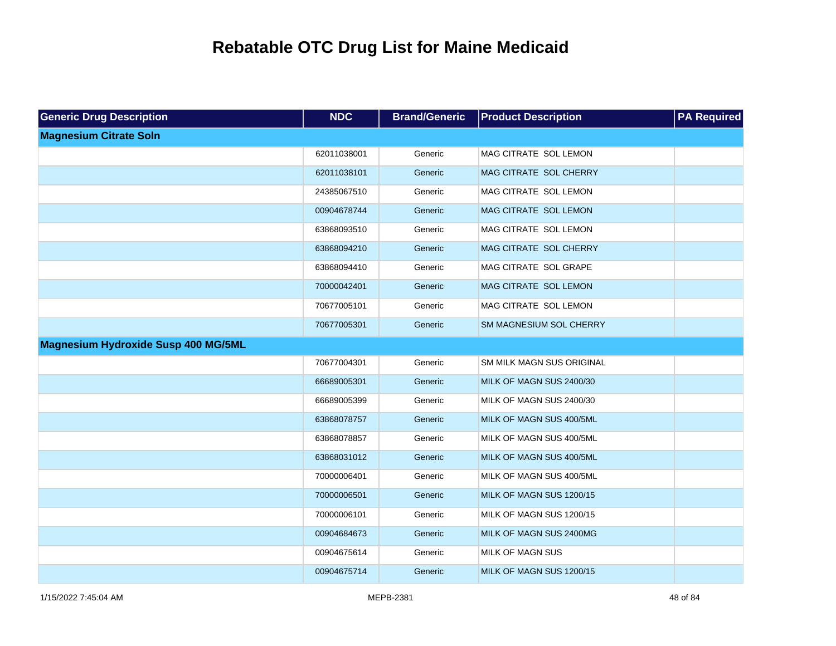| <b>Generic Drug Description</b>            | <b>NDC</b>  | <b>Brand/Generic</b> | <b>Product Description</b> | <b>PA Required</b> |
|--------------------------------------------|-------------|----------------------|----------------------------|--------------------|
| <b>Magnesium Citrate Soln</b>              |             |                      |                            |                    |
|                                            | 62011038001 | Generic              | MAG CITRATE SOL LEMON      |                    |
|                                            | 62011038101 | Generic              | MAG CITRATE SOL CHERRY     |                    |
|                                            | 24385067510 | Generic              | MAG CITRATE SOL LEMON      |                    |
|                                            | 00904678744 | Generic              | MAG CITRATE SOL LEMON      |                    |
|                                            | 63868093510 | Generic              | MAG CITRATE SOL LEMON      |                    |
|                                            | 63868094210 | Generic              | MAG CITRATE SOL CHERRY     |                    |
|                                            | 63868094410 | Generic              | MAG CITRATE SOL GRAPE      |                    |
|                                            | 70000042401 | Generic              | MAG CITRATE SOL LEMON      |                    |
|                                            | 70677005101 | Generic              | MAG CITRATE SOL LEMON      |                    |
|                                            | 70677005301 | Generic              | SM MAGNESIUM SOL CHERRY    |                    |
| <b>Magnesium Hydroxide Susp 400 MG/5ML</b> |             |                      |                            |                    |
|                                            | 70677004301 | Generic              | SM MILK MAGN SUS ORIGINAL  |                    |
|                                            | 66689005301 | Generic              | MILK OF MAGN SUS 2400/30   |                    |
|                                            | 66689005399 | Generic              | MILK OF MAGN SUS 2400/30   |                    |
|                                            | 63868078757 | Generic              | MILK OF MAGN SUS 400/5ML   |                    |
|                                            | 63868078857 | Generic              | MILK OF MAGN SUS 400/5ML   |                    |
|                                            | 63868031012 | Generic              | MILK OF MAGN SUS 400/5ML   |                    |
|                                            | 70000006401 | Generic              | MILK OF MAGN SUS 400/5ML   |                    |
|                                            | 70000006501 | Generic              | MILK OF MAGN SUS 1200/15   |                    |
|                                            | 70000006101 | Generic              | MILK OF MAGN SUS 1200/15   |                    |
|                                            | 00904684673 | Generic              | MILK OF MAGN SUS 2400MG    |                    |
|                                            | 00904675614 | Generic              | <b>MILK OF MAGN SUS</b>    |                    |
|                                            | 00904675714 | Generic              | MILK OF MAGN SUS 1200/15   |                    |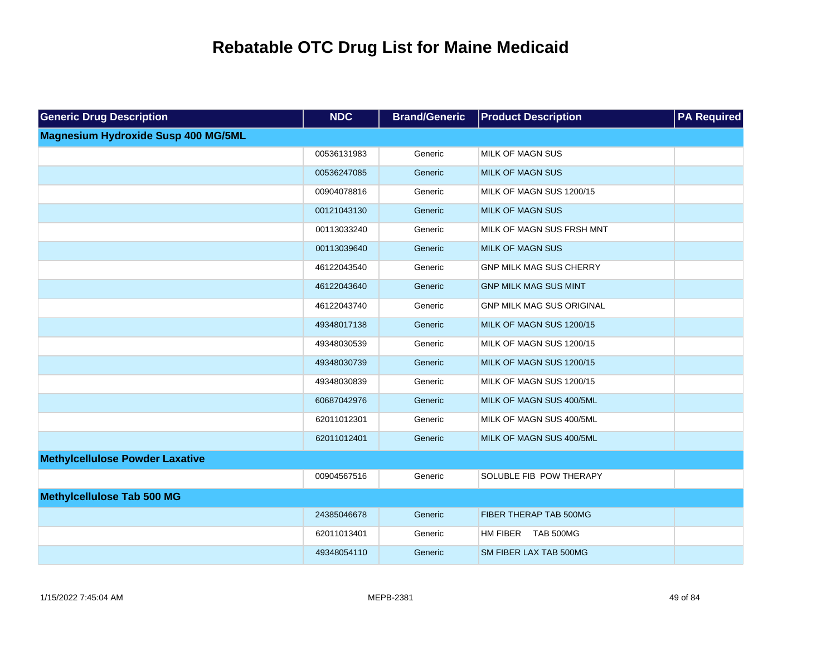| <b>Generic Drug Description</b>            | <b>NDC</b>  | <b>Brand/Generic</b> | <b>Product Description</b>       | <b>PA Required</b> |
|--------------------------------------------|-------------|----------------------|----------------------------------|--------------------|
| <b>Magnesium Hydroxide Susp 400 MG/5ML</b> |             |                      |                                  |                    |
|                                            | 00536131983 | Generic              | <b>MILK OF MAGN SUS</b>          |                    |
|                                            | 00536247085 | Generic              | <b>MILK OF MAGN SUS</b>          |                    |
|                                            | 00904078816 | Generic              | MILK OF MAGN SUS 1200/15         |                    |
|                                            | 00121043130 | Generic              | <b>MILK OF MAGN SUS</b>          |                    |
|                                            | 00113033240 | Generic              | MILK OF MAGN SUS FRSH MNT        |                    |
|                                            | 00113039640 | Generic              | <b>MILK OF MAGN SUS</b>          |                    |
|                                            | 46122043540 | Generic              | <b>GNP MILK MAG SUS CHERRY</b>   |                    |
|                                            | 46122043640 | Generic              | <b>GNP MILK MAG SUS MINT</b>     |                    |
|                                            | 46122043740 | Generic              | <b>GNP MILK MAG SUS ORIGINAL</b> |                    |
|                                            | 49348017138 | Generic              | MILK OF MAGN SUS 1200/15         |                    |
|                                            | 49348030539 | Generic              | MILK OF MAGN SUS 1200/15         |                    |
|                                            | 49348030739 | Generic              | MILK OF MAGN SUS 1200/15         |                    |
|                                            | 49348030839 | Generic              | MILK OF MAGN SUS 1200/15         |                    |
|                                            | 60687042976 | Generic              | MILK OF MAGN SUS 400/5ML         |                    |
|                                            | 62011012301 | Generic              | MILK OF MAGN SUS 400/5ML         |                    |
|                                            | 62011012401 | Generic              | MILK OF MAGN SUS 400/5ML         |                    |
| <b>Methylcellulose Powder Laxative</b>     |             |                      |                                  |                    |
|                                            | 00904567516 | Generic              | SOLUBLE FIB POW THERAPY          |                    |
| <b>Methylcellulose Tab 500 MG</b>          |             |                      |                                  |                    |
|                                            | 24385046678 | Generic              | FIBER THERAP TAB 500MG           |                    |
|                                            | 62011013401 | Generic              | HM FIBER<br>TAB 500MG            |                    |
|                                            | 49348054110 | Generic              | SM FIBER LAX TAB 500MG           |                    |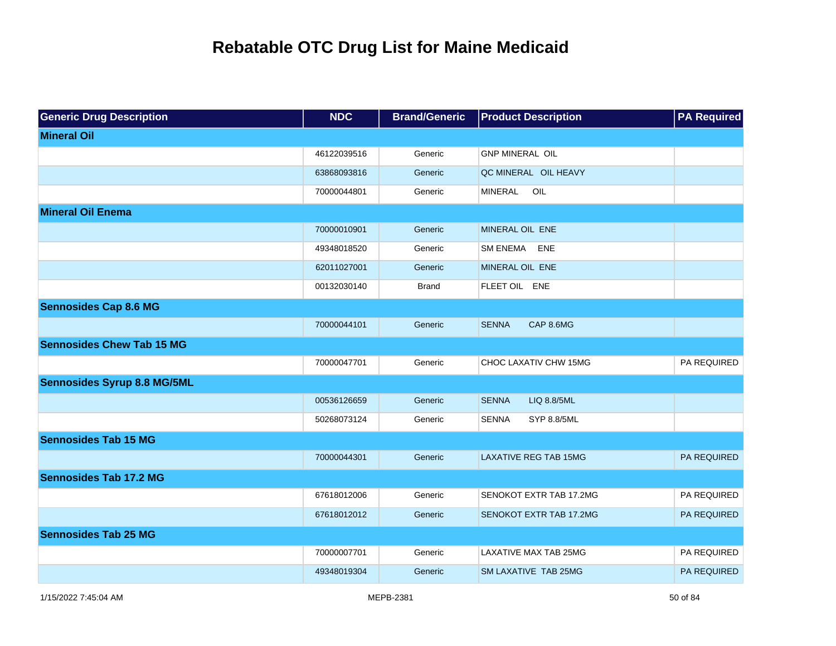| <b>Generic Drug Description</b>    | <b>NDC</b>  | <b>Brand/Generic</b> | <b>Product Description</b>   | <b>PA Required</b> |
|------------------------------------|-------------|----------------------|------------------------------|--------------------|
| <b>Mineral Oil</b>                 |             |                      |                              |                    |
|                                    | 46122039516 | Generic              | <b>GNP MINERAL OIL</b>       |                    |
|                                    | 63868093816 | Generic              | QC MINERAL OIL HEAVY         |                    |
|                                    | 70000044801 | Generic              | OIL<br><b>MINERAL</b>        |                    |
| <b>Mineral Oil Enema</b>           |             |                      |                              |                    |
|                                    | 70000010901 | Generic              | MINERAL OIL ENE              |                    |
|                                    | 49348018520 | Generic              | SM ENEMA ENE                 |                    |
|                                    | 62011027001 | Generic              | MINERAL OIL ENE              |                    |
|                                    | 00132030140 | <b>Brand</b>         | FLEET OIL ENE                |                    |
| <b>Sennosides Cap 8.6 MG</b>       |             |                      |                              |                    |
|                                    | 70000044101 | Generic              | <b>SENNA</b><br>CAP 8.6MG    |                    |
| <b>Sennosides Chew Tab 15 MG</b>   |             |                      |                              |                    |
|                                    | 70000047701 | Generic              | CHOC LAXATIV CHW 15MG        | PA REQUIRED        |
| <b>Sennosides Syrup 8.8 MG/5ML</b> |             |                      |                              |                    |
|                                    | 00536126659 | Generic              | <b>SENNA</b><br>LIQ 8.8/5ML  |                    |
|                                    | 50268073124 | Generic              | SENNA<br>SYP 8.8/5ML         |                    |
| <b>Sennosides Tab 15 MG</b>        |             |                      |                              |                    |
|                                    | 70000044301 | Generic              | <b>LAXATIVE REG TAB 15MG</b> | PA REQUIRED        |
| <b>Sennosides Tab 17.2 MG</b>      |             |                      |                              |                    |
|                                    | 67618012006 | Generic              | SENOKOT EXTR TAB 17.2MG      | PA REQUIRED        |
|                                    | 67618012012 | Generic              | SENOKOT EXTR TAB 17,2MG      | <b>PA REQUIRED</b> |
| <b>Sennosides Tab 25 MG</b>        |             |                      |                              |                    |
|                                    | 70000007701 | Generic              | <b>LAXATIVE MAX TAB 25MG</b> | PA REQUIRED        |
|                                    | 49348019304 | Generic              | SM LAXATIVE TAB 25MG         | <b>PA REQUIRED</b> |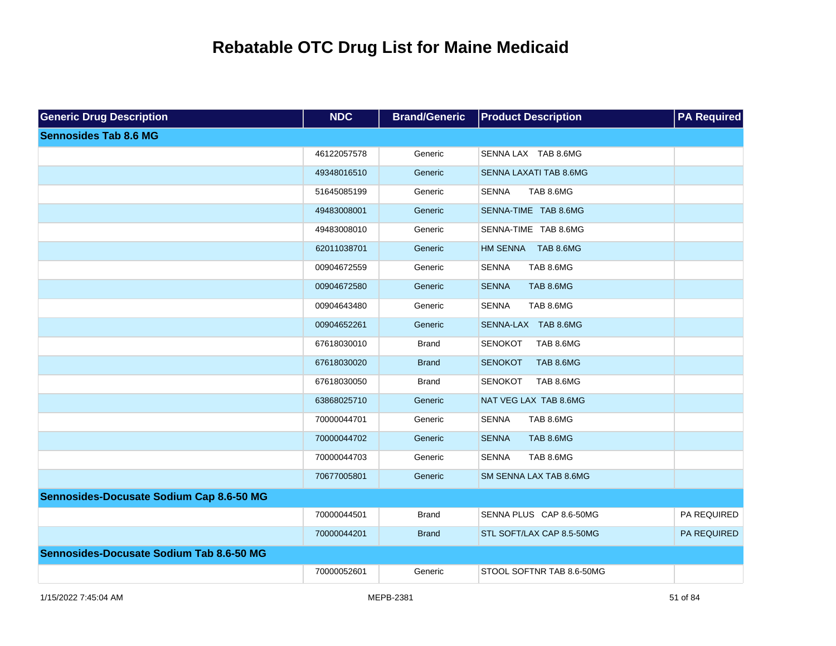| <b>Generic Drug Description</b>          | <b>NDC</b>  | <b>Brand/Generic</b> | <b>Product Description</b>  | <b>PA Required</b> |
|------------------------------------------|-------------|----------------------|-----------------------------|--------------------|
| <b>Sennosides Tab 8.6 MG</b>             |             |                      |                             |                    |
|                                          | 46122057578 | Generic              | SENNA LAX TAB 8.6MG         |                    |
|                                          | 49348016510 | Generic              | SENNA LAXATI TAB 8.6MG      |                    |
|                                          | 51645085199 | Generic              | <b>SENNA</b><br>TAB 8.6MG   |                    |
|                                          | 49483008001 | Generic              | SENNA-TIME TAB 8.6MG        |                    |
|                                          | 49483008010 | Generic              | SENNA-TIME TAB 8.6MG        |                    |
|                                          | 62011038701 | Generic              | HM SENNA TAB 8.6MG          |                    |
|                                          | 00904672559 | Generic              | <b>SENNA</b><br>TAB 8.6MG   |                    |
|                                          | 00904672580 | Generic              | TAB 8.6MG<br><b>SENNA</b>   |                    |
|                                          | 00904643480 | Generic              | <b>SENNA</b><br>TAB 8.6MG   |                    |
|                                          | 00904652261 | Generic              | SENNA-LAX TAB 8.6MG         |                    |
|                                          | 67618030010 | <b>Brand</b>         | <b>SENOKOT</b><br>TAB 8.6MG |                    |
|                                          | 67618030020 | <b>Brand</b>         | TAB 8.6MG<br><b>SENOKOT</b> |                    |
|                                          | 67618030050 | <b>Brand</b>         | <b>SENOKOT</b><br>TAB 8.6MG |                    |
|                                          | 63868025710 | Generic              | NAT VEG LAX TAB 8.6MG       |                    |
|                                          | 70000044701 | Generic              | <b>SENNA</b><br>TAB 8.6MG   |                    |
|                                          | 70000044702 | Generic              | <b>SENNA</b><br>TAB 8.6MG   |                    |
|                                          | 70000044703 | Generic              | <b>SENNA</b><br>TAB 8.6MG   |                    |
|                                          | 70677005801 | Generic              | SM SENNA LAX TAB 8.6MG      |                    |
| Sennosides-Docusate Sodium Cap 8.6-50 MG |             |                      |                             |                    |
|                                          | 70000044501 | <b>Brand</b>         | SENNA PLUS CAP 8.6-50MG     | PA REQUIRED        |
|                                          | 70000044201 | <b>Brand</b>         | STL SOFT/LAX CAP 8.5-50MG   | PA REQUIRED        |
| Sennosides-Docusate Sodium Tab 8.6-50 MG |             |                      |                             |                    |
|                                          | 70000052601 | Generic              | STOOL SOFTNR TAB 8.6-50MG   |                    |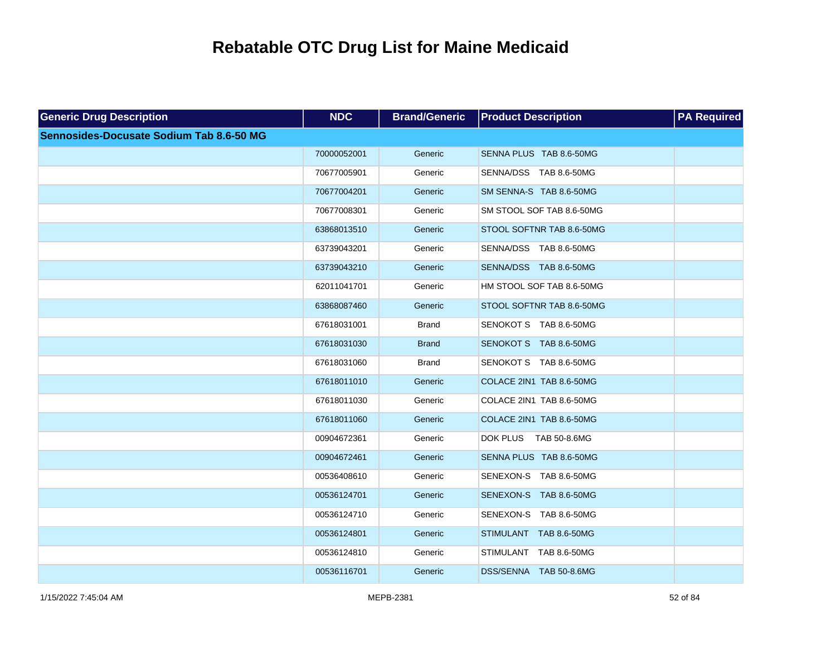| <b>Generic Drug Description</b>          | <b>NDC</b>  | <b>Brand/Generic</b> | <b>Product Description</b> | <b>PA Required</b> |
|------------------------------------------|-------------|----------------------|----------------------------|--------------------|
| Sennosides-Docusate Sodium Tab 8.6-50 MG |             |                      |                            |                    |
|                                          | 70000052001 | Generic              | SENNA PLUS TAB 8.6-50MG    |                    |
|                                          | 70677005901 | Generic              | SENNA/DSS TAB 8.6-50MG     |                    |
|                                          | 70677004201 | Generic              | SM SENNA-S TAB 8.6-50MG    |                    |
|                                          | 70677008301 | Generic              | SM STOOL SOF TAB 8.6-50MG  |                    |
|                                          | 63868013510 | Generic              | STOOL SOFTNR TAB 8.6-50MG  |                    |
|                                          | 63739043201 | Generic              | SENNA/DSS TAB 8.6-50MG     |                    |
|                                          | 63739043210 | Generic              | SENNA/DSS TAB 8.6-50MG     |                    |
|                                          | 62011041701 | Generic              | HM STOOL SOF TAB 8.6-50MG  |                    |
|                                          | 63868087460 | Generic              | STOOL SOFTNR TAB 8.6-50MG  |                    |
|                                          | 67618031001 | <b>Brand</b>         | SENOKOT S TAB 8.6-50MG     |                    |
|                                          | 67618031030 | <b>Brand</b>         | SENOKOT S TAB 8.6-50MG     |                    |
|                                          | 67618031060 | <b>Brand</b>         | SENOKOT S TAB 8.6-50MG     |                    |
|                                          | 67618011010 | Generic              | COLACE 2IN1 TAB 8.6-50MG   |                    |
|                                          | 67618011030 | Generic              | COLACE 2IN1 TAB 8.6-50MG   |                    |
|                                          | 67618011060 | Generic              | COLACE 2IN1 TAB 8.6-50MG   |                    |
|                                          | 00904672361 | Generic              | DOK PLUS TAB 50-8.6MG      |                    |
|                                          | 00904672461 | Generic              | SENNA PLUS TAB 8.6-50MG    |                    |
|                                          | 00536408610 | Generic              | SENEXON-S TAB 8.6-50MG     |                    |
|                                          | 00536124701 | Generic              | SENEXON-S TAB 8.6-50MG     |                    |
|                                          | 00536124710 | Generic              | SENEXON-S TAB 8.6-50MG     |                    |
|                                          | 00536124801 | Generic              | STIMULANT TAB 8.6-50MG     |                    |
|                                          | 00536124810 | Generic              | STIMULANT TAB 8.6-50MG     |                    |
|                                          | 00536116701 | Generic              | DSS/SENNA TAB 50-8.6MG     |                    |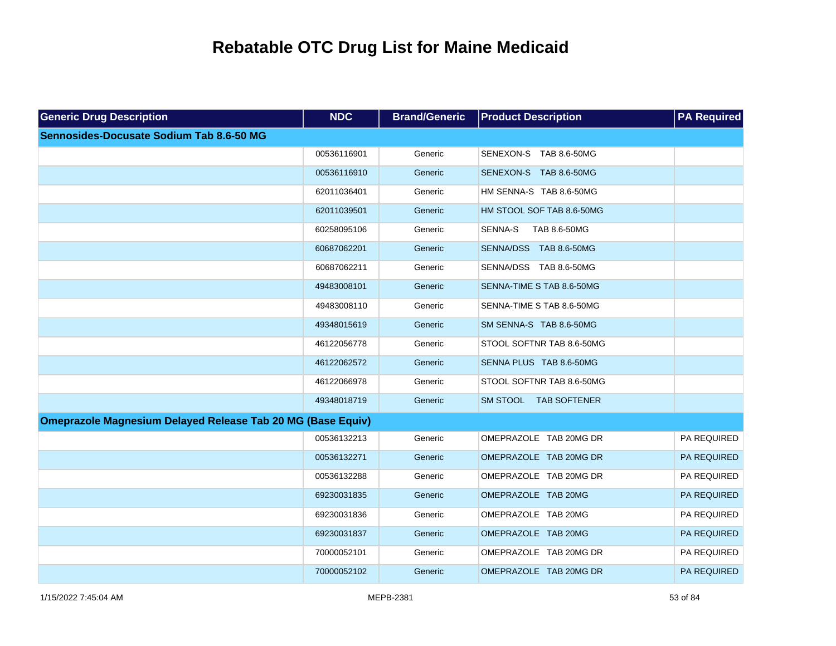| <b>Generic Drug Description</b>                                    | <b>NDC</b>  | <b>Brand/Generic</b> | <b>Product Description</b> | <b>PA Required</b> |
|--------------------------------------------------------------------|-------------|----------------------|----------------------------|--------------------|
| Sennosides-Docusate Sodium Tab 8.6-50 MG                           |             |                      |                            |                    |
|                                                                    | 00536116901 | Generic              | SENEXON-S TAB 8.6-50MG     |                    |
|                                                                    | 00536116910 | Generic              | SENEXON-S TAB 8.6-50MG     |                    |
|                                                                    | 62011036401 | Generic              | HM SENNA-S TAB 8.6-50MG    |                    |
|                                                                    | 62011039501 | Generic              | HM STOOL SOF TAB 8.6-50MG  |                    |
|                                                                    | 60258095106 | Generic              | TAB 8.6-50MG<br>SENNA-S    |                    |
|                                                                    | 60687062201 | Generic              | SENNA/DSS TAB 8.6-50MG     |                    |
|                                                                    | 60687062211 | Generic              | SENNA/DSS TAB 8.6-50MG     |                    |
|                                                                    | 49483008101 | Generic              | SENNA-TIME S TAB 8.6-50MG  |                    |
|                                                                    | 49483008110 | Generic              | SENNA-TIME S TAB 8.6-50MG  |                    |
|                                                                    | 49348015619 | Generic              | SM SENNA-S TAB 8.6-50MG    |                    |
|                                                                    | 46122056778 | Generic              | STOOL SOFTNR TAB 8.6-50MG  |                    |
|                                                                    | 46122062572 | Generic              | SENNA PLUS TAB 8.6-50MG    |                    |
|                                                                    | 46122066978 | Generic              | STOOL SOFTNR TAB 8.6-50MG  |                    |
|                                                                    | 49348018719 | Generic              | SM STOOL TAB SOFTENER      |                    |
| <b>Omeprazole Magnesium Delayed Release Tab 20 MG (Base Equiv)</b> |             |                      |                            |                    |
|                                                                    | 00536132213 | Generic              | OMEPRAZOLE TAB 20MG DR     | PA REQUIRED        |
|                                                                    | 00536132271 | Generic              | OMEPRAZOLE TAB 20MG DR     | PA REQUIRED        |
|                                                                    | 00536132288 | Generic              | OMEPRAZOLE TAB 20MG DR     | PA REQUIRED        |
|                                                                    | 69230031835 | Generic              | OMEPRAZOLE TAB 20MG        | PA REQUIRED        |
|                                                                    | 69230031836 | Generic              | OMEPRAZOLE TAB 20MG        | PA REQUIRED        |
|                                                                    | 69230031837 | Generic              | OMEPRAZOLE TAB 20MG        | PA REQUIRED        |
|                                                                    | 70000052101 | Generic              | OMEPRAZOLE TAB 20MG DR     | PA REQUIRED        |
|                                                                    | 70000052102 | Generic              | OMEPRAZOLE TAB 20MG DR     | <b>PA REQUIRED</b> |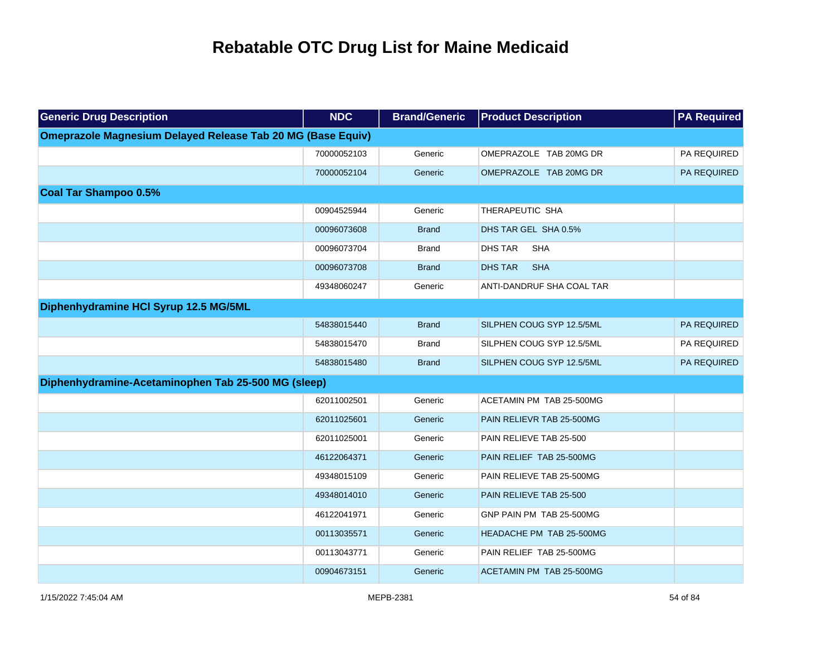| <b>Generic Drug Description</b>                                    | <b>NDC</b>  | <b>Brand/Generic</b> | <b>Product Description</b>   | <b>PA Required</b> |
|--------------------------------------------------------------------|-------------|----------------------|------------------------------|--------------------|
| <b>Omeprazole Magnesium Delayed Release Tab 20 MG (Base Equiv)</b> |             |                      |                              |                    |
|                                                                    | 70000052103 | Generic              | OMEPRAZOLE TAB 20MG DR       | PA REQUIRED        |
|                                                                    | 70000052104 | Generic              | OMEPRAZOLE TAB 20MG DR       | PA REQUIRED        |
| <b>Coal Tar Shampoo 0.5%</b>                                       |             |                      |                              |                    |
|                                                                    | 00904525944 | Generic              | THERAPEUTIC SHA              |                    |
|                                                                    | 00096073608 | <b>Brand</b>         | DHS TAR GEL SHA 0.5%         |                    |
|                                                                    | 00096073704 | <b>Brand</b>         | <b>DHS TAR</b><br><b>SHA</b> |                    |
|                                                                    | 00096073708 | <b>Brand</b>         | <b>DHS TAR</b><br><b>SHA</b> |                    |
|                                                                    | 49348060247 | Generic              | ANTI-DANDRUF SHA COAL TAR    |                    |
| Diphenhydramine HCI Syrup 12.5 MG/5ML                              |             |                      |                              |                    |
|                                                                    | 54838015440 | <b>Brand</b>         | SILPHEN COUG SYP 12.5/5ML    | <b>PA REQUIRED</b> |
|                                                                    | 54838015470 | <b>Brand</b>         | SILPHEN COUG SYP 12.5/5ML    | PA REQUIRED        |
|                                                                    | 54838015480 | <b>Brand</b>         | SILPHEN COUG SYP 12.5/5ML    | PA REQUIRED        |
| Diphenhydramine-Acetaminophen Tab 25-500 MG (sleep)                |             |                      |                              |                    |
|                                                                    | 62011002501 | Generic              | ACETAMIN PM TAB 25-500MG     |                    |
|                                                                    | 62011025601 | Generic              | PAIN RELIEVR TAB 25-500MG    |                    |
|                                                                    | 62011025001 | Generic              | PAIN RELIEVE TAB 25-500      |                    |
|                                                                    | 46122064371 | Generic              | PAIN RELIEF TAB 25-500MG     |                    |
|                                                                    | 49348015109 | Generic              | PAIN RELIEVE TAB 25-500MG    |                    |
|                                                                    | 49348014010 | Generic              | PAIN RELIEVE TAB 25-500      |                    |
|                                                                    | 46122041971 | Generic              | GNP PAIN PM TAB 25-500MG     |                    |
|                                                                    | 00113035571 | Generic              | HEADACHE PM TAB 25-500MG     |                    |
|                                                                    | 00113043771 | Generic              | PAIN RELIEF TAB 25-500MG     |                    |
|                                                                    | 00904673151 | Generic              | ACETAMIN PM TAB 25-500MG     |                    |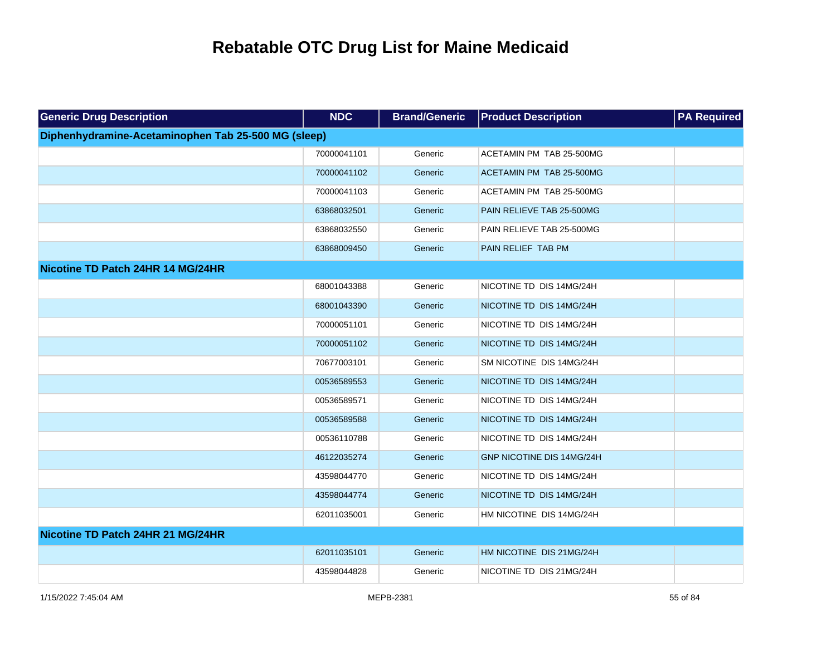| <b>Generic Drug Description</b>                     | <b>NDC</b>  | <b>Brand/Generic</b> | <b>Product Description</b> | <b>PA Required</b> |
|-----------------------------------------------------|-------------|----------------------|----------------------------|--------------------|
| Diphenhydramine-Acetaminophen Tab 25-500 MG (sleep) |             |                      |                            |                    |
|                                                     | 70000041101 | Generic              | ACETAMIN PM TAB 25-500MG   |                    |
|                                                     | 70000041102 | Generic              | ACETAMIN PM TAB 25-500MG   |                    |
|                                                     | 70000041103 | Generic              | ACETAMIN PM TAB 25-500MG   |                    |
|                                                     | 63868032501 | Generic              | PAIN RELIEVE TAB 25-500MG  |                    |
|                                                     | 63868032550 | Generic              | PAIN RELIEVE TAB 25-500MG  |                    |
|                                                     | 63868009450 | Generic              | PAIN RELIEF TAB PM         |                    |
| Nicotine TD Patch 24HR 14 MG/24HR                   |             |                      |                            |                    |
|                                                     | 68001043388 | Generic              | NICOTINE TD DIS 14MG/24H   |                    |
|                                                     | 68001043390 | Generic              | NICOTINE TD DIS 14MG/24H   |                    |
|                                                     | 70000051101 | Generic              | NICOTINE TD DIS 14MG/24H   |                    |
|                                                     | 70000051102 | Generic              | NICOTINE TD DIS 14MG/24H   |                    |
|                                                     | 70677003101 | Generic              | SM NICOTINE DIS 14MG/24H   |                    |
|                                                     | 00536589553 | Generic              | NICOTINE TD DIS 14MG/24H   |                    |
|                                                     | 00536589571 | Generic              | NICOTINE TD DIS 14MG/24H   |                    |
|                                                     | 00536589588 | Generic              | NICOTINE TD DIS 14MG/24H   |                    |
|                                                     | 00536110788 | Generic              | NICOTINE TD DIS 14MG/24H   |                    |
|                                                     | 46122035274 | Generic              | GNP NICOTINE DIS 14MG/24H  |                    |
|                                                     | 43598044770 | Generic              | NICOTINE TD DIS 14MG/24H   |                    |
|                                                     | 43598044774 | Generic              | NICOTINE TD DIS 14MG/24H   |                    |
|                                                     | 62011035001 | Generic              | HM NICOTINE DIS 14MG/24H   |                    |
| Nicotine TD Patch 24HR 21 MG/24HR                   |             |                      |                            |                    |
|                                                     | 62011035101 | Generic              | HM NICOTINE DIS 21MG/24H   |                    |
|                                                     | 43598044828 | Generic              | NICOTINE TD DIS 21MG/24H   |                    |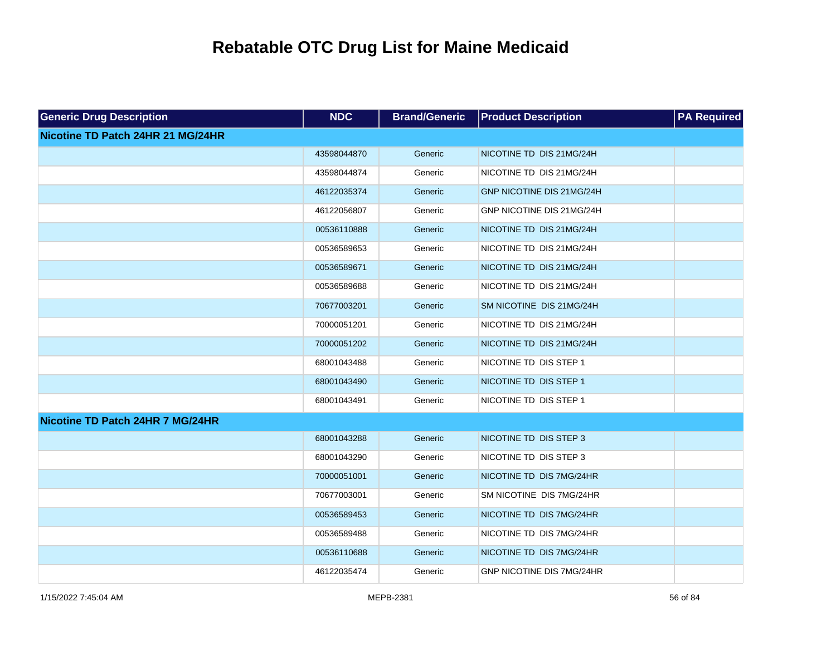| <b>Generic Drug Description</b>   | <b>NDC</b>  | <b>Brand/Generic</b> | <b>Product Description</b>       | <b>PA Required</b> |
|-----------------------------------|-------------|----------------------|----------------------------------|--------------------|
| Nicotine TD Patch 24HR 21 MG/24HR |             |                      |                                  |                    |
|                                   | 43598044870 | Generic              | NICOTINE TD DIS 21MG/24H         |                    |
|                                   | 43598044874 | Generic              | NICOTINE TD DIS 21MG/24H         |                    |
|                                   | 46122035374 | Generic              | GNP NICOTINE DIS 21MG/24H        |                    |
|                                   | 46122056807 | Generic              | GNP NICOTINE DIS 21MG/24H        |                    |
|                                   | 00536110888 | Generic              | NICOTINE TD DIS 21MG/24H         |                    |
|                                   | 00536589653 | Generic              | NICOTINE TD DIS 21MG/24H         |                    |
|                                   | 00536589671 | Generic              | NICOTINE TD DIS 21MG/24H         |                    |
|                                   | 00536589688 | Generic              | NICOTINE TD DIS 21MG/24H         |                    |
|                                   | 70677003201 | Generic              | SM NICOTINE DIS 21MG/24H         |                    |
|                                   | 70000051201 | Generic              | NICOTINE TD DIS 21MG/24H         |                    |
|                                   | 70000051202 | Generic              | NICOTINE TD DIS 21MG/24H         |                    |
|                                   | 68001043488 | Generic              | NICOTINE TD DIS STEP 1           |                    |
|                                   | 68001043490 | Generic              | NICOTINE TD DIS STEP 1           |                    |
|                                   | 68001043491 | Generic              | NICOTINE TD DIS STEP 1           |                    |
| Nicotine TD Patch 24HR 7 MG/24HR  |             |                      |                                  |                    |
|                                   | 68001043288 | Generic              | NICOTINE TD DIS STEP 3           |                    |
|                                   | 68001043290 | Generic              | NICOTINE TD DIS STEP 3           |                    |
|                                   | 70000051001 | Generic              | NICOTINE TD DIS 7MG/24HR         |                    |
|                                   | 70677003001 | Generic              | SM NICOTINE DIS 7MG/24HR         |                    |
|                                   | 00536589453 | Generic              | NICOTINE TD DIS 7MG/24HR         |                    |
|                                   | 00536589488 | Generic              | NICOTINE TD DIS 7MG/24HR         |                    |
|                                   | 00536110688 | Generic              | NICOTINE TD DIS 7MG/24HR         |                    |
|                                   | 46122035474 | Generic              | <b>GNP NICOTINE DIS 7MG/24HR</b> |                    |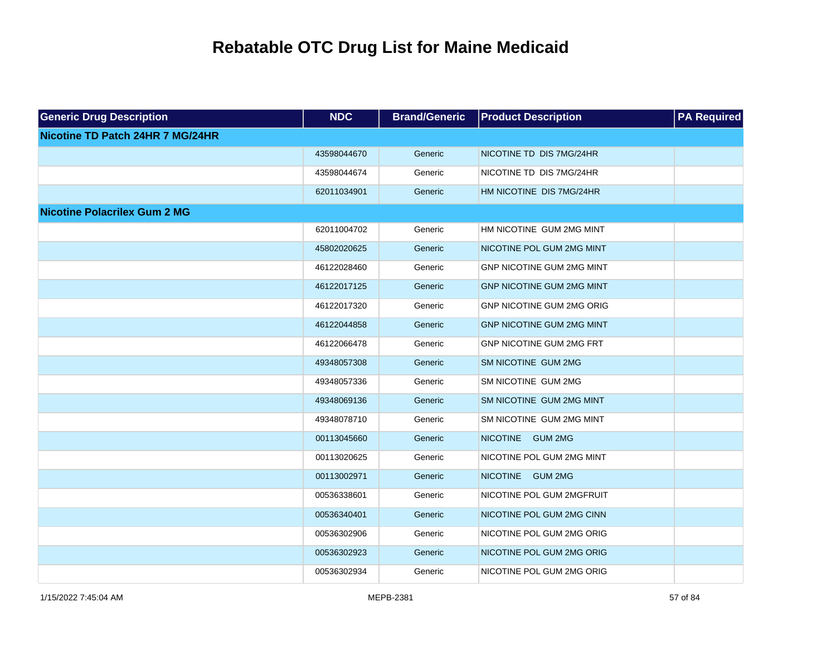| <b>Generic Drug Description</b>     | <b>NDC</b>  | <b>Brand/Generic</b> | <b>Product Description</b>        | <b>PA Required</b> |
|-------------------------------------|-------------|----------------------|-----------------------------------|--------------------|
| Nicotine TD Patch 24HR 7 MG/24HR    |             |                      |                                   |                    |
|                                     | 43598044670 | Generic              | NICOTINE TD DIS 7MG/24HR          |                    |
|                                     | 43598044674 | Generic              | NICOTINE TD DIS 7MG/24HR          |                    |
|                                     | 62011034901 | Generic              | HM NICOTINE DIS 7MG/24HR          |                    |
| <b>Nicotine Polacrilex Gum 2 MG</b> |             |                      |                                   |                    |
|                                     | 62011004702 | Generic              | HM NICOTINE GUM 2MG MINT          |                    |
|                                     | 45802020625 | Generic              | NICOTINE POL GUM 2MG MINT         |                    |
|                                     | 46122028460 | Generic              | <b>GNP NICOTINE GUM 2MG MINT</b>  |                    |
|                                     | 46122017125 | Generic              | <b>GNP NICOTINE GUM 2MG MINT</b>  |                    |
|                                     | 46122017320 | Generic              | GNP NICOTINE GUM 2MG ORIG         |                    |
|                                     | 46122044858 | Generic              | <b>GNP NICOTINE GUM 2MG MINT</b>  |                    |
|                                     | 46122066478 | Generic              | GNP NICOTINE GUM 2MG FRT          |                    |
|                                     | 49348057308 | Generic              | SM NICOTINE GUM 2MG               |                    |
|                                     | 49348057336 | Generic              | SM NICOTINE GUM 2MG               |                    |
|                                     | 49348069136 | Generic              | SM NICOTINE GUM 2MG MINT          |                    |
|                                     | 49348078710 | Generic              | SM NICOTINE GUM 2MG MINT          |                    |
|                                     | 00113045660 | Generic              | <b>NICOTINE</b><br><b>GUM 2MG</b> |                    |
|                                     | 00113020625 | Generic              | NICOTINE POL GUM 2MG MINT         |                    |
|                                     | 00113002971 | Generic              | <b>NICOTINE</b><br><b>GUM 2MG</b> |                    |
|                                     | 00536338601 | Generic              | NICOTINE POL GUM 2MGFRUIT         |                    |
|                                     | 00536340401 | Generic              | NICOTINE POL GUM 2MG CINN         |                    |
|                                     | 00536302906 | Generic              | NICOTINE POL GUM 2MG ORIG         |                    |
|                                     | 00536302923 | Generic              | NICOTINE POL GUM 2MG ORIG         |                    |
|                                     | 00536302934 | Generic              | NICOTINE POL GUM 2MG ORIG         |                    |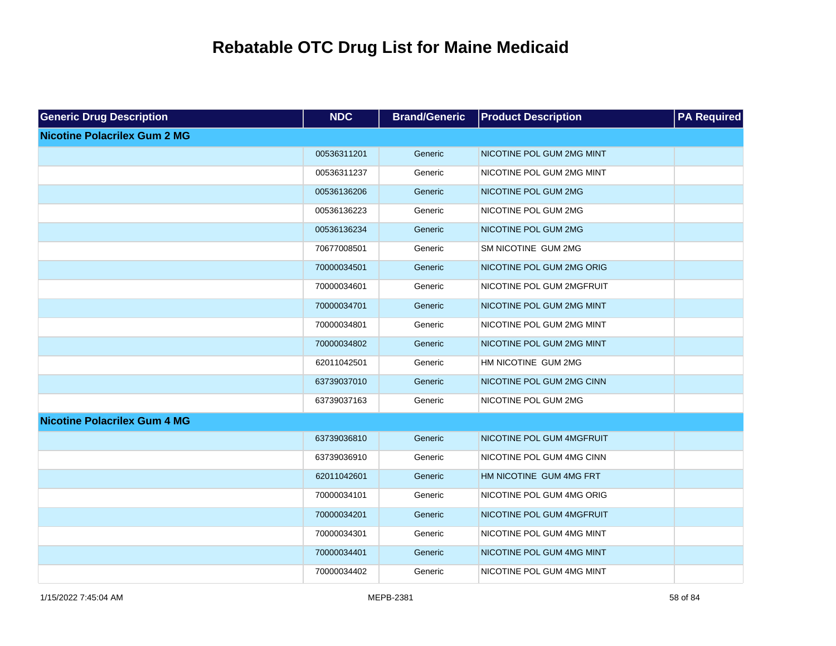| <b>Generic Drug Description</b>     | <b>NDC</b>  | <b>Brand/Generic</b> | <b>Product Description</b> | <b>PA Required</b> |
|-------------------------------------|-------------|----------------------|----------------------------|--------------------|
| <b>Nicotine Polacrilex Gum 2 MG</b> |             |                      |                            |                    |
|                                     | 00536311201 | Generic              | NICOTINE POL GUM 2MG MINT  |                    |
|                                     | 00536311237 | Generic              | NICOTINE POL GUM 2MG MINT  |                    |
|                                     | 00536136206 | Generic              | NICOTINE POL GUM 2MG       |                    |
|                                     | 00536136223 | Generic              | NICOTINE POL GUM 2MG       |                    |
|                                     | 00536136234 | Generic              | NICOTINE POL GUM 2MG       |                    |
|                                     | 70677008501 | Generic              | SM NICOTINE GUM 2MG        |                    |
|                                     | 70000034501 | Generic              | NICOTINE POL GUM 2MG ORIG  |                    |
|                                     | 70000034601 | Generic              | NICOTINE POL GUM 2MGFRUIT  |                    |
|                                     | 70000034701 | Generic              | NICOTINE POL GUM 2MG MINT  |                    |
|                                     | 70000034801 | Generic              | NICOTINE POL GUM 2MG MINT  |                    |
|                                     | 70000034802 | Generic              | NICOTINE POL GUM 2MG MINT  |                    |
|                                     | 62011042501 | Generic              | HM NICOTINE GUM 2MG        |                    |
|                                     | 63739037010 | Generic              | NICOTINE POL GUM 2MG CINN  |                    |
|                                     | 63739037163 | Generic              | NICOTINE POL GUM 2MG       |                    |
| <b>Nicotine Polacrilex Gum 4 MG</b> |             |                      |                            |                    |
|                                     | 63739036810 | Generic              | NICOTINE POL GUM 4MGFRUIT  |                    |
|                                     | 63739036910 | Generic              | NICOTINE POL GUM 4MG CINN  |                    |
|                                     | 62011042601 | Generic              | HM NICOTINE GUM 4MG FRT    |                    |
|                                     | 70000034101 | Generic              | NICOTINE POL GUM 4MG ORIG  |                    |
|                                     | 70000034201 | Generic              | NICOTINE POL GUM 4MGFRUIT  |                    |
|                                     | 70000034301 | Generic              | NICOTINE POL GUM 4MG MINT  |                    |
|                                     | 70000034401 | Generic              | NICOTINE POL GUM 4MG MINT  |                    |
|                                     | 70000034402 | Generic              | NICOTINE POL GUM 4MG MINT  |                    |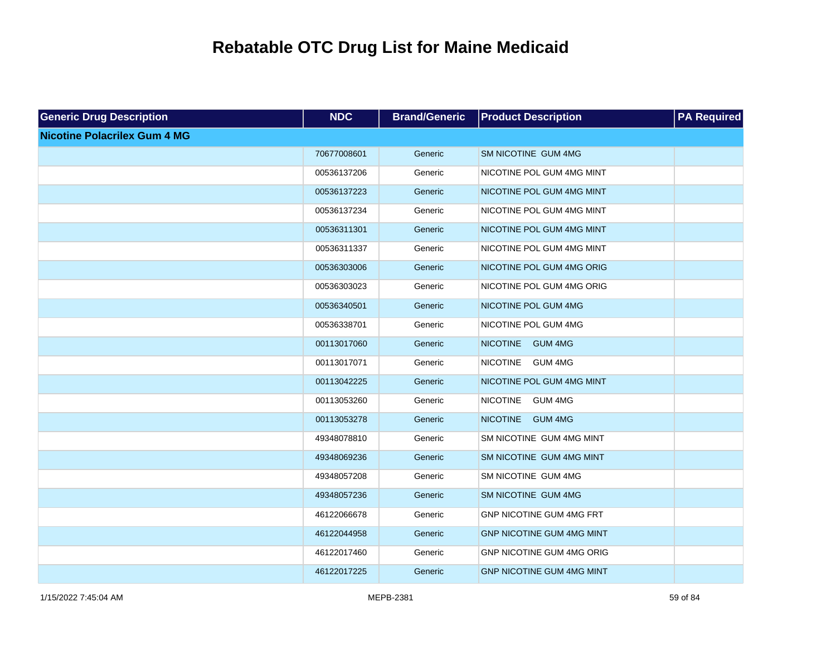| <b>Generic Drug Description</b>     | <b>NDC</b>  | <b>Brand/Generic</b> | <b>Product Description</b>        | <b>PA Required</b> |
|-------------------------------------|-------------|----------------------|-----------------------------------|--------------------|
| <b>Nicotine Polacrilex Gum 4 MG</b> |             |                      |                                   |                    |
|                                     | 70677008601 | Generic              | SM NICOTINE GUM 4MG               |                    |
|                                     | 00536137206 | Generic              | NICOTINE POL GUM 4MG MINT         |                    |
|                                     | 00536137223 | Generic              | NICOTINE POL GUM 4MG MINT         |                    |
|                                     | 00536137234 | Generic              | NICOTINE POL GUM 4MG MINT         |                    |
|                                     | 00536311301 | Generic              | NICOTINE POL GUM 4MG MINT         |                    |
|                                     | 00536311337 | Generic              | NICOTINE POL GUM 4MG MINT         |                    |
|                                     | 00536303006 | Generic              | NICOTINE POL GUM 4MG ORIG         |                    |
|                                     | 00536303023 | Generic              | NICOTINE POL GUM 4MG ORIG         |                    |
|                                     | 00536340501 | Generic              | NICOTINE POL GUM 4MG              |                    |
|                                     | 00536338701 | Generic              | NICOTINE POL GUM 4MG              |                    |
|                                     | 00113017060 | Generic              | <b>NICOTINE</b><br><b>GUM 4MG</b> |                    |
|                                     | 00113017071 | Generic              | <b>NICOTINE</b><br><b>GUM 4MG</b> |                    |
|                                     | 00113042225 | Generic              | NICOTINE POL GUM 4MG MINT         |                    |
|                                     | 00113053260 | Generic              | <b>NICOTINE</b><br><b>GUM 4MG</b> |                    |
|                                     | 00113053278 | Generic              | <b>NICOTINE</b><br><b>GUM 4MG</b> |                    |
|                                     | 49348078810 | Generic              | SM NICOTINE GUM 4MG MINT          |                    |
|                                     | 49348069236 | Generic              | SM NICOTINE GUM 4MG MINT          |                    |
|                                     | 49348057208 | Generic              | SM NICOTINE GUM 4MG               |                    |
|                                     | 49348057236 | Generic              | SM NICOTINE GUM 4MG               |                    |
|                                     | 46122066678 | Generic              | GNP NICOTINE GUM 4MG FRT          |                    |
|                                     | 46122044958 | Generic              | <b>GNP NICOTINE GUM 4MG MINT</b>  |                    |
|                                     | 46122017460 | Generic              | GNP NICOTINE GUM 4MG ORIG         |                    |
|                                     | 46122017225 | Generic              | <b>GNP NICOTINE GUM 4MG MINT</b>  |                    |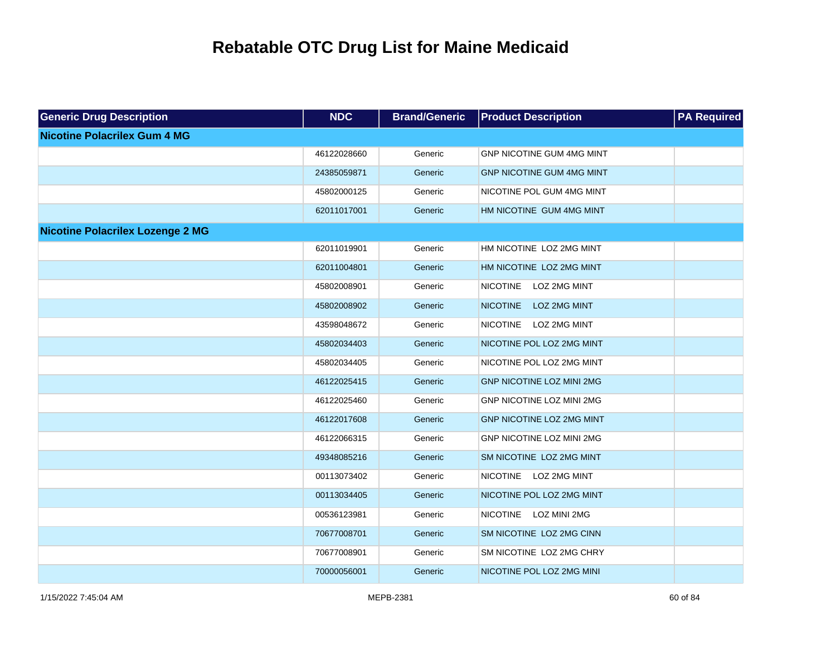| <b>Generic Drug Description</b>         | <b>NDC</b>  | <b>Brand/Generic</b> | <b>Product Description</b>             | <b>PA</b> Required |
|-----------------------------------------|-------------|----------------------|----------------------------------------|--------------------|
| <b>Nicotine Polacrilex Gum 4 MG</b>     |             |                      |                                        |                    |
|                                         | 46122028660 | Generic              | GNP NICOTINE GUM 4MG MINT              |                    |
|                                         | 24385059871 | Generic              | <b>GNP NICOTINE GUM 4MG MINT</b>       |                    |
|                                         | 45802000125 | Generic              | NICOTINE POL GUM 4MG MINT              |                    |
|                                         | 62011017001 | Generic              | HM NICOTINE GUM 4MG MINT               |                    |
| <b>Nicotine Polacrilex Lozenge 2 MG</b> |             |                      |                                        |                    |
|                                         | 62011019901 | Generic              | HM NICOTINE LOZ 2MG MINT               |                    |
|                                         | 62011004801 | Generic              | HM NICOTINE LOZ 2MG MINT               |                    |
|                                         | 45802008901 | Generic              | <b>NICOTINE</b><br>LOZ 2MG MINT        |                    |
|                                         | 45802008902 | Generic              | <b>NICOTINE</b><br>LOZ 2MG MINT        |                    |
|                                         | 43598048672 | Generic              | <b>NICOTINE</b><br>LOZ 2MG MINT        |                    |
|                                         | 45802034403 | Generic              | NICOTINE POL LOZ 2MG MINT              |                    |
|                                         | 45802034405 | Generic              | NICOTINE POL LOZ 2MG MINT              |                    |
|                                         | 46122025415 | Generic              | <b>GNP NICOTINE LOZ MINI 2MG</b>       |                    |
|                                         | 46122025460 | Generic              | GNP NICOTINE LOZ MINI 2MG              |                    |
|                                         | 46122017608 | Generic              | GNP NICOTINE LOZ 2MG MINT              |                    |
|                                         | 46122066315 | Generic              | GNP NICOTINE LOZ MINI 2MG              |                    |
|                                         | 49348085216 | Generic              | SM NICOTINE LOZ 2MG MINT               |                    |
|                                         | 00113073402 | Generic              | <b>NICOTINE</b><br>LOZ 2MG MINT        |                    |
|                                         | 00113034405 | Generic              | NICOTINE POL LOZ 2MG MINT              |                    |
|                                         | 00536123981 | Generic              | <b>NICOTINE</b><br><b>LOZ MINI 2MG</b> |                    |
|                                         | 70677008701 | Generic              | SM NICOTINE LOZ 2MG CINN               |                    |
|                                         | 70677008901 | Generic              | SM NICOTINE LOZ 2MG CHRY               |                    |
|                                         | 70000056001 | Generic              | NICOTINE POL LOZ 2MG MINI              |                    |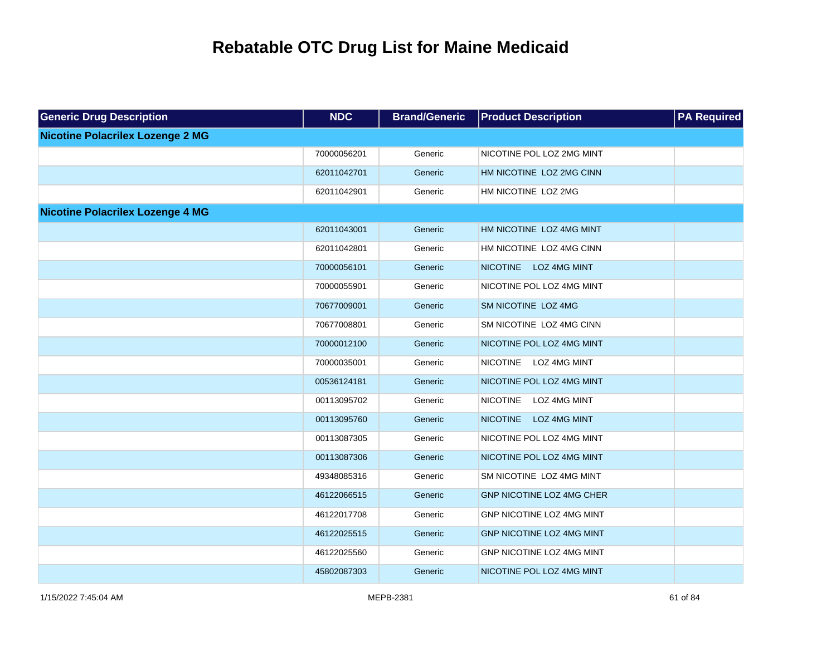| <b>Generic Drug Description</b>         | <b>NDC</b>  | <b>Brand/Generic</b> | <b>Product Description</b>             | <b>PA Required</b> |
|-----------------------------------------|-------------|----------------------|----------------------------------------|--------------------|
| <b>Nicotine Polacrilex Lozenge 2 MG</b> |             |                      |                                        |                    |
|                                         | 70000056201 | Generic              | NICOTINE POL LOZ 2MG MINT              |                    |
|                                         | 62011042701 | Generic              | HM NICOTINE LOZ 2MG CINN               |                    |
|                                         | 62011042901 | Generic              | HM NICOTINE LOZ 2MG                    |                    |
| <b>Nicotine Polacrilex Lozenge 4 MG</b> |             |                      |                                        |                    |
|                                         | 62011043001 | Generic              | HM NICOTINE LOZ 4MG MINT               |                    |
|                                         | 62011042801 | Generic              | HM NICOTINE LOZ 4MG CINN               |                    |
|                                         | 70000056101 | Generic              | NICOTINE LOZ 4MG MINT                  |                    |
|                                         | 70000055901 | Generic              | NICOTINE POL LOZ 4MG MINT              |                    |
|                                         | 70677009001 | Generic              | SM NICOTINE LOZ 4MG                    |                    |
|                                         | 70677008801 | Generic              | SM NICOTINE LOZ 4MG CINN               |                    |
|                                         | 70000012100 | Generic              | NICOTINE POL LOZ 4MG MINT              |                    |
|                                         | 70000035001 | Generic              | <b>NICOTINE</b><br>LOZ 4MG MINT        |                    |
|                                         | 00536124181 | Generic              | NICOTINE POL LOZ 4MG MINT              |                    |
|                                         | 00113095702 | Generic              | <b>NICOTINE</b><br>LOZ 4MG MINT        |                    |
|                                         | 00113095760 | Generic              | <b>NICOTINE</b><br><b>LOZ 4MG MINT</b> |                    |
|                                         | 00113087305 | Generic              | NICOTINE POL LOZ 4MG MINT              |                    |
|                                         | 00113087306 | Generic              | NICOTINE POL LOZ 4MG MINT              |                    |
|                                         | 49348085316 | Generic              | SM NICOTINE LOZ 4MG MINT               |                    |
|                                         | 46122066515 | Generic              | <b>GNP NICOTINE LOZ 4MG CHER</b>       |                    |
|                                         | 46122017708 | Generic              | GNP NICOTINE LOZ 4MG MINT              |                    |
|                                         | 46122025515 | Generic              | GNP NICOTINE LOZ 4MG MINT              |                    |
|                                         | 46122025560 | Generic              | GNP NICOTINE LOZ 4MG MINT              |                    |
|                                         | 45802087303 | Generic              | NICOTINE POL LOZ 4MG MINT              |                    |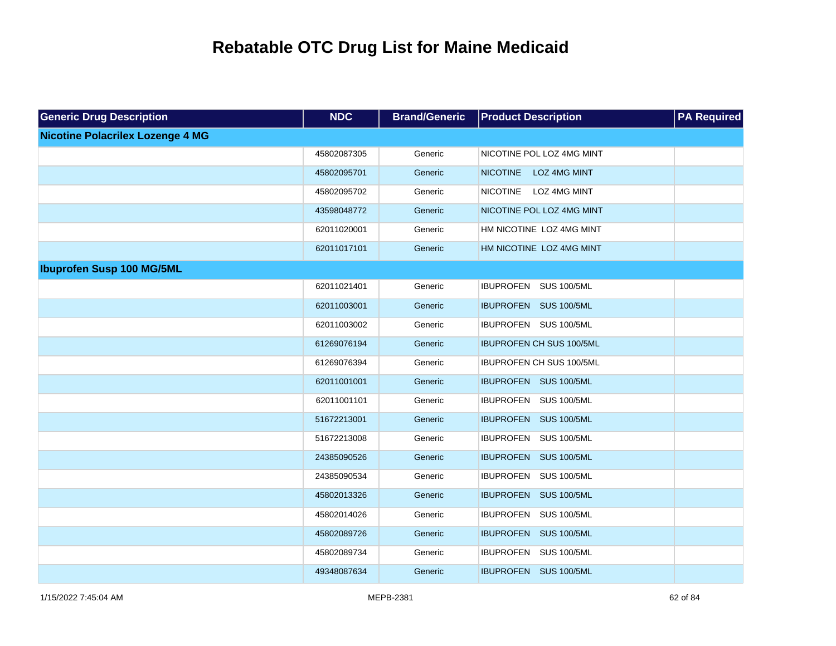| <b>Generic Drug Description</b>         | <b>NDC</b>  | <b>Brand/Generic</b> | <b>Product Description</b>      | <b>PA Required</b> |
|-----------------------------------------|-------------|----------------------|---------------------------------|--------------------|
| <b>Nicotine Polacrilex Lozenge 4 MG</b> |             |                      |                                 |                    |
|                                         | 45802087305 | Generic              | NICOTINE POL LOZ 4MG MINT       |                    |
|                                         | 45802095701 | Generic              | <b>NICOTINE</b><br>LOZ 4MG MINT |                    |
|                                         | 45802095702 | Generic              | NICOTINE LOZ 4MG MINT           |                    |
|                                         | 43598048772 | Generic              | NICOTINE POL LOZ 4MG MINT       |                    |
|                                         | 62011020001 | Generic              | HM NICOTINE LOZ 4MG MINT        |                    |
|                                         | 62011017101 | Generic              | HM NICOTINE LOZ 4MG MINT        |                    |
| <b>Ibuprofen Susp 100 MG/5ML</b>        |             |                      |                                 |                    |
|                                         | 62011021401 | Generic              | IBUPROFEN SUS 100/5ML           |                    |
|                                         | 62011003001 | Generic              | IBUPROFEN SUS 100/5ML           |                    |
|                                         | 62011003002 | Generic              | IBUPROFEN SUS 100/5ML           |                    |
|                                         | 61269076194 | Generic              | <b>IBUPROFEN CH SUS 100/5ML</b> |                    |
|                                         | 61269076394 | Generic              | IBUPROFEN CH SUS 100/5ML        |                    |
|                                         | 62011001001 | Generic              | IBUPROFEN SUS 100/5ML           |                    |
|                                         | 62011001101 | Generic              | IBUPROFEN SUS 100/5ML           |                    |
|                                         | 51672213001 | Generic              | IBUPROFEN SUS 100/5ML           |                    |
|                                         | 51672213008 | Generic              | IBUPROFEN SUS 100/5ML           |                    |
|                                         | 24385090526 | Generic              | IBUPROFEN SUS 100/5ML           |                    |
|                                         | 24385090534 | Generic              | IBUPROFEN SUS 100/5ML           |                    |
|                                         | 45802013326 | Generic              | IBUPROFEN SUS 100/5ML           |                    |
|                                         | 45802014026 | Generic              | IBUPROFEN SUS 100/5ML           |                    |
|                                         | 45802089726 | Generic              | IBUPROFEN SUS 100/5ML           |                    |
|                                         | 45802089734 | Generic              | IBUPROFEN SUS 100/5ML           |                    |
|                                         | 49348087634 | Generic              | IBUPROFEN SUS 100/5ML           |                    |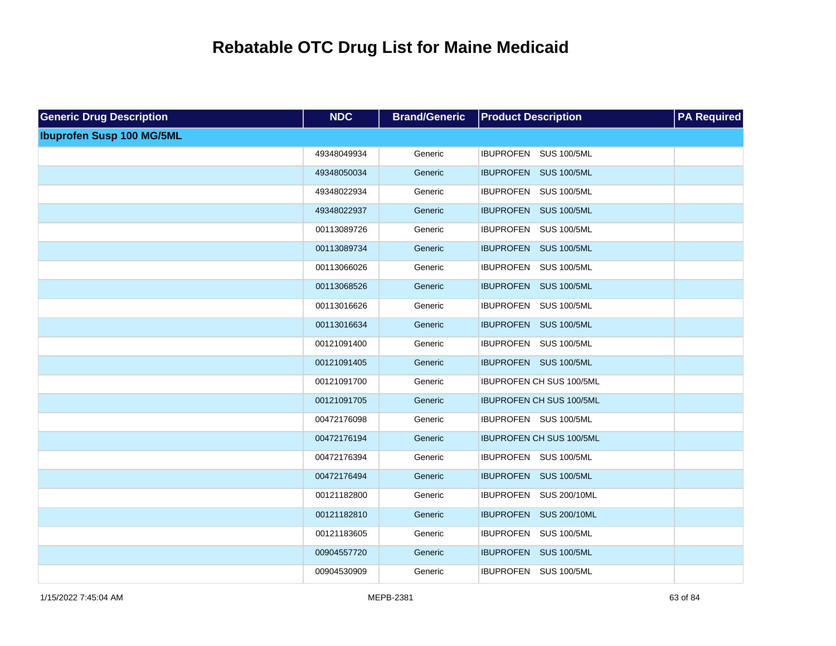| <b>Generic Drug Description</b>  | NDC         | <b>Brand/Generic</b> | <b>Product Description</b>      | <b>PA</b> Required |
|----------------------------------|-------------|----------------------|---------------------------------|--------------------|
| <b>Ibuprofen Susp 100 MG/5ML</b> |             |                      |                                 |                    |
|                                  | 49348049934 | Generic              | IBUPROFEN SUS 100/5ML           |                    |
|                                  | 49348050034 | Generic              | IBUPROFEN SUS 100/5ML           |                    |
|                                  | 49348022934 | Generic              | IBUPROFEN SUS 100/5ML           |                    |
|                                  | 49348022937 | Generic              | IBUPROFEN SUS 100/5ML           |                    |
|                                  | 00113089726 | Generic              | IBUPROFEN SUS 100/5ML           |                    |
|                                  | 00113089734 | Generic              | IBUPROFEN SUS 100/5ML           |                    |
|                                  | 00113066026 | Generic              | IBUPROFEN SUS 100/5ML           |                    |
|                                  | 00113068526 | Generic              | IBUPROFEN SUS 100/5ML           |                    |
|                                  | 00113016626 | Generic              | IBUPROFEN SUS 100/5ML           |                    |
|                                  | 00113016634 | Generic              | IBUPROFEN SUS 100/5ML           |                    |
|                                  | 00121091400 | Generic              | IBUPROFEN SUS 100/5ML           |                    |
|                                  | 00121091405 | Generic              | IBUPROFEN SUS 100/5ML           |                    |
|                                  | 00121091700 | Generic              | IBUPROFEN CH SUS 100/5ML        |                    |
|                                  | 00121091705 | Generic              | <b>IBUPROFEN CH SUS 100/5ML</b> |                    |
|                                  | 00472176098 | Generic              | IBUPROFEN SUS 100/5ML           |                    |
|                                  | 00472176194 | Generic              | IBUPROFEN CH SUS 100/5ML        |                    |
|                                  | 00472176394 | Generic              | IBUPROFEN SUS 100/5ML           |                    |
|                                  | 00472176494 | Generic              | IBUPROFEN SUS 100/5ML           |                    |
|                                  | 00121182800 | Generic              | IBUPROFEN SUS 200/10ML          |                    |
|                                  | 00121182810 | Generic              | IBUPROFEN SUS 200/10ML          |                    |
|                                  | 00121183605 | Generic              | IBUPROFEN SUS 100/5ML           |                    |
|                                  | 00904557720 | Generic              | IBUPROFEN SUS 100/5ML           |                    |
|                                  | 00904530909 | Generic              | IBUPROFEN SUS 100/5ML           |                    |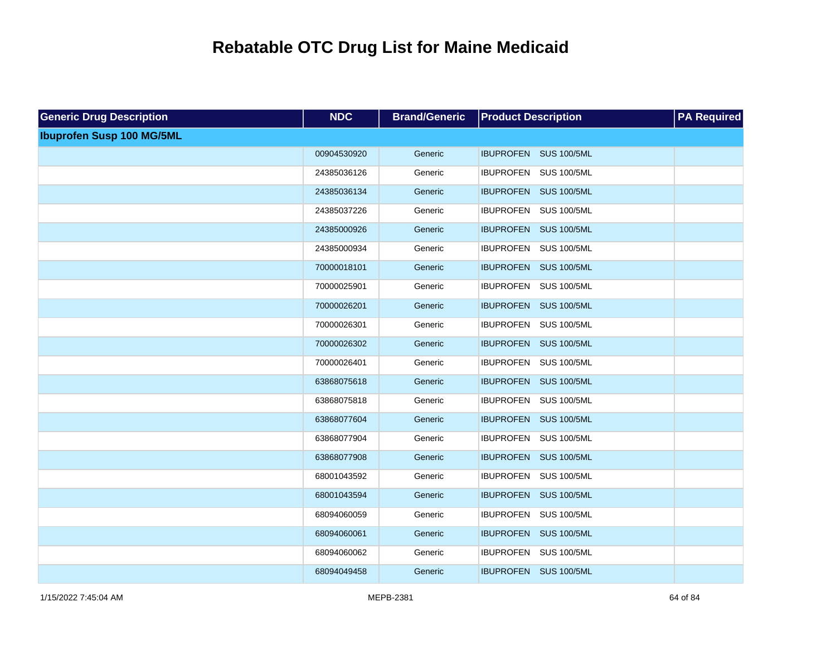| <b>Generic Drug Description</b>  | <b>NDC</b>  | <b>Brand/Generic</b> | <b>Product Description</b> | <b>PA Required</b> |
|----------------------------------|-------------|----------------------|----------------------------|--------------------|
| <b>Ibuprofen Susp 100 MG/5ML</b> |             |                      |                            |                    |
|                                  | 00904530920 | Generic              | IBUPROFEN SUS 100/5ML      |                    |
|                                  | 24385036126 | Generic              | IBUPROFEN SUS 100/5ML      |                    |
|                                  | 24385036134 | Generic              | IBUPROFEN SUS 100/5ML      |                    |
|                                  | 24385037226 | Generic              | IBUPROFEN SUS 100/5ML      |                    |
|                                  | 24385000926 | Generic              | IBUPROFEN SUS 100/5ML      |                    |
|                                  | 24385000934 | Generic              | IBUPROFEN SUS 100/5ML      |                    |
|                                  | 70000018101 | Generic              | IBUPROFEN SUS 100/5ML      |                    |
|                                  | 70000025901 | Generic              | IBUPROFEN SUS 100/5ML      |                    |
|                                  | 70000026201 | Generic              | IBUPROFEN SUS 100/5ML      |                    |
|                                  | 70000026301 | Generic              | IBUPROFEN SUS 100/5ML      |                    |
|                                  | 70000026302 | Generic              | IBUPROFEN SUS 100/5ML      |                    |
|                                  | 70000026401 | Generic              | IBUPROFEN SUS 100/5ML      |                    |
|                                  | 63868075618 | Generic              | IBUPROFEN SUS 100/5ML      |                    |
|                                  | 63868075818 | Generic              | IBUPROFEN SUS 100/5ML      |                    |
|                                  | 63868077604 | Generic              | IBUPROFEN SUS 100/5ML      |                    |
|                                  | 63868077904 | Generic              | IBUPROFEN SUS 100/5ML      |                    |
|                                  | 63868077908 | Generic              | IBUPROFEN SUS 100/5ML      |                    |
|                                  | 68001043592 | Generic              | IBUPROFEN SUS 100/5ML      |                    |
|                                  | 68001043594 | Generic              | IBUPROFEN SUS 100/5ML      |                    |
|                                  | 68094060059 | Generic              | IBUPROFEN SUS 100/5ML      |                    |
|                                  | 68094060061 | Generic              | IBUPROFEN SUS 100/5ML      |                    |
|                                  | 68094060062 | Generic              | IBUPROFEN SUS 100/5ML      |                    |
|                                  | 68094049458 | Generic              | IBUPROFEN SUS 100/5ML      |                    |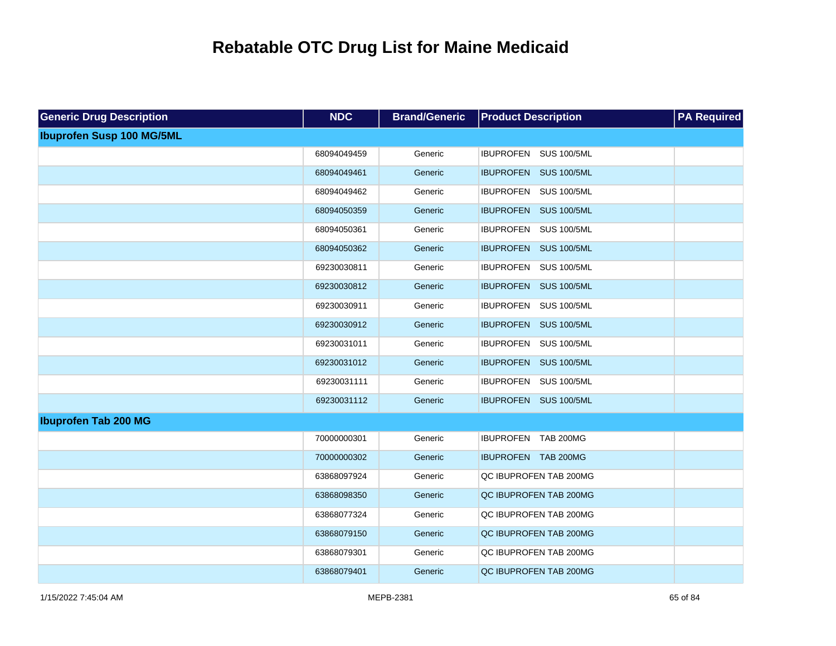| <b>Generic Drug Description</b>  | <b>NDC</b>  | <b>Brand/Generic</b> | <b>Product Description</b> | <b>PA Required</b> |
|----------------------------------|-------------|----------------------|----------------------------|--------------------|
| <b>Ibuprofen Susp 100 MG/5ML</b> |             |                      |                            |                    |
|                                  | 68094049459 | Generic              | IBUPROFEN SUS 100/5ML      |                    |
|                                  | 68094049461 | Generic              | IBUPROFEN SUS 100/5ML      |                    |
|                                  | 68094049462 | Generic              | IBUPROFEN SUS 100/5ML      |                    |
|                                  | 68094050359 | Generic              | IBUPROFEN SUS 100/5ML      |                    |
|                                  | 68094050361 | Generic              | IBUPROFEN SUS 100/5ML      |                    |
|                                  | 68094050362 | Generic              | IBUPROFEN SUS 100/5ML      |                    |
|                                  | 69230030811 | Generic              | IBUPROFEN SUS 100/5ML      |                    |
|                                  | 69230030812 | Generic              | IBUPROFEN SUS 100/5ML      |                    |
|                                  | 69230030911 | Generic              | IBUPROFEN SUS 100/5ML      |                    |
|                                  | 69230030912 | Generic              | IBUPROFEN SUS 100/5ML      |                    |
|                                  | 69230031011 | Generic              | IBUPROFEN SUS 100/5ML      |                    |
|                                  | 69230031012 | Generic              | IBUPROFEN SUS 100/5ML      |                    |
|                                  | 69230031111 | Generic              | IBUPROFEN SUS 100/5ML      |                    |
|                                  | 69230031112 | Generic              | IBUPROFEN SUS 100/5ML      |                    |
| <b>Ibuprofen Tab 200 MG</b>      |             |                      |                            |                    |
|                                  | 70000000301 | Generic              | IBUPROFEN TAB 200MG        |                    |
|                                  | 70000000302 | Generic              | IBUPROFEN TAB 200MG        |                    |
|                                  | 63868097924 | Generic              | QC IBUPROFEN TAB 200MG     |                    |
|                                  | 63868098350 | Generic              | QC IBUPROFEN TAB 200MG     |                    |
|                                  | 63868077324 | Generic              | QC IBUPROFEN TAB 200MG     |                    |
|                                  | 63868079150 | Generic              | QC IBUPROFEN TAB 200MG     |                    |
|                                  | 63868079301 | Generic              | QC IBUPROFEN TAB 200MG     |                    |
|                                  | 63868079401 | Generic              | QC IBUPROFEN TAB 200MG     |                    |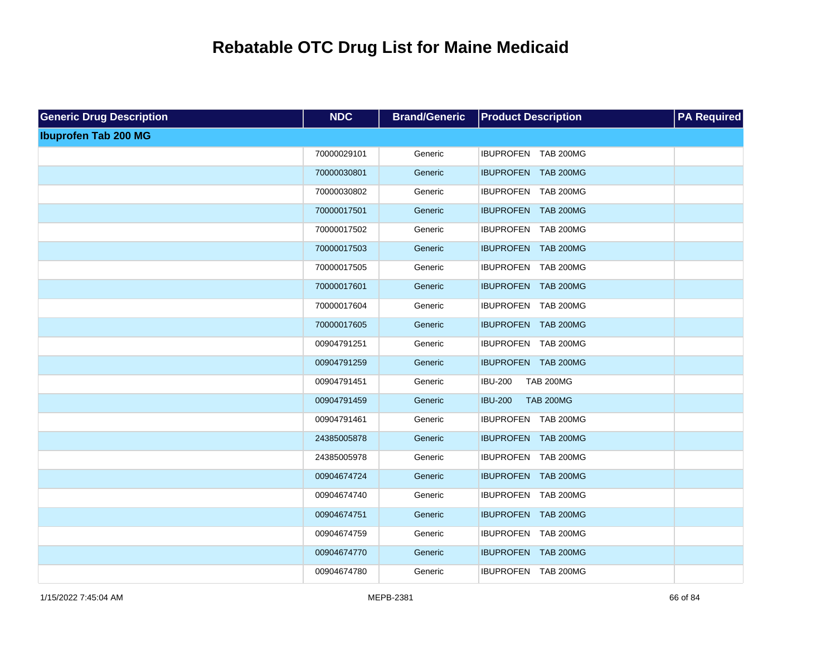| <b>Generic Drug Description</b> | <b>NDC</b>  | <b>Brand/Generic</b> | <b>Product Description</b>         | <b>PA Required</b> |
|---------------------------------|-------------|----------------------|------------------------------------|--------------------|
| <b>Ibuprofen Tab 200 MG</b>     |             |                      |                                    |                    |
|                                 | 70000029101 | Generic              | IBUPROFEN TAB 200MG                |                    |
|                                 | 70000030801 | Generic              | IBUPROFEN TAB 200MG                |                    |
|                                 | 70000030802 | Generic              | IBUPROFEN TAB 200MG                |                    |
|                                 | 70000017501 | Generic              | IBUPROFEN TAB 200MG                |                    |
|                                 | 70000017502 | Generic              | IBUPROFEN TAB 200MG                |                    |
|                                 | 70000017503 | Generic              | IBUPROFEN TAB 200MG                |                    |
|                                 | 70000017505 | Generic              | IBUPROFEN TAB 200MG                |                    |
|                                 | 70000017601 | Generic              | IBUPROFEN TAB 200MG                |                    |
|                                 | 70000017604 | Generic              | IBUPROFEN TAB 200MG                |                    |
|                                 | 70000017605 | Generic              | IBUPROFEN TAB 200MG                |                    |
|                                 | 00904791251 | Generic              | IBUPROFEN TAB 200MG                |                    |
|                                 | 00904791259 | Generic              | IBUPROFEN TAB 200MG                |                    |
|                                 | 00904791451 | Generic              | <b>IBU-200</b><br><b>TAB 200MG</b> |                    |
|                                 | 00904791459 | Generic              | <b>IBU-200</b><br><b>TAB 200MG</b> |                    |
|                                 | 00904791461 | Generic              | IBUPROFEN TAB 200MG                |                    |
|                                 | 24385005878 | Generic              | IBUPROFEN TAB 200MG                |                    |
|                                 | 24385005978 | Generic              | IBUPROFEN TAB 200MG                |                    |
|                                 | 00904674724 | Generic              | IBUPROFEN TAB 200MG                |                    |
|                                 | 00904674740 | Generic              | IBUPROFEN TAB 200MG                |                    |
|                                 | 00904674751 | Generic              | IBUPROFEN TAB 200MG                |                    |
|                                 | 00904674759 | Generic              | IBUPROFEN TAB 200MG                |                    |
|                                 | 00904674770 | Generic              | IBUPROFEN TAB 200MG                |                    |
|                                 | 00904674780 | Generic              | IBUPROFEN TAB 200MG                |                    |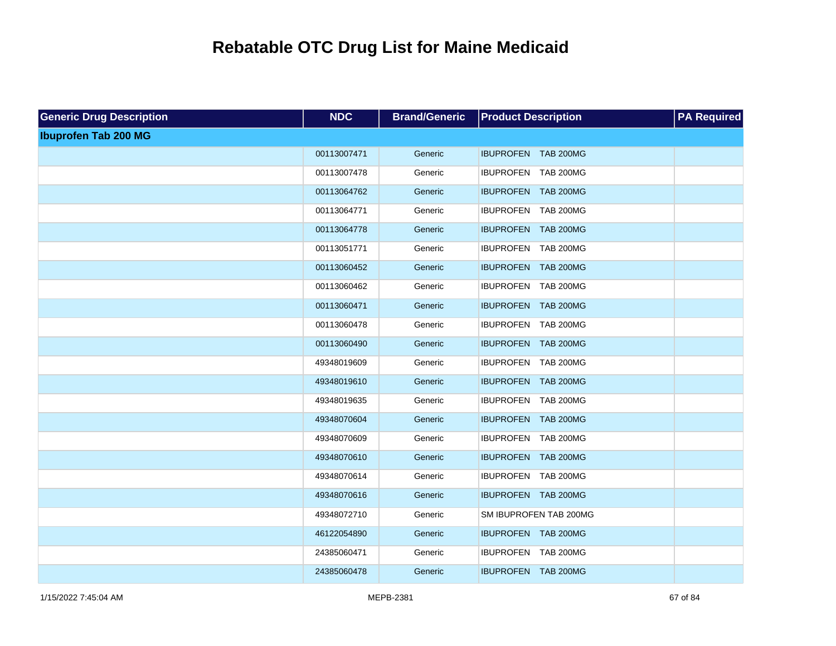| <b>Generic Drug Description</b> | <b>NDC</b>  | <b>Brand/Generic</b> | <b>Product Description</b> | <b>PA Required</b> |
|---------------------------------|-------------|----------------------|----------------------------|--------------------|
| <b>Ibuprofen Tab 200 MG</b>     |             |                      |                            |                    |
|                                 | 00113007471 | Generic              | IBUPROFEN TAB 200MG        |                    |
|                                 | 00113007478 | Generic              | IBUPROFEN TAB 200MG        |                    |
|                                 | 00113064762 | Generic              | IBUPROFEN TAB 200MG        |                    |
|                                 | 00113064771 | Generic              | IBUPROFEN TAB 200MG        |                    |
|                                 | 00113064778 | Generic              | IBUPROFEN TAB 200MG        |                    |
|                                 | 00113051771 | Generic              | IBUPROFEN TAB 200MG        |                    |
|                                 | 00113060452 | Generic              | IBUPROFEN TAB 200MG        |                    |
|                                 | 00113060462 | Generic              | IBUPROFEN TAB 200MG        |                    |
|                                 | 00113060471 | Generic              | IBUPROFEN TAB 200MG        |                    |
|                                 | 00113060478 | Generic              | IBUPROFEN TAB 200MG        |                    |
|                                 | 00113060490 | Generic              | IBUPROFEN TAB 200MG        |                    |
|                                 | 49348019609 | Generic              | IBUPROFEN TAB 200MG        |                    |
|                                 | 49348019610 | Generic              | IBUPROFEN TAB 200MG        |                    |
|                                 | 49348019635 | Generic              | IBUPROFEN TAB 200MG        |                    |
|                                 | 49348070604 | Generic              | IBUPROFEN TAB 200MG        |                    |
|                                 | 49348070609 | Generic              | IBUPROFEN TAB 200MG        |                    |
|                                 | 49348070610 | Generic              | IBUPROFEN TAB 200MG        |                    |
|                                 | 49348070614 | Generic              | IBUPROFEN TAB 200MG        |                    |
|                                 | 49348070616 | Generic              | IBUPROFEN TAB 200MG        |                    |
|                                 | 49348072710 | Generic              | SM IBUPROFEN TAB 200MG     |                    |
|                                 | 46122054890 | Generic              | IBUPROFEN TAB 200MG        |                    |
|                                 | 24385060471 | Generic              | IBUPROFEN TAB 200MG        |                    |
|                                 | 24385060478 | Generic              | IBUPROFEN TAB 200MG        |                    |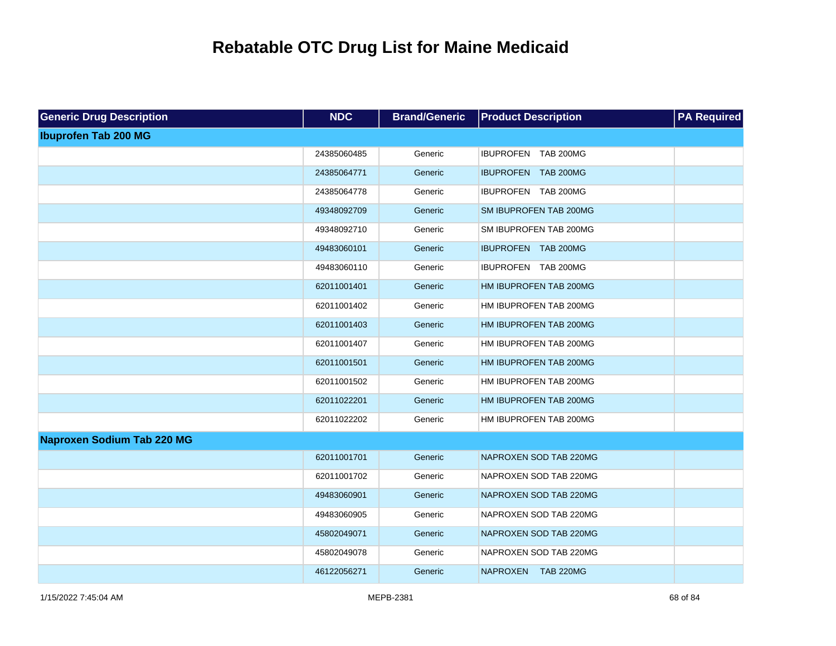| <b>Generic Drug Description</b>   | <b>NDC</b>  | <b>Brand/Generic</b> | <b>Product Description</b> | <b>PA Required</b> |
|-----------------------------------|-------------|----------------------|----------------------------|--------------------|
| <b>Ibuprofen Tab 200 MG</b>       |             |                      |                            |                    |
|                                   | 24385060485 | Generic              | IBUPROFEN TAB 200MG        |                    |
|                                   | 24385064771 | Generic              | IBUPROFEN TAB 200MG        |                    |
|                                   | 24385064778 | Generic              | IBUPROFEN TAB 200MG        |                    |
|                                   | 49348092709 | Generic              | SM IBUPROFEN TAB 200MG     |                    |
|                                   | 49348092710 | Generic              | SM IBUPROFEN TAB 200MG     |                    |
|                                   | 49483060101 | Generic              | IBUPROFEN TAB 200MG        |                    |
|                                   | 49483060110 | Generic              | IBUPROFEN TAB 200MG        |                    |
|                                   | 62011001401 | Generic              | HM IBUPROFEN TAB 200MG     |                    |
|                                   | 62011001402 | Generic              | HM IBUPROFEN TAB 200MG     |                    |
|                                   | 62011001403 | Generic              | HM IBUPROFEN TAB 200MG     |                    |
|                                   | 62011001407 | Generic              | HM IBUPROFEN TAB 200MG     |                    |
|                                   | 62011001501 | Generic              | HM IBUPROFEN TAB 200MG     |                    |
|                                   | 62011001502 | Generic              | HM IBUPROFEN TAB 200MG     |                    |
|                                   | 62011022201 | Generic              | HM IBUPROFEN TAB 200MG     |                    |
|                                   | 62011022202 | Generic              | HM IBUPROFEN TAB 200MG     |                    |
| <b>Naproxen Sodium Tab 220 MG</b> |             |                      |                            |                    |
|                                   | 62011001701 | Generic              | NAPROXEN SOD TAB 220MG     |                    |
|                                   | 62011001702 | Generic              | NAPROXEN SOD TAB 220MG     |                    |
|                                   | 49483060901 | Generic              | NAPROXEN SOD TAB 220MG     |                    |
|                                   | 49483060905 | Generic              | NAPROXEN SOD TAB 220MG     |                    |
|                                   | 45802049071 | Generic              | NAPROXEN SOD TAB 220MG     |                    |
|                                   | 45802049078 | Generic              | NAPROXEN SOD TAB 220MG     |                    |
|                                   | 46122056271 | Generic              | NAPROXEN TAB 220MG         |                    |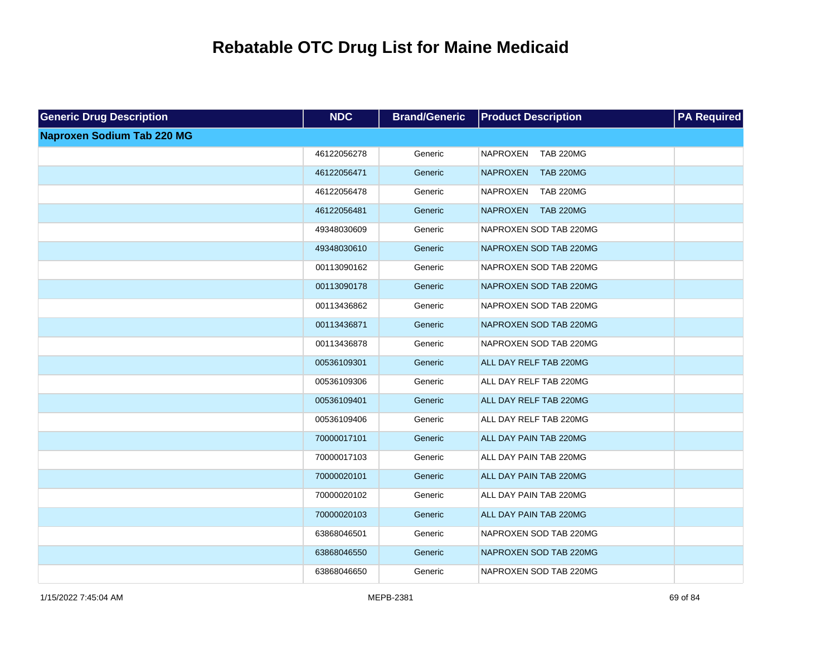| <b>Generic Drug Description</b>   | <b>NDC</b>  | <b>Brand/Generic</b> | <b>Product Description</b>          | <b>PA Required</b> |
|-----------------------------------|-------------|----------------------|-------------------------------------|--------------------|
| <b>Naproxen Sodium Tab 220 MG</b> |             |                      |                                     |                    |
|                                   | 46122056278 | Generic              | <b>NAPROXEN</b><br><b>TAB 220MG</b> |                    |
|                                   | 46122056471 | Generic              | <b>NAPROXEN</b><br><b>TAB 220MG</b> |                    |
|                                   | 46122056478 | Generic              | <b>NAPROXEN</b><br><b>TAB 220MG</b> |                    |
|                                   | 46122056481 | Generic              | <b>TAB 220MG</b><br><b>NAPROXEN</b> |                    |
|                                   | 49348030609 | Generic              | NAPROXEN SOD TAB 220MG              |                    |
|                                   | 49348030610 | Generic              | NAPROXEN SOD TAB 220MG              |                    |
|                                   | 00113090162 | Generic              | NAPROXEN SOD TAB 220MG              |                    |
|                                   | 00113090178 | Generic              | NAPROXEN SOD TAB 220MG              |                    |
|                                   | 00113436862 | Generic              | NAPROXEN SOD TAB 220MG              |                    |
|                                   | 00113436871 | Generic              | NAPROXEN SOD TAB 220MG              |                    |
|                                   | 00113436878 | Generic              | NAPROXEN SOD TAB 220MG              |                    |
|                                   | 00536109301 | Generic              | ALL DAY RELF TAB 220MG              |                    |
|                                   | 00536109306 | Generic              | ALL DAY RELF TAB 220MG              |                    |
|                                   | 00536109401 | Generic              | ALL DAY RELF TAB 220MG              |                    |
|                                   | 00536109406 | Generic              | ALL DAY RELF TAB 220MG              |                    |
|                                   | 70000017101 | Generic              | ALL DAY PAIN TAB 220MG              |                    |
|                                   | 70000017103 | Generic              | ALL DAY PAIN TAB 220MG              |                    |
|                                   | 70000020101 | Generic              | ALL DAY PAIN TAB 220MG              |                    |
|                                   | 70000020102 | Generic              | ALL DAY PAIN TAB 220MG              |                    |
|                                   | 70000020103 | Generic              | ALL DAY PAIN TAB 220MG              |                    |
|                                   | 63868046501 | Generic              | NAPROXEN SOD TAB 220MG              |                    |
|                                   | 63868046550 | Generic              | NAPROXEN SOD TAB 220MG              |                    |
|                                   | 63868046650 | Generic              | NAPROXEN SOD TAB 220MG              |                    |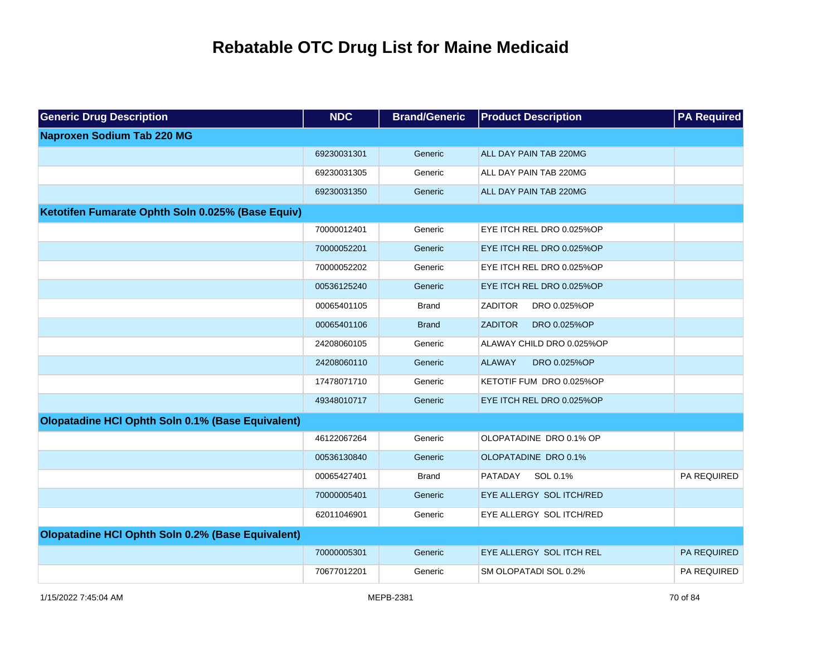| <b>Generic Drug Description</b>                   | <b>NDC</b>  | <b>Brand/Generic</b> | <b>Product Description</b>     | <b>PA Required</b> |
|---------------------------------------------------|-------------|----------------------|--------------------------------|--------------------|
| <b>Naproxen Sodium Tab 220 MG</b>                 |             |                      |                                |                    |
|                                                   | 69230031301 | Generic              | ALL DAY PAIN TAB 220MG         |                    |
|                                                   | 69230031305 | Generic              | ALL DAY PAIN TAB 220MG         |                    |
|                                                   | 69230031350 | Generic              | ALL DAY PAIN TAB 220MG         |                    |
| Ketotifen Fumarate Ophth Soln 0.025% (Base Equiv) |             |                      |                                |                    |
|                                                   | 70000012401 | Generic              | EYE ITCH REL DRO 0.025%OP      |                    |
|                                                   | 70000052201 | Generic              | EYE ITCH REL DRO 0.025%OP      |                    |
|                                                   | 70000052202 | Generic              | EYE ITCH REL DRO 0.025%OP      |                    |
|                                                   | 00536125240 | Generic              | EYE ITCH REL DRO 0.025%OP      |                    |
|                                                   | 00065401105 | Brand                | <b>ZADITOR</b><br>DRO 0.025%OP |                    |
|                                                   | 00065401106 | <b>Brand</b>         | <b>ZADITOR</b><br>DRO 0.025%OP |                    |
|                                                   | 24208060105 | Generic              | ALAWAY CHILD DRO 0.025%OP      |                    |
|                                                   | 24208060110 | Generic              | <b>ALAWAY</b><br>DRO 0.025%OP  |                    |
|                                                   | 17478071710 | Generic              | KETOTIF FUM DRO 0.025%OP       |                    |
|                                                   | 49348010717 | Generic              | EYE ITCH REL DRO 0.025%OP      |                    |
| Olopatadine HCI Ophth Soln 0.1% (Base Equivalent) |             |                      |                                |                    |
|                                                   | 46122067264 | Generic              | OLOPATADINE DRO 0.1% OP        |                    |
|                                                   | 00536130840 | Generic              | OLOPATADINE DRO 0.1%           |                    |
|                                                   | 00065427401 | Brand                | SOL 0.1%<br>PATADAY            | PA REQUIRED        |
|                                                   | 70000005401 | Generic              | EYE ALLERGY SOL ITCH/RED       |                    |
|                                                   | 62011046901 | Generic              | EYE ALLERGY SOL ITCH/RED       |                    |
| Olopatadine HCI Ophth Soln 0.2% (Base Equivalent) |             |                      |                                |                    |
|                                                   | 70000005301 | Generic              | EYE ALLERGY SOL ITCH REL       | PA REQUIRED        |
|                                                   | 70677012201 | Generic              | SM OLOPATADI SOL 0.2%          | PA REQUIRED        |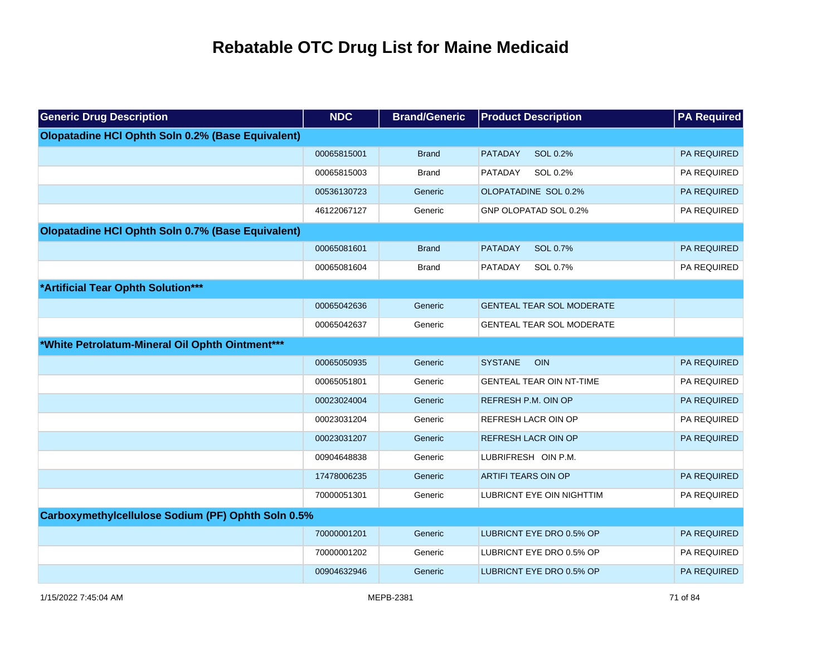| <b>Generic Drug Description</b>                    | <b>NDC</b>  | <b>Brand/Generic</b> | <b>Product Description</b>       | <b>PA Required</b> |
|----------------------------------------------------|-------------|----------------------|----------------------------------|--------------------|
| Olopatadine HCI Ophth Soln 0.2% (Base Equivalent)  |             |                      |                                  |                    |
|                                                    | 00065815001 | <b>Brand</b>         | PATADAY<br>SOL 0.2%              | PA REQUIRED        |
|                                                    | 00065815003 | <b>Brand</b>         | PATADAY<br>SOL 0.2%              | PA REQUIRED        |
|                                                    | 00536130723 | Generic              | OLOPATADINE SOL 0.2%             | PA REQUIRED        |
|                                                    | 46122067127 | Generic              | GNP OLOPATAD SOL 0.2%            | PA REQUIRED        |
| Olopatadine HCI Ophth Soln 0.7% (Base Equivalent)  |             |                      |                                  |                    |
|                                                    | 00065081601 | <b>Brand</b>         | <b>PATADAY</b><br>SOL 0.7%       | PA REQUIRED        |
|                                                    | 00065081604 | <b>Brand</b>         | PATADAY<br>SOL 0.7%              | PA REQUIRED        |
| *Artificial Tear Ophth Solution***                 |             |                      |                                  |                    |
|                                                    | 00065042636 | Generic              | <b>GENTEAL TEAR SOL MODERATE</b> |                    |
|                                                    | 00065042637 | Generic              | <b>GENTEAL TEAR SOL MODERATE</b> |                    |
| *White Petrolatum-Mineral Oil Ophth Ointment***    |             |                      |                                  |                    |
|                                                    | 00065050935 | Generic              | <b>SYSTANE</b><br><b>OIN</b>     | PA REQUIRED        |
|                                                    | 00065051801 | Generic              | <b>GENTEAL TEAR OIN NT-TIME</b>  | PA REQUIRED        |
|                                                    | 00023024004 | Generic              | REFRESH P.M. OIN OP              | PA REQUIRED        |
|                                                    | 00023031204 | Generic              | REFRESH LACR OIN OP              | PA REQUIRED        |
|                                                    | 00023031207 | Generic              | REFRESH LACR OIN OP              | PA REQUIRED        |
|                                                    | 00904648838 | Generic              | LUBRIFRESH OIN P.M.              |                    |
|                                                    | 17478006235 | Generic              | <b>ARTIFI TEARS OIN OP</b>       | PA REQUIRED        |
|                                                    | 70000051301 | Generic              | LUBRICNT EYE OIN NIGHTTIM        | PA REQUIRED        |
| Carboxymethylcellulose Sodium (PF) Ophth Soln 0.5% |             |                      |                                  |                    |
|                                                    | 70000001201 | Generic              | LUBRICNT EYE DRO 0.5% OP         | PA REQUIRED        |
|                                                    | 70000001202 | Generic              | LUBRICNT EYE DRO 0.5% OP         | PA REQUIRED        |
|                                                    | 00904632946 | Generic              | LUBRICNT EYE DRO 0.5% OP         | PA REQUIRED        |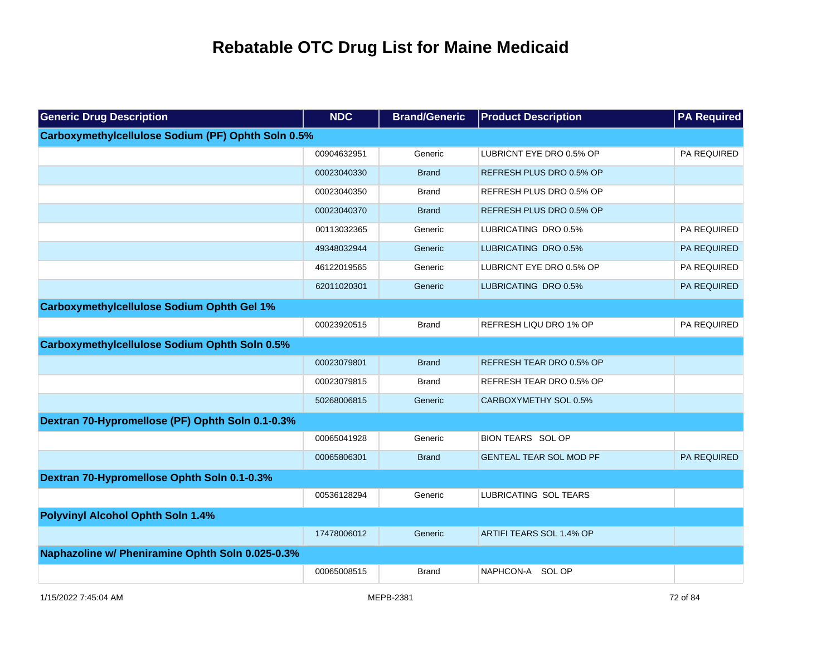| <b>Generic Drug Description</b>                      | <b>NDC</b>  | <b>Brand/Generic</b> | <b>Product Description</b>     | <b>PA Required</b> |
|------------------------------------------------------|-------------|----------------------|--------------------------------|--------------------|
| Carboxymethylcellulose Sodium (PF) Ophth Soln 0.5%   |             |                      |                                |                    |
|                                                      | 00904632951 | Generic              | LUBRICNT EYE DRO 0.5% OP       | PA REQUIRED        |
|                                                      | 00023040330 | <b>Brand</b>         | REFRESH PLUS DRO 0.5% OP       |                    |
|                                                      | 00023040350 | <b>Brand</b>         | REFRESH PLUS DRO 0.5% OP       |                    |
|                                                      | 00023040370 | <b>Brand</b>         | REFRESH PLUS DRO 0.5% OP       |                    |
|                                                      | 00113032365 | Generic              | LUBRICATING DRO 0.5%           | PA REQUIRED        |
|                                                      | 49348032944 | Generic              | LUBRICATING DRO 0.5%           | PA REQUIRED        |
|                                                      | 46122019565 | Generic              | LUBRICNT EYE DRO 0.5% OP       | PA REQUIRED        |
|                                                      | 62011020301 | Generic              | LUBRICATING DRO 0.5%           | PA REQUIRED        |
| <b>Carboxymethylcellulose Sodium Ophth Gel 1%</b>    |             |                      |                                |                    |
|                                                      | 00023920515 | <b>Brand</b>         | REFRESH LIQU DRO 1% OP         | PA REQUIRED        |
| <b>Carboxymethylcellulose Sodium Ophth Soln 0.5%</b> |             |                      |                                |                    |
|                                                      | 00023079801 | <b>Brand</b>         | REFRESH TEAR DRO 0.5% OP       |                    |
|                                                      | 00023079815 | <b>Brand</b>         | REFRESH TEAR DRO 0.5% OP       |                    |
|                                                      | 50268006815 | Generic              | CARBOXYMETHY SOL 0.5%          |                    |
| Dextran 70-Hypromellose (PF) Ophth Soln 0.1-0.3%     |             |                      |                                |                    |
|                                                      | 00065041928 | Generic              | <b>BION TEARS SOL OP</b>       |                    |
|                                                      | 00065806301 | <b>Brand</b>         | <b>GENTEAL TEAR SOL MOD PF</b> | <b>PA REQUIRED</b> |
| Dextran 70-Hypromellose Ophth Soln 0.1-0.3%          |             |                      |                                |                    |
|                                                      | 00536128294 | Generic              | LUBRICATING SOL TEARS          |                    |
| <b>Polyvinyl Alcohol Ophth Soln 1.4%</b>             |             |                      |                                |                    |
|                                                      | 17478006012 | Generic              | ARTIFI TEARS SOL 1.4% OP       |                    |
| Naphazoline w/ Pheniramine Ophth Soln 0.025-0.3%     |             |                      |                                |                    |
|                                                      | 00065008515 | <b>Brand</b>         | NAPHCON-A SOL OP               |                    |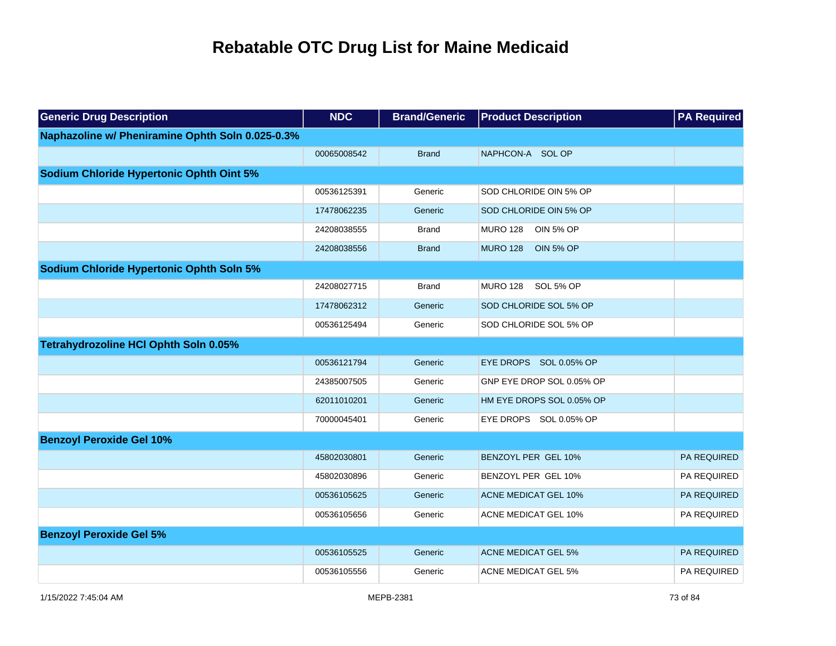| <b>Generic Drug Description</b>                  | <b>NDC</b>  | <b>Brand/Generic</b> | <b>Product Description</b>          | <b>PA Required</b> |
|--------------------------------------------------|-------------|----------------------|-------------------------------------|--------------------|
| Naphazoline w/ Pheniramine Ophth Soln 0.025-0.3% |             |                      |                                     |                    |
|                                                  | 00065008542 | <b>Brand</b>         | NAPHCON-A SOL OP                    |                    |
| <b>Sodium Chloride Hypertonic Ophth Oint 5%</b>  |             |                      |                                     |                    |
|                                                  | 00536125391 | Generic              | SOD CHLORIDE OIN 5% OP              |                    |
|                                                  | 17478062235 | Generic              | SOD CHLORIDE OIN 5% OP              |                    |
|                                                  | 24208038555 | <b>Brand</b>         | <b>MURO 128</b><br><b>OIN 5% OP</b> |                    |
|                                                  | 24208038556 | <b>Brand</b>         | <b>MURO 128</b><br><b>OIN 5% OP</b> |                    |
| <b>Sodium Chloride Hypertonic Ophth Soln 5%</b>  |             |                      |                                     |                    |
|                                                  | 24208027715 | <b>Brand</b>         | <b>MURO 128</b><br>SOL 5% OP        |                    |
|                                                  | 17478062312 | Generic              | SOD CHLORIDE SOL 5% OP              |                    |
|                                                  | 00536125494 | Generic              | SOD CHLORIDE SOL 5% OP              |                    |
| Tetrahydrozoline HCI Ophth Soln 0.05%            |             |                      |                                     |                    |
|                                                  | 00536121794 | Generic              | EYE DROPS SOL 0.05% OP              |                    |
|                                                  | 24385007505 | Generic              | GNP EYE DROP SOL 0.05% OP           |                    |
|                                                  | 62011010201 | Generic              | HM EYE DROPS SOL 0.05% OP           |                    |
|                                                  | 70000045401 | Generic              | EYE DROPS SOL 0.05% OP              |                    |
| <b>Benzoyl Peroxide Gel 10%</b>                  |             |                      |                                     |                    |
|                                                  | 45802030801 | Generic              | BENZOYL PER GEL 10%                 | <b>PA REQUIRED</b> |
|                                                  | 45802030896 | Generic              | BENZOYL PER GEL 10%                 | PA REQUIRED        |
|                                                  | 00536105625 | Generic              | <b>ACNE MEDICAT GEL 10%</b>         | PA REQUIRED        |
|                                                  | 00536105656 | Generic              | <b>ACNE MEDICAT GEL 10%</b>         | PA REQUIRED        |
| <b>Benzoyl Peroxide Gel 5%</b>                   |             |                      |                                     |                    |
|                                                  | 00536105525 | Generic              | <b>ACNE MEDICAT GEL 5%</b>          | PA REQUIRED        |
|                                                  | 00536105556 | Generic              | <b>ACNE MEDICAT GEL 5%</b>          | PA REQUIRED        |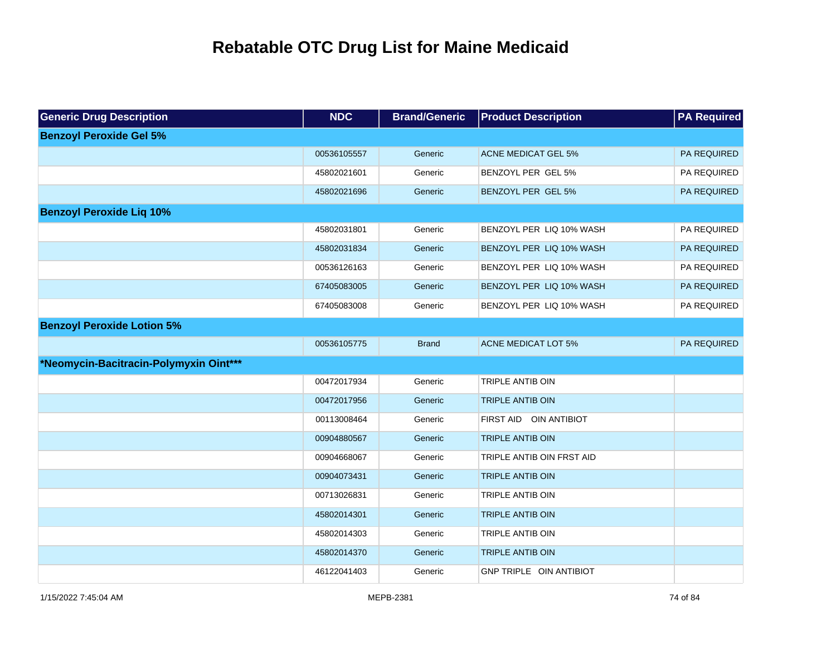| <b>Generic Drug Description</b>        | <b>NDC</b>  | <b>Brand/Generic</b> | <b>Product Description</b>     | <b>PA Required</b> |
|----------------------------------------|-------------|----------------------|--------------------------------|--------------------|
| <b>Benzoyl Peroxide Gel 5%</b>         |             |                      |                                |                    |
|                                        | 00536105557 | Generic              | <b>ACNE MEDICAT GEL 5%</b>     | PA REQUIRED        |
|                                        | 45802021601 | Generic              | BENZOYL PER GEL 5%             | PA REQUIRED        |
|                                        | 45802021696 | Generic              | BENZOYL PER GEL 5%             | PA REQUIRED        |
| <b>Benzoyl Peroxide Liq 10%</b>        |             |                      |                                |                    |
|                                        | 45802031801 | Generic              | BENZOYL PER LIQ 10% WASH       | PA REQUIRED        |
|                                        | 45802031834 | Generic              | BENZOYL PER LIQ 10% WASH       | PA REQUIRED        |
|                                        | 00536126163 | Generic              | BENZOYL PER LIQ 10% WASH       | PA REQUIRED        |
|                                        | 67405083005 | Generic              | BENZOYL PER LIQ 10% WASH       | PA REQUIRED        |
|                                        | 67405083008 | Generic              | BENZOYL PER LIQ 10% WASH       | PA REQUIRED        |
| <b>Benzoyl Peroxide Lotion 5%</b>      |             |                      |                                |                    |
|                                        | 00536105775 | <b>Brand</b>         | <b>ACNE MEDICAT LOT 5%</b>     | PA REQUIRED        |
| *Neomycin-Bacitracin-Polymyxin Oint*** |             |                      |                                |                    |
|                                        | 00472017934 | Generic              | TRIPLE ANTIB OIN               |                    |
|                                        | 00472017956 | Generic              | <b>TRIPLE ANTIB OIN</b>        |                    |
|                                        | 00113008464 | Generic              | FIRST AID OIN ANTIBIOT         |                    |
|                                        | 00904880567 | Generic              | <b>TRIPLE ANTIB OIN</b>        |                    |
|                                        | 00904668067 | Generic              | TRIPLE ANTIB OIN FRST AID      |                    |
|                                        | 00904073431 | Generic              | <b>TRIPLE ANTIB OIN</b>        |                    |
|                                        | 00713026831 | Generic              | <b>TRIPLE ANTIB OIN</b>        |                    |
|                                        | 45802014301 | Generic              | <b>TRIPLE ANTIB OIN</b>        |                    |
|                                        | 45802014303 | Generic              | TRIPLE ANTIB OIN               |                    |
|                                        | 45802014370 | Generic              | <b>TRIPLE ANTIB OIN</b>        |                    |
|                                        | 46122041403 | Generic              | <b>GNP TRIPLE OIN ANTIBIOT</b> |                    |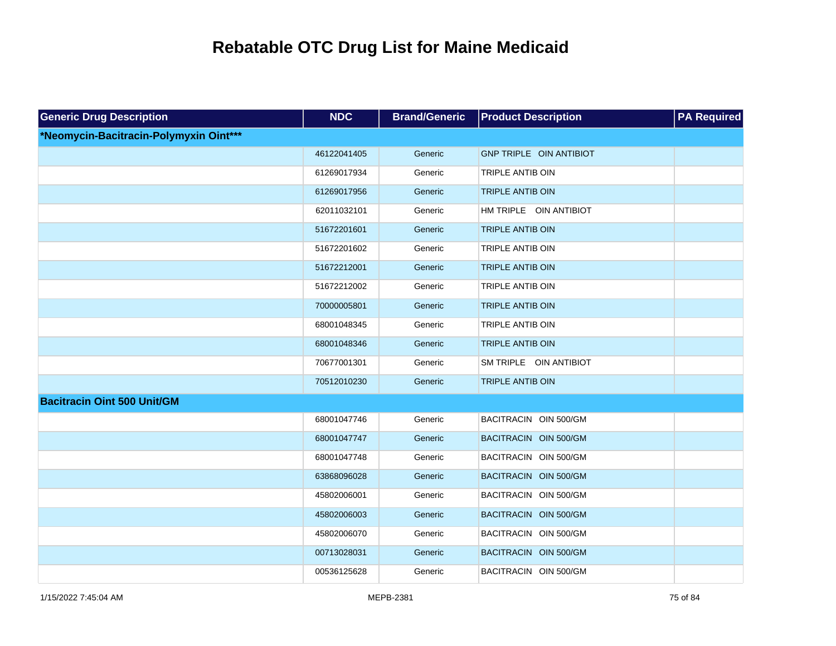| <b>Generic Drug Description</b>        | <b>NDC</b>  | <b>Brand/Generic</b> | <b>Product Description</b>     | <b>PA Required</b> |
|----------------------------------------|-------------|----------------------|--------------------------------|--------------------|
| *Neomycin-Bacitracin-Polymyxin Oint*** |             |                      |                                |                    |
|                                        | 46122041405 | Generic              | <b>GNP TRIPLE OIN ANTIBIOT</b> |                    |
|                                        | 61269017934 | Generic              | TRIPLE ANTIB OIN               |                    |
|                                        | 61269017956 | Generic              | <b>TRIPLE ANTIB OIN</b>        |                    |
|                                        | 62011032101 | Generic              | HM TRIPLE OIN ANTIBIOT         |                    |
|                                        | 51672201601 | Generic              | <b>TRIPLE ANTIB OIN</b>        |                    |
|                                        | 51672201602 | Generic              | TRIPLE ANTIB OIN               |                    |
|                                        | 51672212001 | Generic              | <b>TRIPLE ANTIB OIN</b>        |                    |
|                                        | 51672212002 | Generic              | TRIPLE ANTIB OIN               |                    |
|                                        | 70000005801 | Generic              | <b>TRIPLE ANTIB OIN</b>        |                    |
|                                        | 68001048345 | Generic              | TRIPLE ANTIB OIN               |                    |
|                                        | 68001048346 | Generic              | <b>TRIPLE ANTIB OIN</b>        |                    |
|                                        | 70677001301 | Generic              | SM TRIPLE OIN ANTIBIOT         |                    |
|                                        | 70512010230 | Generic              | <b>TRIPLE ANTIB OIN</b>        |                    |
| <b>Bacitracin Oint 500 Unit/GM</b>     |             |                      |                                |                    |
|                                        | 68001047746 | Generic              | BACITRACIN OIN 500/GM          |                    |
|                                        | 68001047747 | Generic              | BACITRACIN OIN 500/GM          |                    |
|                                        | 68001047748 | Generic              | BACITRACIN OIN 500/GM          |                    |
|                                        | 63868096028 | Generic              | BACITRACIN OIN 500/GM          |                    |
|                                        | 45802006001 | Generic              | BACITRACIN OIN 500/GM          |                    |
|                                        | 45802006003 | Generic              | BACITRACIN OIN 500/GM          |                    |
|                                        | 45802006070 | Generic              | BACITRACIN OIN 500/GM          |                    |
|                                        | 00713028031 | Generic              | BACITRACIN OIN 500/GM          |                    |
|                                        | 00536125628 | Generic              | BACITRACIN OIN 500/GM          |                    |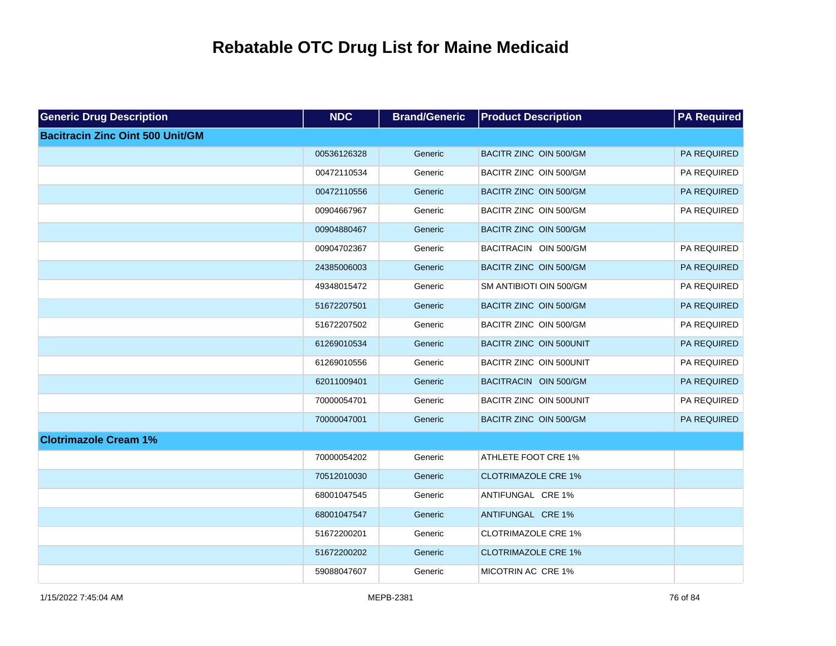| <b>Generic Drug Description</b>         | <b>NDC</b>  | <b>Brand/Generic</b> | <b>Product Description</b>    | <b>PA Required</b> |
|-----------------------------------------|-------------|----------------------|-------------------------------|--------------------|
| <b>Bacitracin Zinc Oint 500 Unit/GM</b> |             |                      |                               |                    |
|                                         | 00536126328 | Generic              | <b>BACITR ZINC OIN 500/GM</b> | PA REQUIRED        |
|                                         | 00472110534 | Generic              | BACITR ZINC OIN 500/GM        | PA REQUIRED        |
|                                         | 00472110556 | Generic              | BACITR ZINC OIN 500/GM        | PA REQUIRED        |
|                                         | 00904667967 | Generic              | BACITR ZINC OIN 500/GM        | PA REQUIRED        |
|                                         | 00904880467 | Generic              | BACITR ZINC OIN 500/GM        |                    |
|                                         | 00904702367 | Generic              | BACITRACIN OIN 500/GM         | PA REQUIRED        |
|                                         | 24385006003 | Generic              | BACITR ZINC OIN 500/GM        | PA REQUIRED        |
|                                         | 49348015472 | Generic              | SM ANTIBIOTI OIN 500/GM       | PA REQUIRED        |
|                                         | 51672207501 | Generic              | BACITR ZINC OIN 500/GM        | PA REQUIRED        |
|                                         | 51672207502 | Generic              | BACITR ZINC OIN 500/GM        | PA REQUIRED        |
|                                         | 61269010534 | Generic              | BACITR ZINC OIN 500UNIT       | PA REQUIRED        |
|                                         | 61269010556 | Generic              | BACITR ZINC OIN 500UNIT       | PA REQUIRED        |
|                                         | 62011009401 | Generic              | BACITRACIN OIN 500/GM         | PA REQUIRED        |
|                                         | 70000054701 | Generic              | BACITR ZINC OIN 500UNIT       | PA REQUIRED        |
|                                         | 70000047001 | Generic              | BACITR ZINC OIN 500/GM        | PA REQUIRED        |
| <b>Clotrimazole Cream 1%</b>            |             |                      |                               |                    |
|                                         | 70000054202 | Generic              | <b>ATHLETE FOOT CRE 1%</b>    |                    |
|                                         | 70512010030 | Generic              | <b>CLOTRIMAZOLE CRE 1%</b>    |                    |
|                                         | 68001047545 | Generic              | ANTIFUNGAL CRE 1%             |                    |
|                                         | 68001047547 | Generic              | ANTIFUNGAL CRE 1%             |                    |
|                                         | 51672200201 | Generic              | <b>CLOTRIMAZOLE CRE 1%</b>    |                    |
|                                         | 51672200202 | Generic              | <b>CLOTRIMAZOLE CRE 1%</b>    |                    |
|                                         | 59088047607 | Generic              | MICOTRIN AC CRE 1%            |                    |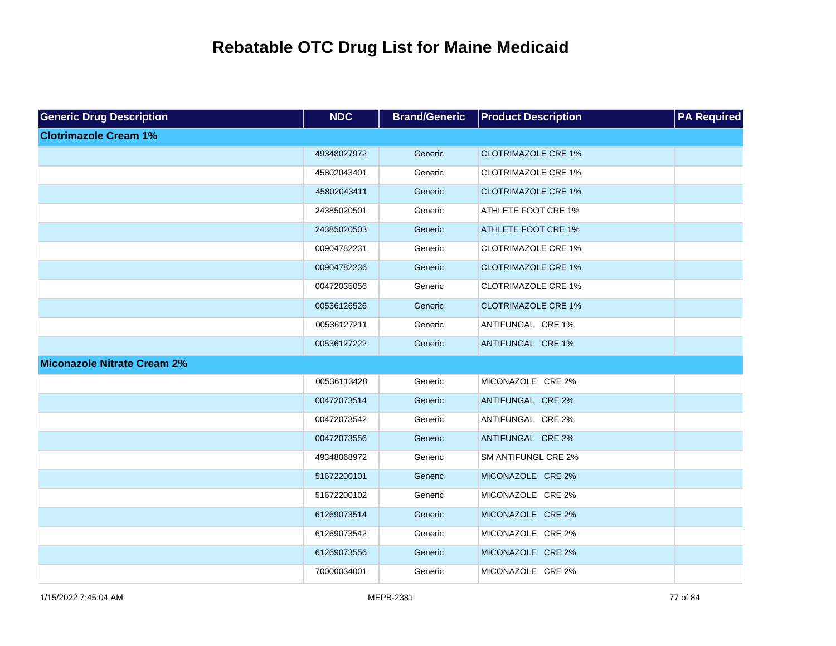| <b>Generic Drug Description</b>    | <b>NDC</b>  | <b>Brand/Generic</b> | <b>Product Description</b> | <b>PA Required</b> |
|------------------------------------|-------------|----------------------|----------------------------|--------------------|
| <b>Clotrimazole Cream 1%</b>       |             |                      |                            |                    |
|                                    | 49348027972 | Generic              | <b>CLOTRIMAZOLE CRE 1%</b> |                    |
|                                    | 45802043401 | Generic              | <b>CLOTRIMAZOLE CRE 1%</b> |                    |
|                                    | 45802043411 | Generic              | <b>CLOTRIMAZOLE CRE 1%</b> |                    |
|                                    | 24385020501 | Generic              | <b>ATHLETE FOOT CRE 1%</b> |                    |
|                                    | 24385020503 | Generic              | <b>ATHLETE FOOT CRE 1%</b> |                    |
|                                    | 00904782231 | Generic              | <b>CLOTRIMAZOLE CRE 1%</b> |                    |
|                                    | 00904782236 | Generic              | <b>CLOTRIMAZOLE CRE 1%</b> |                    |
|                                    | 00472035056 | Generic              | <b>CLOTRIMAZOLE CRE 1%</b> |                    |
|                                    | 00536126526 | Generic              | <b>CLOTRIMAZOLE CRE 1%</b> |                    |
|                                    | 00536127211 | Generic              | ANTIFUNGAL CRE 1%          |                    |
|                                    | 00536127222 | Generic              | ANTIFUNGAL CRE 1%          |                    |
| <b>Miconazole Nitrate Cream 2%</b> |             |                      |                            |                    |
|                                    | 00536113428 | Generic              | MICONAZOLE CRE 2%          |                    |
|                                    | 00472073514 | Generic              | ANTIFUNGAL CRE 2%          |                    |
|                                    | 00472073542 | Generic              | ANTIFUNGAL CRE 2%          |                    |
|                                    | 00472073556 | Generic              | ANTIFUNGAL CRE 2%          |                    |
|                                    | 49348068972 | Generic              | SM ANTIFUNGL CRE 2%        |                    |
|                                    | 51672200101 | Generic              | MICONAZOLE CRE 2%          |                    |
|                                    | 51672200102 | Generic              | MICONAZOLE CRE 2%          |                    |
|                                    | 61269073514 | Generic              | MICONAZOLE CRE 2%          |                    |
|                                    | 61269073542 | Generic              | MICONAZOLE CRE 2%          |                    |
|                                    | 61269073556 | Generic              | MICONAZOLE CRE 2%          |                    |
|                                    | 70000034001 | Generic              | MICONAZOLE CRE 2%          |                    |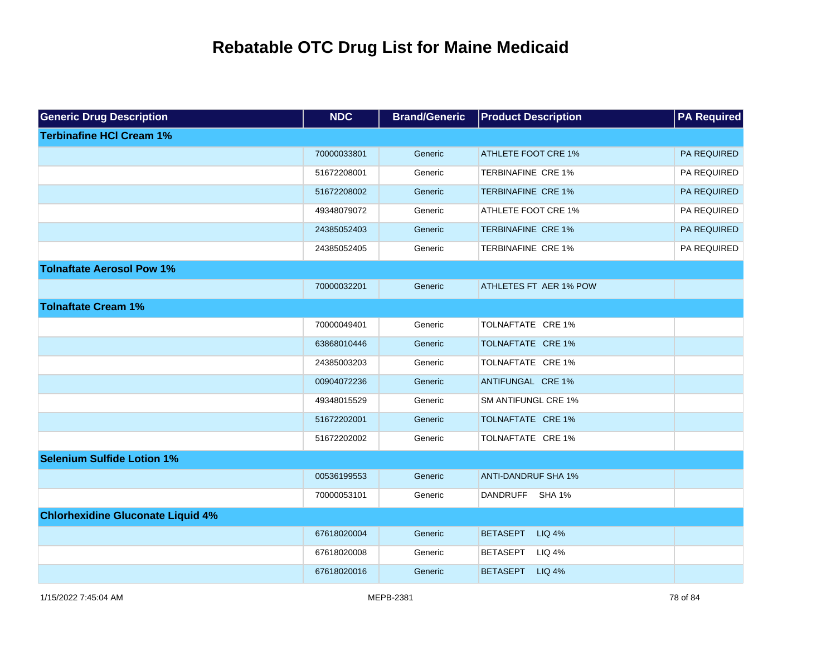| <b>Generic Drug Description</b>          | <b>NDC</b>  | <b>Brand/Generic</b> | <b>Product Description</b>       | <b>PA Required</b> |
|------------------------------------------|-------------|----------------------|----------------------------------|--------------------|
| <b>Terbinafine HCI Cream 1%</b>          |             |                      |                                  |                    |
|                                          | 70000033801 | Generic              | <b>ATHLETE FOOT CRE 1%</b>       | <b>PA REQUIRED</b> |
|                                          | 51672208001 | Generic              | <b>TERBINAFINE CRE 1%</b>        | PA REQUIRED        |
|                                          | 51672208002 | Generic              | <b>TERBINAFINE CRE 1%</b>        | PA REQUIRED        |
|                                          | 49348079072 | Generic              | ATHLETE FOOT CRE 1%              | PA REQUIRED        |
|                                          | 24385052403 | Generic              | <b>TERBINAFINE CRE 1%</b>        | PA REQUIRED        |
|                                          | 24385052405 | Generic              | TERBINAFINE CRE 1%               | PA REQUIRED        |
| <b>Tolnaftate Aerosol Pow 1%</b>         |             |                      |                                  |                    |
|                                          | 70000032201 | Generic              | ATHLETES FT AER 1% POW           |                    |
| <b>Tolnaftate Cream 1%</b>               |             |                      |                                  |                    |
|                                          | 70000049401 | Generic              | TOLNAFTATE CRE 1%                |                    |
|                                          | 63868010446 | Generic              | TOLNAFTATE CRE 1%                |                    |
|                                          | 24385003203 | Generic              | TOLNAFTATE CRE 1%                |                    |
|                                          | 00904072236 | Generic              | ANTIFUNGAL CRE 1%                |                    |
|                                          | 49348015529 | Generic              | <b>SM ANTIFUNGL CRE 1%</b>       |                    |
|                                          | 51672202001 | Generic              | TOLNAFTATE CRE 1%                |                    |
|                                          | 51672202002 | Generic              | TOLNAFTATE CRE 1%                |                    |
| <b>Selenium Sulfide Lotion 1%</b>        |             |                      |                                  |                    |
|                                          | 00536199553 | Generic              | <b>ANTI-DANDRUF SHA 1%</b>       |                    |
|                                          | 70000053101 | Generic              | DANDRUFF SHA 1%                  |                    |
| <b>Chlorhexidine Gluconate Liquid 4%</b> |             |                      |                                  |                    |
|                                          | 67618020004 | Generic              | <b>BETASEPT</b><br>LIQ 4%        |                    |
|                                          | 67618020008 | Generic              | <b>BETASEPT</b><br>LIQ 4%        |                    |
|                                          | 67618020016 | Generic              | <b>BETASEPT</b><br><b>LIQ 4%</b> |                    |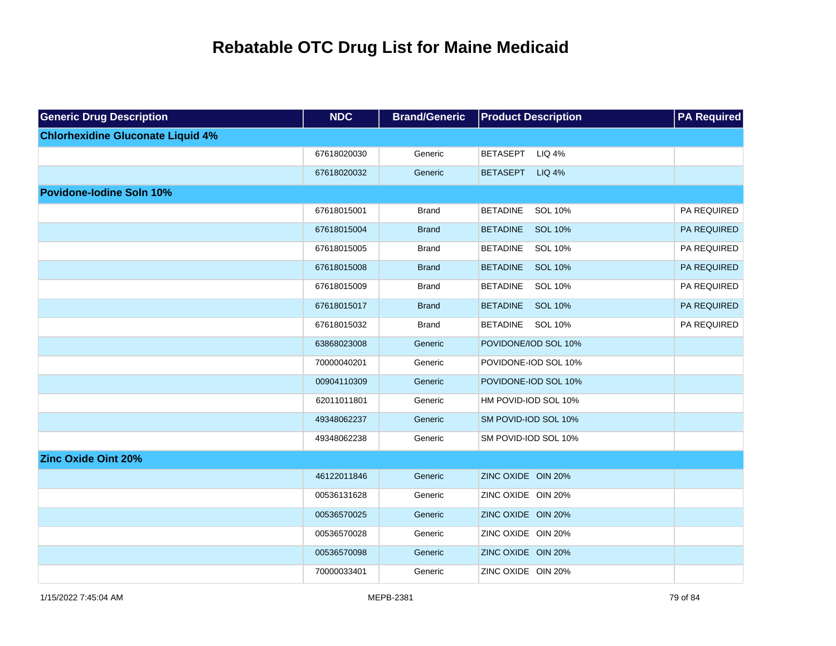| <b>Generic Drug Description</b>          | <b>NDC</b>  | <b>Brand/Generic</b> | <b>Product Description</b>        | <b>PA Required</b> |
|------------------------------------------|-------------|----------------------|-----------------------------------|--------------------|
| <b>Chlorhexidine Gluconate Liquid 4%</b> |             |                      |                                   |                    |
|                                          | 67618020030 | Generic              | LIQ 4%<br><b>BETASEPT</b>         |                    |
|                                          | 67618020032 | Generic              | <b>LIQ 4%</b><br><b>BETASEPT</b>  |                    |
| <b>Povidone-lodine Soln 10%</b>          |             |                      |                                   |                    |
|                                          | 67618015001 | <b>Brand</b>         | <b>BETADINE</b><br>SOL 10%        | PA REQUIRED        |
|                                          | 67618015004 | <b>Brand</b>         | <b>SOL 10%</b><br><b>BETADINE</b> | PA REQUIRED        |
|                                          | 67618015005 | <b>Brand</b>         | <b>BETADINE</b><br>SOL 10%        | PA REQUIRED        |
|                                          | 67618015008 | <b>Brand</b>         | BETADINE SOL 10%                  | PA REQUIRED        |
|                                          | 67618015009 | <b>Brand</b>         | <b>BETADINE</b><br>SOL 10%        | PA REQUIRED        |
|                                          | 67618015017 | <b>Brand</b>         | BETADINE SOL 10%                  | PA REQUIRED        |
|                                          | 67618015032 | <b>Brand</b>         | BETADINE SOL 10%                  | PA REQUIRED        |
|                                          | 63868023008 | Generic              | POVIDONE/IOD SOL 10%              |                    |
|                                          | 70000040201 | Generic              | POVIDONE-IOD SOL 10%              |                    |
|                                          | 00904110309 | Generic              | POVIDONE-IOD SOL 10%              |                    |
|                                          | 62011011801 | Generic              | HM POVID-IOD SOL 10%              |                    |
|                                          | 49348062237 | Generic              | SM POVID-IOD SOL 10%              |                    |
|                                          | 49348062238 | Generic              | SM POVID-IOD SOL 10%              |                    |
| <b>Zinc Oxide Oint 20%</b>               |             |                      |                                   |                    |
|                                          | 46122011846 | Generic              | ZINC OXIDE OIN 20%                |                    |
|                                          | 00536131628 | Generic              | ZINC OXIDE OIN 20%                |                    |
|                                          | 00536570025 | Generic              | ZINC OXIDE OIN 20%                |                    |
|                                          | 00536570028 | Generic              | ZINC OXIDE OIN 20%                |                    |
|                                          | 00536570098 | Generic              | ZINC OXIDE OIN 20%                |                    |
|                                          | 70000033401 | Generic              | ZINC OXIDE OIN 20%                |                    |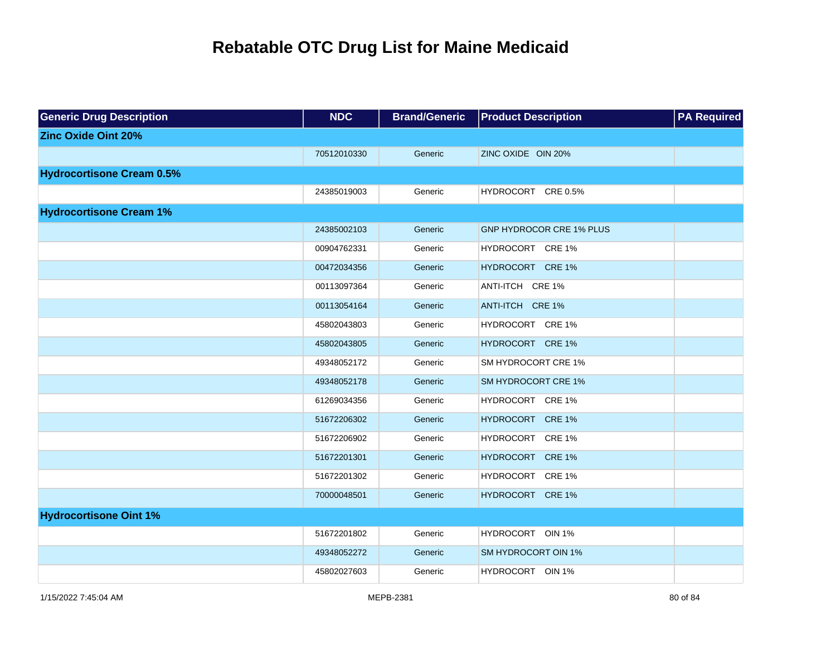| <b>Generic Drug Description</b>  | <b>NDC</b>  | <b>Brand/Generic</b> | <b>Product Description</b>        | <b>PA Required</b> |
|----------------------------------|-------------|----------------------|-----------------------------------|--------------------|
| <b>Zinc Oxide Oint 20%</b>       |             |                      |                                   |                    |
|                                  | 70512010330 | Generic              | ZINC OXIDE OIN 20%                |                    |
| <b>Hydrocortisone Cream 0.5%</b> |             |                      |                                   |                    |
|                                  | 24385019003 | Generic              | HYDROCORT CRE 0.5%                |                    |
| <b>Hydrocortisone Cream 1%</b>   |             |                      |                                   |                    |
|                                  | 24385002103 | Generic              | <b>GNP HYDROCOR CRE 1% PLUS</b>   |                    |
|                                  | 00904762331 | Generic              | HYDROCORT CRE 1%                  |                    |
|                                  | 00472034356 | Generic              | HYDROCORT CRE 1%                  |                    |
|                                  | 00113097364 | Generic              | ANTI-ITCH CRE 1%                  |                    |
|                                  | 00113054164 | Generic              | ANTI-ITCH CRE 1%                  |                    |
|                                  | 45802043803 | Generic              | HYDROCORT CRE 1%                  |                    |
|                                  | 45802043805 | Generic              | HYDROCORT CRE 1%                  |                    |
|                                  | 49348052172 | Generic              | SM HYDROCORT CRE 1%               |                    |
|                                  | 49348052178 | Generic              | <b>SM HYDROCORT CRE 1%</b>        |                    |
|                                  | 61269034356 | Generic              | HYDROCORT CRE 1%                  |                    |
|                                  | 51672206302 | Generic              | HYDROCORT CRE 1%                  |                    |
|                                  | 51672206902 | Generic              | <b>HYDROCORT</b><br><b>CRE 1%</b> |                    |
|                                  | 51672201301 | Generic              | HYDROCORT CRE 1%                  |                    |
|                                  | 51672201302 | Generic              | HYDROCORT CRE 1%                  |                    |
|                                  | 70000048501 | Generic              | HYDROCORT CRE 1%                  |                    |
| <b>Hydrocortisone Oint 1%</b>    |             |                      |                                   |                    |
|                                  | 51672201802 | Generic              | HYDROCORT OIN 1%                  |                    |
|                                  | 49348052272 | Generic              | <b>SM HYDROCORT OIN 1%</b>        |                    |
|                                  | 45802027603 | Generic              | HYDROCORT OIN 1%                  |                    |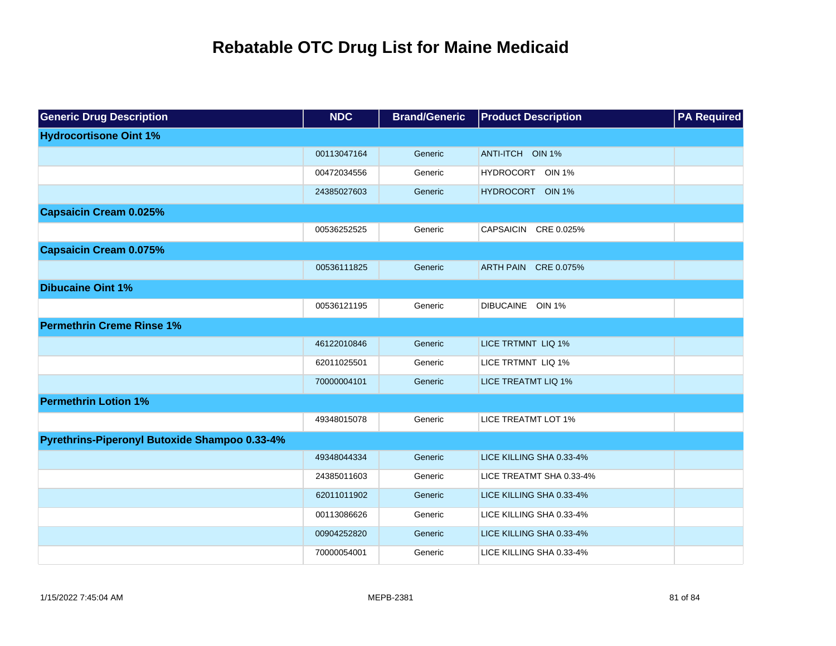| <b>Generic Drug Description</b>               | <b>NDC</b>  | <b>Brand/Generic</b> | <b>Product Description</b>        | <b>PA Required</b> |
|-----------------------------------------------|-------------|----------------------|-----------------------------------|--------------------|
| <b>Hydrocortisone Oint 1%</b>                 |             |                      |                                   |                    |
|                                               | 00113047164 | Generic              | ANTI-ITCH OIN 1%                  |                    |
|                                               | 00472034556 | Generic              | HYDROCORT OIN 1%                  |                    |
|                                               | 24385027603 | Generic              | <b>HYDROCORT</b><br><b>OIN 1%</b> |                    |
| <b>Capsaicin Cream 0.025%</b>                 |             |                      |                                   |                    |
|                                               | 00536252525 | Generic              | <b>CAPSAICIN</b><br>CRE 0.025%    |                    |
| <b>Capsaicin Cream 0.075%</b>                 |             |                      |                                   |                    |
|                                               | 00536111825 | Generic              | ARTH PAIN CRE 0.075%              |                    |
| <b>Dibucaine Oint 1%</b>                      |             |                      |                                   |                    |
|                                               | 00536121195 | Generic              | DIBUCAINE OIN 1%                  |                    |
| <b>Permethrin Creme Rinse 1%</b>              |             |                      |                                   |                    |
|                                               | 46122010846 | Generic              | LICE TRTMNT LIQ 1%                |                    |
|                                               | 62011025501 | Generic              | LICE TRTMNT LIQ 1%                |                    |
|                                               | 70000004101 | Generic              | LICE TREATMT LIQ 1%               |                    |
| <b>Permethrin Lotion 1%</b>                   |             |                      |                                   |                    |
|                                               | 49348015078 | Generic              | LICE TREATMT LOT 1%               |                    |
| Pyrethrins-Piperonyl Butoxide Shampoo 0.33-4% |             |                      |                                   |                    |
|                                               | 49348044334 | Generic              | LICE KILLING SHA 0.33-4%          |                    |
|                                               | 24385011603 | Generic              | LICE TREATMT SHA 0.33-4%          |                    |
|                                               | 62011011902 | Generic              | LICE KILLING SHA 0.33-4%          |                    |
|                                               | 00113086626 | Generic              | LICE KILLING SHA 0.33-4%          |                    |
|                                               | 00904252820 | Generic              | LICE KILLING SHA 0.33-4%          |                    |
|                                               | 70000054001 | Generic              | LICE KILLING SHA 0.33-4%          |                    |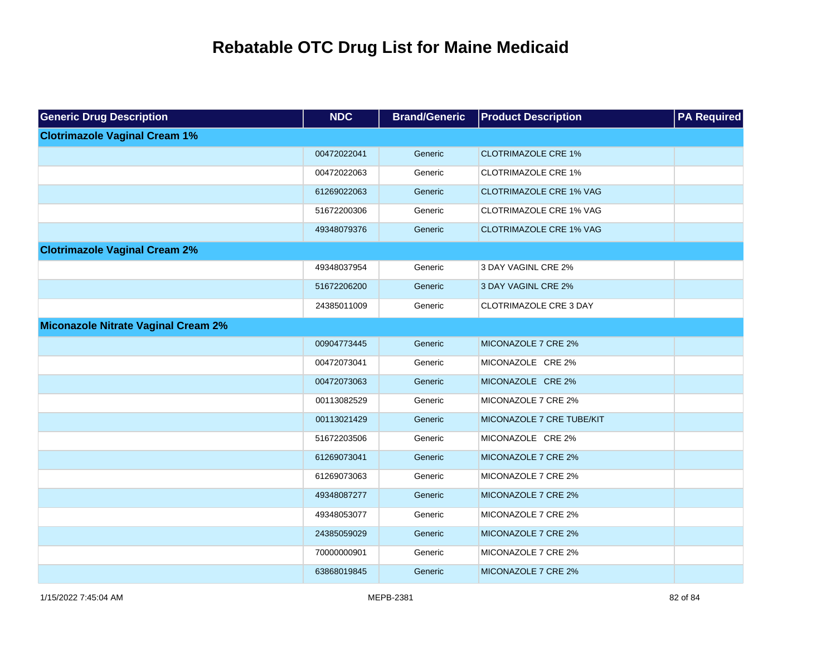| <b>Generic Drug Description</b>            | <b>NDC</b>  | <b>Brand/Generic</b> | <b>Product Description</b>     | <b>PA Required</b> |
|--------------------------------------------|-------------|----------------------|--------------------------------|--------------------|
| <b>Clotrimazole Vaginal Cream 1%</b>       |             |                      |                                |                    |
|                                            | 00472022041 | Generic              | <b>CLOTRIMAZOLE CRE 1%</b>     |                    |
|                                            | 00472022063 | Generic              | <b>CLOTRIMAZOLE CRE 1%</b>     |                    |
|                                            | 61269022063 | Generic              | <b>CLOTRIMAZOLE CRE 1% VAG</b> |                    |
|                                            | 51672200306 | Generic              | <b>CLOTRIMAZOLE CRE 1% VAG</b> |                    |
|                                            | 49348079376 | Generic              | <b>CLOTRIMAZOLE CRE 1% VAG</b> |                    |
| <b>Clotrimazole Vaginal Cream 2%</b>       |             |                      |                                |                    |
|                                            | 49348037954 | Generic              | 3 DAY VAGINL CRE 2%            |                    |
|                                            | 51672206200 | Generic              | 3 DAY VAGINL CRE 2%            |                    |
|                                            | 24385011009 | Generic              | CLOTRIMAZOLE CRE 3 DAY         |                    |
| <b>Miconazole Nitrate Vaginal Cream 2%</b> |             |                      |                                |                    |
|                                            | 00904773445 | Generic              | MICONAZOLE 7 CRE 2%            |                    |
|                                            | 00472073041 | Generic              | MICONAZOLE CRE 2%              |                    |
|                                            | 00472073063 | Generic              | MICONAZOLE CRE 2%              |                    |
|                                            | 00113082529 | Generic              | MICONAZOLE 7 CRE 2%            |                    |
|                                            | 00113021429 | Generic              | MICONAZOLE 7 CRE TUBE/KIT      |                    |
|                                            | 51672203506 | Generic              | MICONAZOLE CRE 2%              |                    |
|                                            | 61269073041 | Generic              | MICONAZOLE 7 CRE 2%            |                    |
|                                            | 61269073063 | Generic              | MICONAZOLE 7 CRE 2%            |                    |
|                                            | 49348087277 | Generic              | MICONAZOLE 7 CRE 2%            |                    |
|                                            | 49348053077 | Generic              | MICONAZOLE 7 CRE 2%            |                    |
|                                            | 24385059029 | Generic              | MICONAZOLE 7 CRE 2%            |                    |
|                                            | 70000000901 | Generic              | MICONAZOLE 7 CRE 2%            |                    |
|                                            | 63868019845 | Generic              | MICONAZOLE 7 CRE 2%            |                    |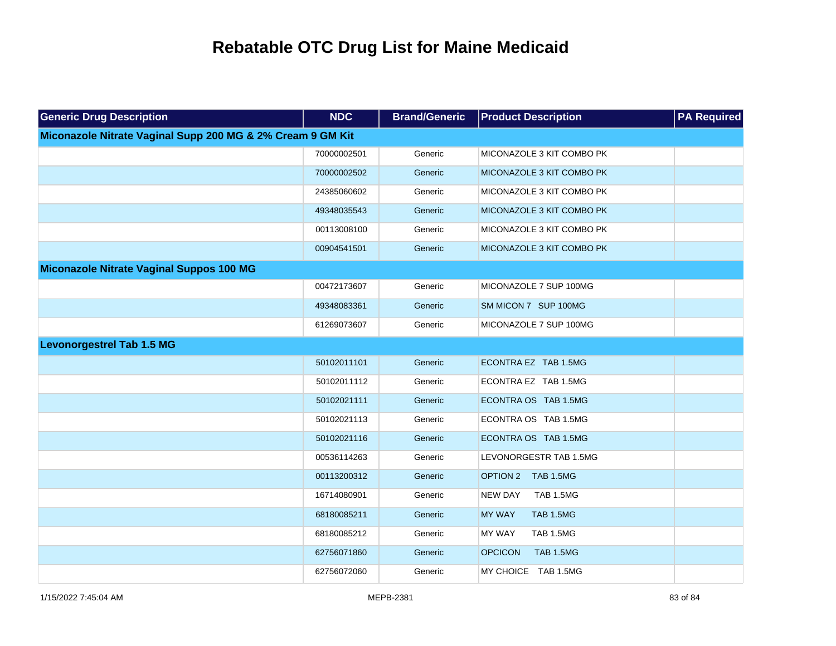| <b>Generic Drug Description</b>                            | <b>NDC</b>  | <b>Brand/Generic</b> | <b>Product Description</b>         | <b>PA Required</b> |
|------------------------------------------------------------|-------------|----------------------|------------------------------------|--------------------|
| Miconazole Nitrate Vaginal Supp 200 MG & 2% Cream 9 GM Kit |             |                      |                                    |                    |
|                                                            | 70000002501 | Generic              | MICONAZOLE 3 KIT COMBO PK          |                    |
|                                                            | 70000002502 | Generic              | MICONAZOLE 3 KIT COMBO PK          |                    |
|                                                            | 24385060602 | Generic              | MICONAZOLE 3 KIT COMBO PK          |                    |
|                                                            | 49348035543 | Generic              | MICONAZOLE 3 KIT COMBO PK          |                    |
|                                                            | 00113008100 | Generic              | MICONAZOLE 3 KIT COMBO PK          |                    |
|                                                            | 00904541501 | Generic              | MICONAZOLE 3 KIT COMBO PK          |                    |
| Miconazole Nitrate Vaginal Suppos 100 MG                   |             |                      |                                    |                    |
|                                                            | 00472173607 | Generic              | MICONAZOLE 7 SUP 100MG             |                    |
|                                                            | 49348083361 | Generic              | SM MICON 7 SUP 100MG               |                    |
|                                                            | 61269073607 | Generic              | MICONAZOLE 7 SUP 100MG             |                    |
| <b>Levonorgestrel Tab 1.5 MG</b>                           |             |                      |                                    |                    |
|                                                            | 50102011101 | Generic              | ECONTRA EZ TAB 1.5MG               |                    |
|                                                            | 50102011112 | Generic              | ECONTRA EZ TAB 1.5MG               |                    |
|                                                            | 50102021111 | Generic              | ECONTRA OS TAB 1.5MG               |                    |
|                                                            | 50102021113 | Generic              | ECONTRA OS TAB 1.5MG               |                    |
|                                                            | 50102021116 | Generic              | ECONTRA OS TAB 1.5MG               |                    |
|                                                            | 00536114263 | Generic              | LEVONORGESTR TAB 1.5MG             |                    |
|                                                            | 00113200312 | Generic              | OPTION 2<br>TAB 1.5MG              |                    |
|                                                            | 16714080901 | Generic              | <b>TAB 1.5MG</b><br><b>NEW DAY</b> |                    |
|                                                            | 68180085211 | Generic              | <b>MY WAY</b><br><b>TAB 1.5MG</b>  |                    |
|                                                            | 68180085212 | Generic              | <b>MY WAY</b><br><b>TAB 1.5MG</b>  |                    |
|                                                            | 62756071860 | Generic              | <b>OPCICON</b><br><b>TAB 1.5MG</b> |                    |
|                                                            | 62756072060 | Generic              | MY CHOICE TAB 1.5MG                |                    |